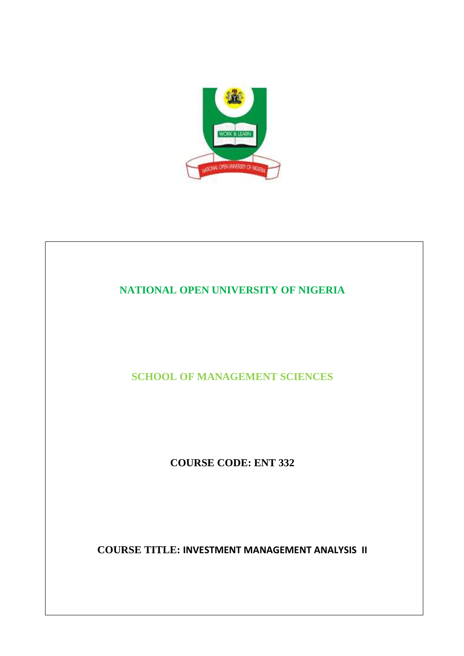

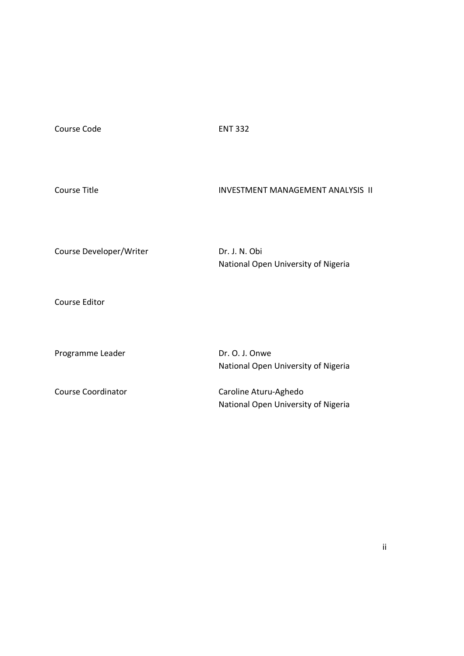Course Code ENT 332

| Course Developer/Writer   | Dr. J. N. Obi<br>National Open University of Nigeria         |
|---------------------------|--------------------------------------------------------------|
| Course Editor             |                                                              |
| Programme Leader          | Dr. O. J. Onwe<br>National Open University of Nigeria        |
| <b>Course Coordinator</b> | Caroline Aturu-Aghedo<br>National Open University of Nigeria |

Course Title **INVESTMENT MANAGEMENT ANALYSIS II**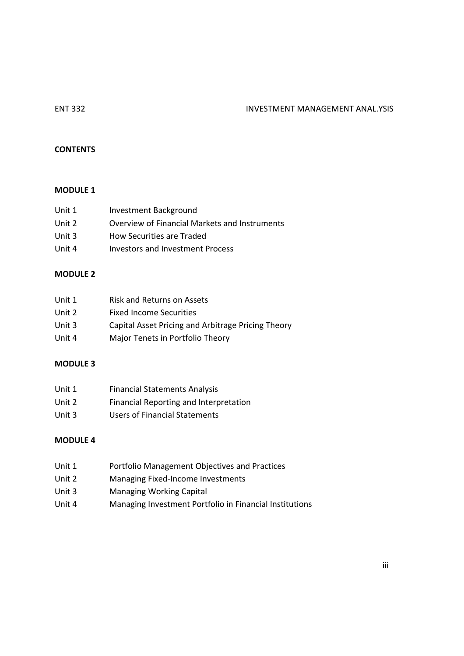# ENT 332 INVESTMENT MANAGEMENT ANAL.YSIS

## **CONTENTS**

## **MODULE 1**

| Unit 1 | Investment Background                         |
|--------|-----------------------------------------------|
| Unit 2 | Overview of Financial Markets and Instruments |
| Unit 3 | How Securities are Traded                     |
| Unit 4 | Investors and Investment Process              |
|        |                                               |

# **MODULE 2**

| Unit 1 | Risk and Returns on Assets                         |
|--------|----------------------------------------------------|
| Unit 2 | <b>Fixed Income Securities</b>                     |
| Unit 3 | Capital Asset Pricing and Arbitrage Pricing Theory |
| Unit 4 | Major Tenets in Portfolio Theory                   |

# **MODULE 3**

| Unit 1 | <b>Financial Statements Analysis</b>   |
|--------|----------------------------------------|
| Unit 2 | Financial Reporting and Interpretation |
| Unit 3 | Users of Financial Statements          |

# **MODULE 4**

- Unit 1 Portfolio Management Objectives and Practices
- Unit 2 Managing Fixed-Income Investments
- Unit 3 Managing Working Capital
- Unit 4 Managing Investment Portfolio in Financial Institutions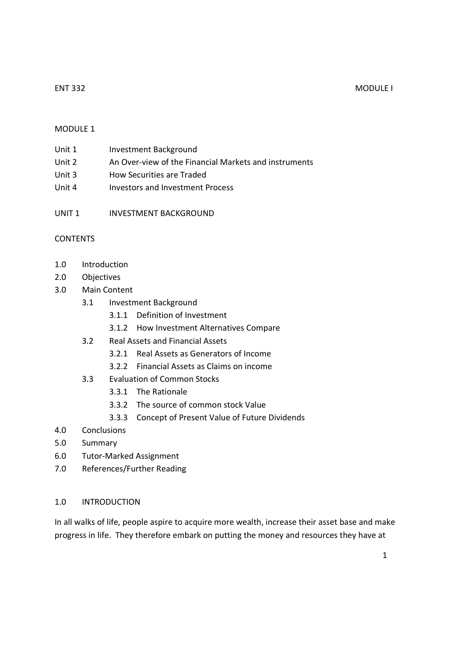## ENT 332 MODULE I

# MODULE 1

| Unit 1 | Investment Background |
|--------|-----------------------|
|        |                       |

- Unit 2 An Over-view of the Financial Markets and instruments
- Unit 3 How Securities are Traded
- Unit 4 Investors and Investment Process
- UNIT 1 INVESTMENT BACKGROUND

# CONTENTS

- 1.0 Introduction
- 2.0 Objectives
- 3.0 Main Content
	- 3.1 Investment Background
		- 3.1.1 Definition of Investment
		- 3.1.2 How Investment Alternatives Compare
	- 3.2 Real Assets and Financial Assets
		- 3.2.1 Real Assets as Generators of Income
		- 3.2.2 Financial Assets as Claims on income
	- 3.3 Evaluation of Common Stocks
		- 3.3.1 The Rationale
		- 3.3.2 The source of common stock Value
		- 3.3.3 Concept of Present Value of Future Dividends
- 4.0 Conclusions
- 5.0 Summary
- 6.0 Tutor-Marked Assignment
- 7.0 References/Further Reading

## 1.0 INTRODUCTION

In all walks of life, people aspire to acquire more wealth, increase their asset base and make progress in life. They therefore embark on putting the money and resources they have at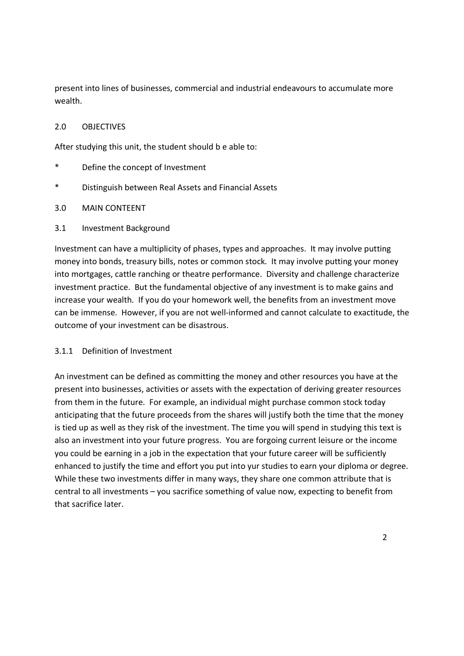present into lines of businesses, commercial and industrial endeavours to accumulate more wealth.

# 2.0 OBJECTIVES

After studying this unit, the student should b e able to:

- \* Define the concept of Investment
- Distinguish between Real Assets and Financial Assets

## 3.0 MAIN CONTEENT

## 3.1 Investment Background

Investment can have a multiplicity of phases, types and approaches. It may involve putting money into bonds, treasury bills, notes or common stock. It may involve putting your money into mortgages, cattle ranching or theatre performance. Diversity and challenge characterize investment practice. But the fundamental objective of any investment is to make gains and increase your wealth. If you do your homework well, the benefits from an investment move can be immense. However, if you are not well-informed and cannot calculate to exactitude, the outcome of your investment can be disastrous.

## 3.1.1 Definition of Investment

An investment can be defined as committing the money and other resources you have at the present into businesses, activities or assets with the expectation of deriving greater resources from them in the future. For example, an individual might purchase common stock today anticipating that the future proceeds from the shares will justify both the time that the money is tied up as well as they risk of the investment. The time you will spend in studying this text is also an investment into your future progress. You are forgoing current leisure or the income you could be earning in a job in the expectation that your future career will be sufficiently enhanced to justify the time and effort you put into yur studies to earn your diploma or degree. While these two investments differ in many ways, they share one common attribute that is central to all investments – you sacrifice something of value now, expecting to benefit from that sacrifice later.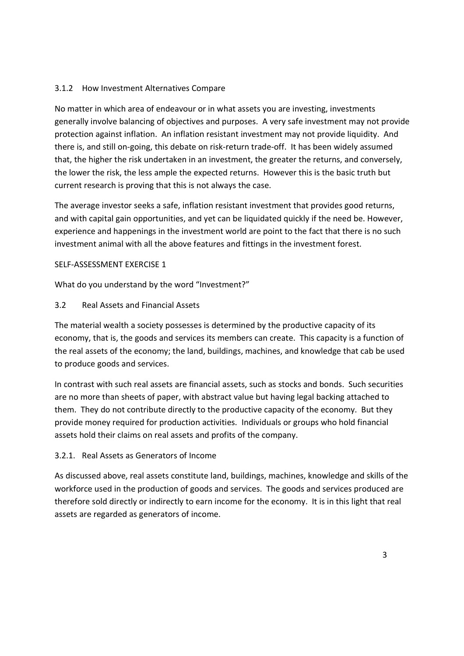# 3.1.2 How Investment Alternatives Compare

No matter in which area of endeavour or in what assets you are investing, investments generally involve balancing of objectives and purposes. A very safe investment may not provide protection against inflation. An inflation resistant investment may not provide liquidity. And there is, and still on-going, this debate on risk-return trade-off. It has been widely assumed that, the higher the risk undertaken in an investment, the greater the returns, and conversely, the lower the risk, the less ample the expected returns. However this is the basic truth but current research is proving that this is not always the case.

The average investor seeks a safe, inflation resistant investment that provides good returns, and with capital gain opportunities, and yet can be liquidated quickly if the need be. However, experience and happenings in the investment world are point to the fact that there is no such investment animal with all the above features and fittings in the investment forest.

## SELF-ASSESSMENT EXERCISE 1

What do you understand by the word "Investment?"

# 3.2 Real Assets and Financial Assets

The material wealth a society possesses is determined by the productive capacity of its economy, that is, the goods and services its members can create. This capacity is a function of the real assets of the economy; the land, buildings, machines, and knowledge that cab be used to produce goods and services.

In contrast with such real assets are financial assets, such as stocks and bonds. Such securities are no more than sheets of paper, with abstract value but having legal backing attached to them. They do not contribute directly to the productive capacity of the economy. But they provide money required for production activities. Individuals or groups who hold financial assets hold their claims on real assets and profits of the company.

# 3.2.1. Real Assets as Generators of Income

As discussed above, real assets constitute land, buildings, machines, knowledge and skills of the workforce used in the production of goods and services. The goods and services produced are therefore sold directly or indirectly to earn income for the economy. It is in this light that real assets are regarded as generators of income.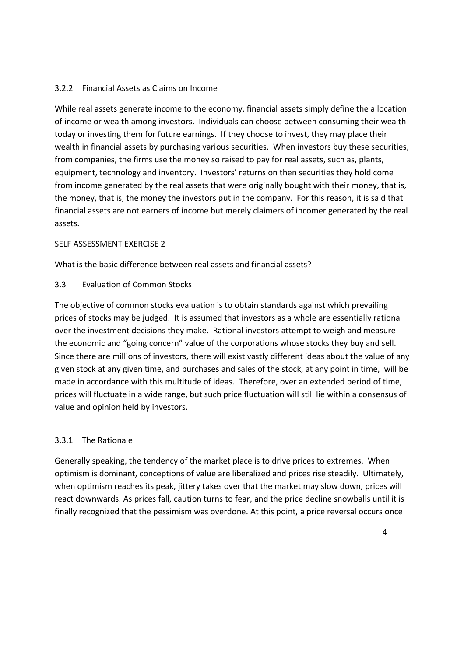# 3.2.2 Financial Assets as Claims on Income

While real assets generate income to the economy, financial assets simply define the allocation of income or wealth among investors. Individuals can choose between consuming their wealth today or investing them for future earnings. If they choose to invest, they may place their wealth in financial assets by purchasing various securities. When investors buy these securities, from companies, the firms use the money so raised to pay for real assets, such as, plants, equipment, technology and inventory. Investors' returns on then securities they hold come from income generated by the real assets that were originally bought with their money, that is, the money, that is, the money the investors put in the company. For this reason, it is said that financial assets are not earners of income but merely claimers of incomer generated by the real assets.

## SELF ASSESSMENT EXERCISE 2

What is the basic difference between real assets and financial assets?

3.3 Evaluation of Common Stocks

The objective of common stocks evaluation is to obtain standards against which prevailing prices of stocks may be judged. It is assumed that investors as a whole are essentially rational over the investment decisions they make. Rational investors attempt to weigh and measure the economic and "going concern" value of the corporations whose stocks they buy and sell. Since there are millions of investors, there will exist vastly different ideas about the value of any given stock at any given time, and purchases and sales of the stock, at any point in time, will be made in accordance with this multitude of ideas. Therefore, over an extended period of time, prices will fluctuate in a wide range, but such price fluctuation will still lie within a consensus of value and opinion held by investors.

# 3.3.1 The Rationale

Generally speaking, the tendency of the market place is to drive prices to extremes. When optimism is dominant, conceptions of value are liberalized and prices rise steadily. Ultimately, when optimism reaches its peak, jittery takes over that the market may slow down, prices will react downwards. As prices fall, caution turns to fear, and the price decline snowballs until it is finally recognized that the pessimism was overdone. At this point, a price reversal occurs once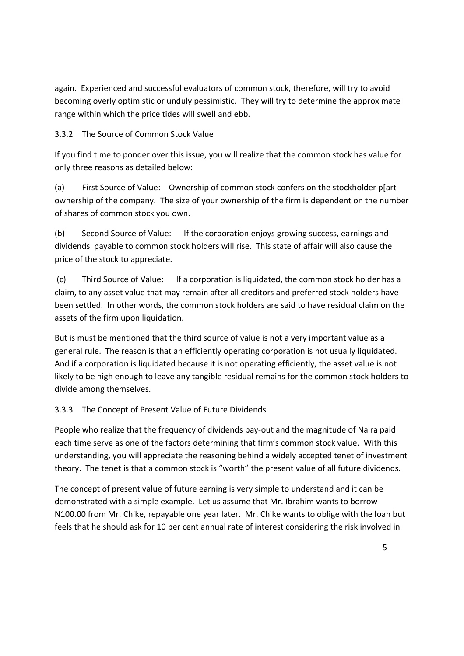again. Experienced and successful evaluators of common stock, therefore, will try to avoid becoming overly optimistic or unduly pessimistic. They will try to determine the approximate range within which the price tides will swell and ebb.

# 3.3.2 The Source of Common Stock Value

If you find time to ponder over this issue, you will realize that the common stock has value for only three reasons as detailed below:

(a) First Source of Value: Ownership of common stock confers on the stockholder p[art ownership of the company. The size of your ownership of the firm is dependent on the number of shares of common stock you own.

(b) Second Source of Value: If the corporation enjoys growing success, earnings and dividends payable to common stock holders will rise. This state of affair will also cause the price of the stock to appreciate.

 (c) Third Source of Value: If a corporation is liquidated, the common stock holder has a claim, to any asset value that may remain after all creditors and preferred stock holders have been settled. In other words, the common stock holders are said to have residual claim on the assets of the firm upon liquidation.

But is must be mentioned that the third source of value is not a very important value as a general rule. The reason is that an efficiently operating corporation is not usually liquidated. And if a corporation is liquidated because it is not operating efficiently, the asset value is not likely to be high enough to leave any tangible residual remains for the common stock holders to divide among themselves.

# 3.3.3 The Concept of Present Value of Future Dividends

People who realize that the frequency of dividends pay-out and the magnitude of Naira paid each time serve as one of the factors determining that firm's common stock value. With this understanding, you will appreciate the reasoning behind a widely accepted tenet of investment theory. The tenet is that a common stock is "worth" the present value of all future dividends.

The concept of present value of future earning is very simple to understand and it can be demonstrated with a simple example. Let us assume that Mr. Ibrahim wants to borrow N100.00 from Mr. Chike, repayable one year later. Mr. Chike wants to oblige with the loan but feels that he should ask for 10 per cent annual rate of interest considering the risk involved in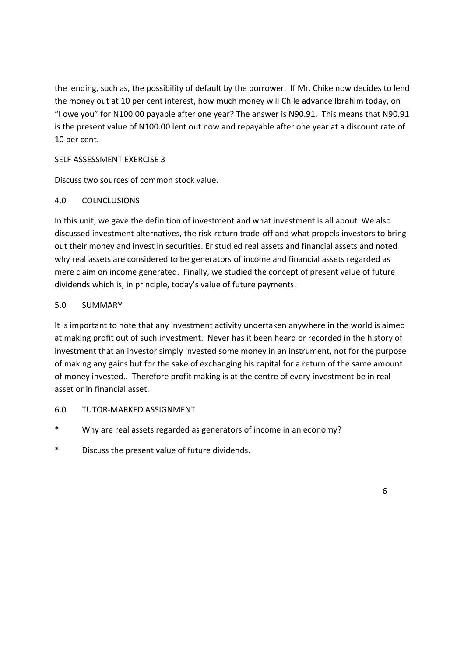the lending, such as, the possibility of default by the borrower. If Mr. Chike now decides to lend the money out at 10 per cent interest, how much money will Chile advance Ibrahim today, on "I owe you" for N100.00 payable after one year? The answer is N90.91. This means that N90.91 is the present value of N100.00 lent out now and repayable after one year at a discount rate of 10 per cent.

# SELF ASSESSMENT EXERCISE 3

Discuss two sources of common stock value.

# 4.0 COLNCLUSIONS

In this unit, we gave the definition of investment and what investment is all about We also discussed investment alternatives, the risk-return trade-off and what propels investors to bring out their money and invest in securities. Er studied real assets and financial assets and noted why real assets are considered to be generators of income and financial assets regarded as mere claim on income generated. Finally, we studied the concept of present value of future dividends which is, in principle, today's value of future payments.

# 5.0 SUMMARY

It is important to note that any investment activity undertaken anywhere in the world is aimed at making profit out of such investment. Never has it been heard or recorded in the history of investment that an investor simply invested some money in an instrument, not for the purpose of making any gains but for the sake of exchanging his capital for a return of the same amount of money invested.. Therefore profit making is at the centre of every investment be in real asset or in financial asset.

## 6.0 TUTOR-MARKED ASSIGNMENT

- \* Why are real assets regarded as generators of income in an economy?
- Discuss the present value of future dividends.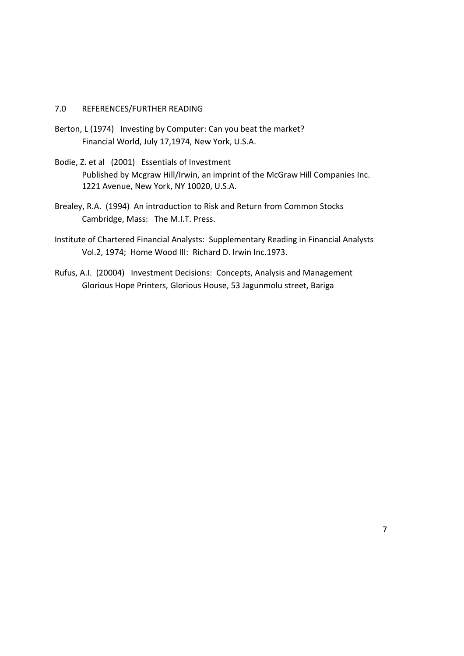## 7.0 REFERENCES/FURTHER READING

- Berton, L (1974) Investing by Computer: Can you beat the market? Financial World, July 17,1974, New York, U.S.A.
- Bodie, Z. et al (2001) Essentials of Investment Published by Mcgraw Hill/Irwin, an imprint of the McGraw Hill Companies Inc. 1221 Avenue, New York, NY 10020, U.S.A.
- Brealey, R.A. (1994) An introduction to Risk and Return from Common Stocks Cambridge, Mass: The M.I.T. Press.
- Institute of Chartered Financial Analysts: Supplementary Reading in Financial Analysts Vol.2, 1974; Home Wood III: Richard D. Irwin Inc.1973.
- Rufus, A.I. (20004) Investment Decisions: Concepts, Analysis and Management Glorious Hope Printers, Glorious House, 53 Jagunmolu street, Bariga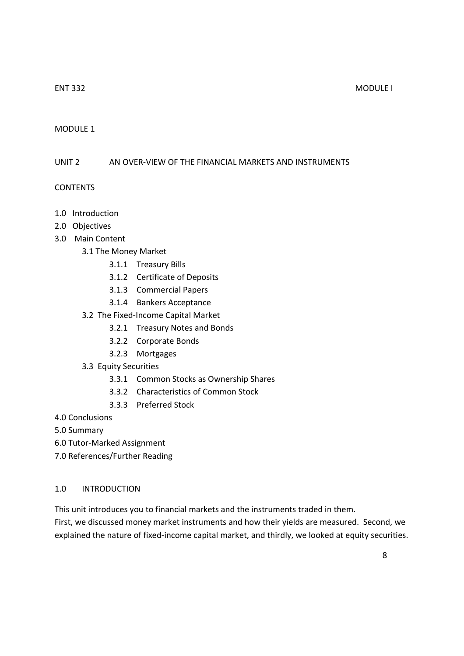## MODULE 1

## UNIT 2 AN OVER-VIEW OF THE FINANCIAL MARKETS AND INSTRUMENTS

## CONTENTS

- 1.0 Introduction
- 2.0 Objectives
- 3.0 Main Content
	- 3.1 The Money Market
		- 3.1.1 Treasury Bills
		- 3.1.2 Certificate of Deposits
		- 3.1.3 Commercial Papers
		- 3.1.4 Bankers Acceptance
	- 3.2 The Fixed-Income Capital Market
		- 3.2.1 Treasury Notes and Bonds
		- 3.2.2 Corporate Bonds
		- 3.2.3 Mortgages
	- 3.3 Equity Securities
		- 3.3.1 Common Stocks as Ownership Shares
		- 3.3.2 Characteristics of Common Stock
		- 3.3.3 Preferred Stock
- 4.0 Conclusions

5.0 Summary

6.0 Tutor-Marked Assignment

7.0 References/Further Reading

## 1.0 INTRODUCTION

This unit introduces you to financial markets and the instruments traded in them.

First, we discussed money market instruments and how their yields are measured. Second, we explained the nature of fixed-income capital market, and thirdly, we looked at equity securities.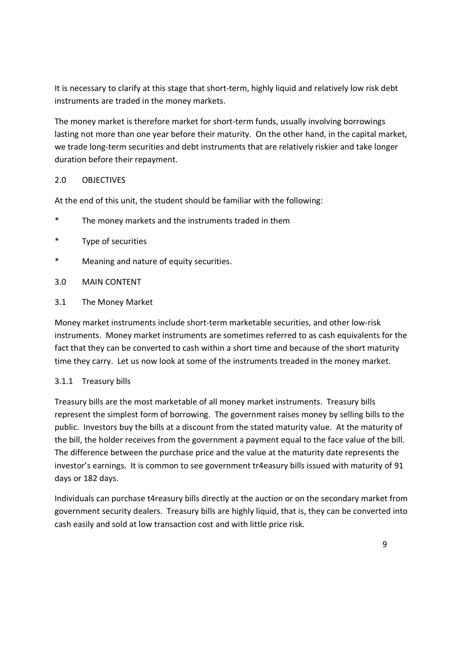It is necessary to clarify at this stage that short-term, highly liquid and relatively low risk debt instruments are traded in the money markets.

The money market is therefore market for short-term funds, usually involving borrowings lasting not more than one year before their maturity. On the other hand, in the capital market, we trade long-term securities and debt instruments that are relatively riskier and take longer duration before their repayment.

# 2.0 OBJECTIVES

At the end of this unit, the student should be familiar with the following:

- \* The money markets and the instruments traded in them
- Type of securities
- \* Meaning and nature of equity securities.
- 3.0 MAIN CONTENT
- 3.1 The Money Market

Money market instruments include short-term marketable securities, and other low-risk instruments. Money market instruments are sometimes referred to as cash equivalents for the fact that they can be converted to cash within a short time and because of the short maturity time they carry. Let us now look at some of the instruments treaded in the money market.

# 3.1.1 Treasury bills

Treasury bills are the most marketable of all money market instruments. Treasury bills represent the simplest form of borrowing. The government raises money by selling bills to the public. Investors buy the bills at a discount from the stated maturity value. At the maturity of the bill, the holder receives from the government a payment equal to the face value of the bill. The difference between the purchase price and the value at the maturity date represents the investor's earnings. It is common to see government tr4easury bills issued with maturity of 91 days or 182 days.

Individuals can purchase t4reasury bills directly at the auction or on the secondary market from government security dealers. Treasury bills are highly liquid, that is, they can be converted into cash easily and sold at low transaction cost and with little price risk.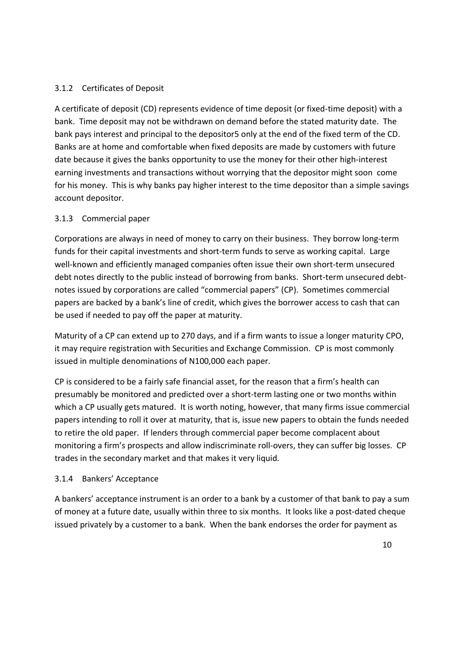# 3.1.2 Certificates of Deposit

A certificate of deposit (CD) represents evidence of time deposit (or fixed-time deposit) with a bank. Time deposit may not be withdrawn on demand before the stated maturity date. The bank pays interest and principal to the depositor5 only at the end of the fixed term of the CD. Banks are at home and comfortable when fixed deposits are made by customers with future date because it gives the banks opportunity to use the money for their other high-interest earning investments and transactions without worrying that the depositor might soon come for his money. This is why banks pay higher interest to the time depositor than a simple savings account depositor.

# 3.1.3 Commercial paper

Corporations are always in need of money to carry on their business. They borrow long-term funds for their capital investments and short-term funds to serve as working capital. Large well-known and efficiently managed companies often issue their own short-term unsecured debt notes directly to the public instead of borrowing from banks. Short-term unsecured debtnotes issued by corporations are called "commercial papers" (CP). Sometimes commercial papers are backed by a bank's line of credit, which gives the borrower access to cash that can be used if needed to pay off the paper at maturity.

Maturity of a CP can extend up to 270 days, and if a firm wants to issue a longer maturity CPO, it may require registration with Securities and Exchange Commission. CP is most commonly issued in multiple denominations of N100,000 each paper.

CP is considered to be a fairly safe financial asset, for the reason that a firm's health can presumably be monitored and predicted over a short-term lasting one or two months within which a CP usually gets matured. It is worth noting, however, that many firms issue commercial papers intending to roll it over at maturity, that is, issue new papers to obtain the funds needed to retire the old paper. If lenders through commercial paper become complacent about monitoring a firm's prospects and allow indiscriminate roll-overs, they can suffer big losses. CP trades in the secondary market and that makes it very liquid.

## 3.1.4 Bankers' Acceptance

A bankers' acceptance instrument is an order to a bank by a customer of that bank to pay a sum of money at a future date, usually within three to six months. It looks like a post-dated cheque issued privately by a customer to a bank. When the bank endorses the order for payment as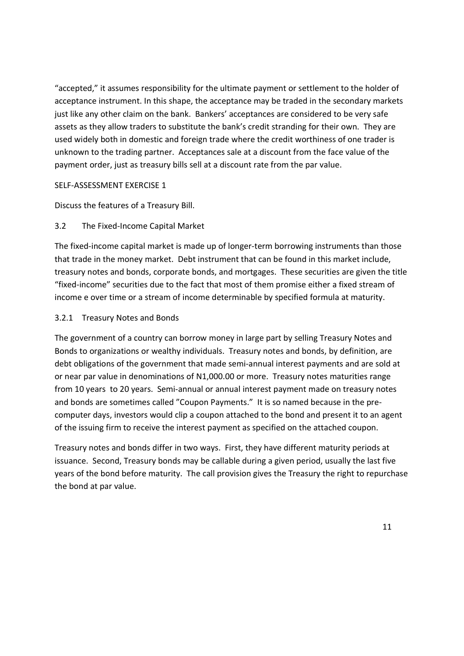"accepted," it assumes responsibility for the ultimate payment or settlement to the holder of acceptance instrument. In this shape, the acceptance may be traded in the secondary markets just like any other claim on the bank. Bankers' acceptances are considered to be very safe assets as they allow traders to substitute the bank's credit stranding for their own. They are used widely both in domestic and foreign trade where the credit worthiness of one trader is unknown to the trading partner. Acceptances sale at a discount from the face value of the payment order, just as treasury bills sell at a discount rate from the par value.

## SELF-ASSESSMENT EXERCISE 1

Discuss the features of a Treasury Bill.

# 3.2 The Fixed-Income Capital Market

The fixed-income capital market is made up of longer-term borrowing instruments than those that trade in the money market. Debt instrument that can be found in this market include, treasury notes and bonds, corporate bonds, and mortgages. These securities are given the title "fixed-income" securities due to the fact that most of them promise either a fixed stream of income e over time or a stream of income determinable by specified formula at maturity.

# 3.2.1 Treasury Notes and Bonds

The government of a country can borrow money in large part by selling Treasury Notes and Bonds to organizations or wealthy individuals. Treasury notes and bonds, by definition, are debt obligations of the government that made semi-annual interest payments and are sold at or near par value in denominations of N1,000.00 or more. Treasury notes maturities range from 10 years to 20 years. Semi-annual or annual interest payment made on treasury notes and bonds are sometimes called "Coupon Payments." It is so named because in the precomputer days, investors would clip a coupon attached to the bond and present it to an agent of the issuing firm to receive the interest payment as specified on the attached coupon.

Treasury notes and bonds differ in two ways. First, they have different maturity periods at issuance. Second, Treasury bonds may be callable during a given period, usually the last five years of the bond before maturity. The call provision gives the Treasury the right to repurchase the bond at par value.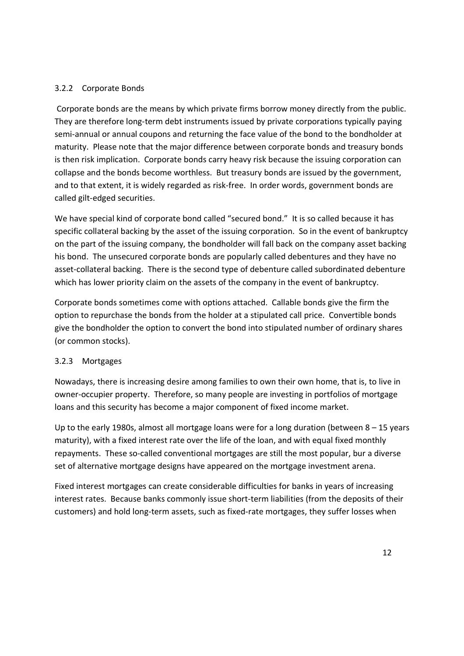# 3.2.2 Corporate Bonds

 Corporate bonds are the means by which private firms borrow money directly from the public. They are therefore long-term debt instruments issued by private corporations typically paying semi-annual or annual coupons and returning the face value of the bond to the bondholder at maturity. Please note that the major difference between corporate bonds and treasury bonds is then risk implication. Corporate bonds carry heavy risk because the issuing corporation can collapse and the bonds become worthless. But treasury bonds are issued by the government, and to that extent, it is widely regarded as risk-free. In order words, government bonds are called gilt-edged securities.

We have special kind of corporate bond called "secured bond." It is so called because it has specific collateral backing by the asset of the issuing corporation. So in the event of bankruptcy on the part of the issuing company, the bondholder will fall back on the company asset backing his bond. The unsecured corporate bonds are popularly called debentures and they have no asset-collateral backing. There is the second type of debenture called subordinated debenture which has lower priority claim on the assets of the company in the event of bankruptcy.

Corporate bonds sometimes come with options attached. Callable bonds give the firm the option to repurchase the bonds from the holder at a stipulated call price. Convertible bonds give the bondholder the option to convert the bond into stipulated number of ordinary shares (or common stocks).

## 3.2.3 Mortgages

Nowadays, there is increasing desire among families to own their own home, that is, to live in owner-occupier property. Therefore, so many people are investing in portfolios of mortgage loans and this security has become a major component of fixed income market.

Up to the early 1980s, almost all mortgage loans were for a long duration (between 8 – 15 years maturity), with a fixed interest rate over the life of the loan, and with equal fixed monthly repayments. These so-called conventional mortgages are still the most popular, bur a diverse set of alternative mortgage designs have appeared on the mortgage investment arena.

Fixed interest mortgages can create considerable difficulties for banks in years of increasing interest rates. Because banks commonly issue short-term liabilities (from the deposits of their customers) and hold long-term assets, such as fixed-rate mortgages, they suffer losses when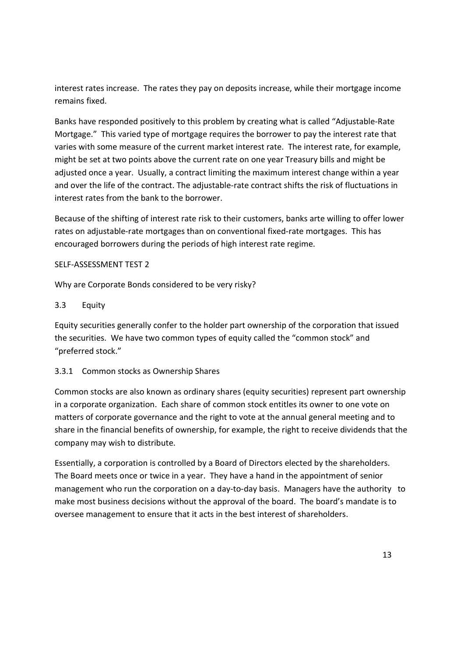interest rates increase. The rates they pay on deposits increase, while their mortgage income remains fixed.

Banks have responded positively to this problem by creating what is called "Adjustable-Rate Mortgage." This varied type of mortgage requires the borrower to pay the interest rate that varies with some measure of the current market interest rate. The interest rate, for example, might be set at two points above the current rate on one year Treasury bills and might be adjusted once a year. Usually, a contract limiting the maximum interest change within a year and over the life of the contract. The adjustable-rate contract shifts the risk of fluctuations in interest rates from the bank to the borrower.

Because of the shifting of interest rate risk to their customers, banks arte willing to offer lower rates on adjustable-rate mortgages than on conventional fixed-rate mortgages. This has encouraged borrowers during the periods of high interest rate regime.

# SELF-ASSESSMENT TEST 2

Why are Corporate Bonds considered to be very risky?

# 3.3 Equity

Equity securities generally confer to the holder part ownership of the corporation that issued the securities. We have two common types of equity called the "common stock" and "preferred stock."

# 3.3.1 Common stocks as Ownership Shares

Common stocks are also known as ordinary shares (equity securities) represent part ownership in a corporate organization. Each share of common stock entitles its owner to one vote on matters of corporate governance and the right to vote at the annual general meeting and to share in the financial benefits of ownership, for example, the right to receive dividends that the company may wish to distribute.

Essentially, a corporation is controlled by a Board of Directors elected by the shareholders. The Board meets once or twice in a year. They have a hand in the appointment of senior management who run the corporation on a day-to-day basis. Managers have the authority to make most business decisions without the approval of the board. The board's mandate is to oversee management to ensure that it acts in the best interest of shareholders.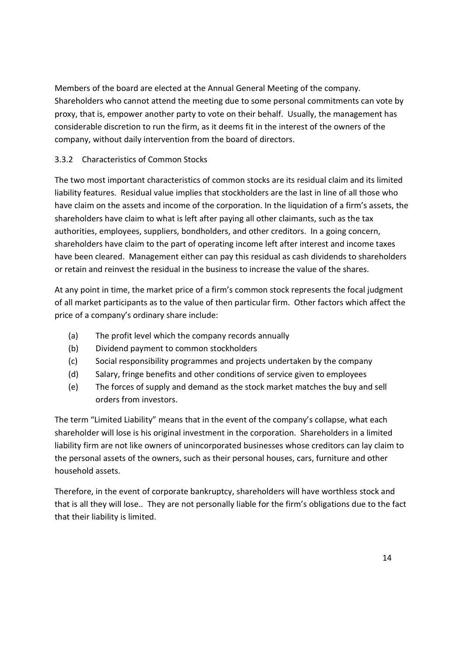Members of the board are elected at the Annual General Meeting of the company. Shareholders who cannot attend the meeting due to some personal commitments can vote by proxy, that is, empower another party to vote on their behalf. Usually, the management has considerable discretion to run the firm, as it deems fit in the interest of the owners of the company, without daily intervention from the board of directors.

# 3.3.2 Characteristics of Common Stocks

The two most important characteristics of common stocks are its residual claim and its limited liability features. Residual value implies that stockholders are the last in line of all those who have claim on the assets and income of the corporation. In the liquidation of a firm's assets, the shareholders have claim to what is left after paying all other claimants, such as the tax authorities, employees, suppliers, bondholders, and other creditors. In a going concern, shareholders have claim to the part of operating income left after interest and income taxes have been cleared. Management either can pay this residual as cash dividends to shareholders or retain and reinvest the residual in the business to increase the value of the shares.

At any point in time, the market price of a firm's common stock represents the focal judgment of all market participants as to the value of then particular firm. Other factors which affect the price of a company's ordinary share include:

- (a) The profit level which the company records annually
- (b) Dividend payment to common stockholders
- (c) Social responsibility programmes and projects undertaken by the company
- (d) Salary, fringe benefits and other conditions of service given to employees
- (e) The forces of supply and demand as the stock market matches the buy and sell orders from investors.

The term "Limited Liability" means that in the event of the company's collapse, what each shareholder will lose is his original investment in the corporation. Shareholders in a limited liability firm are not like owners of unincorporated businesses whose creditors can lay claim to the personal assets of the owners, such as their personal houses, cars, furniture and other household assets.

Therefore, in the event of corporate bankruptcy, shareholders will have worthless stock and that is all they will lose.. They are not personally liable for the firm's obligations due to the fact that their liability is limited.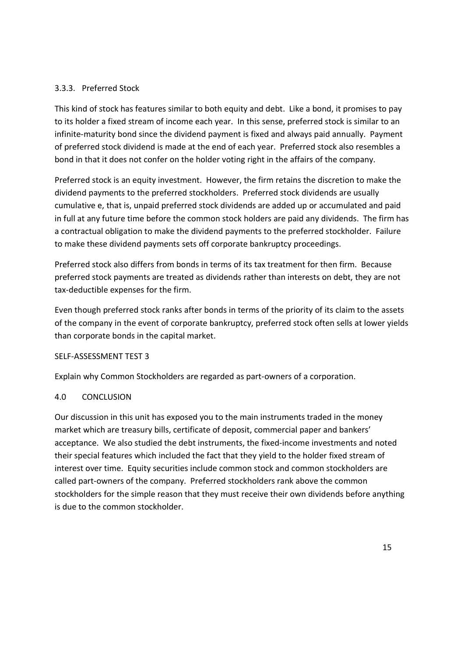# 3.3.3. Preferred Stock

This kind of stock has features similar to both equity and debt. Like a bond, it promises to pay to its holder a fixed stream of income each year. In this sense, preferred stock is similar to an infinite-maturity bond since the dividend payment is fixed and always paid annually. Payment of preferred stock dividend is made at the end of each year. Preferred stock also resembles a bond in that it does not confer on the holder voting right in the affairs of the company.

Preferred stock is an equity investment. However, the firm retains the discretion to make the dividend payments to the preferred stockholders. Preferred stock dividends are usually cumulative e, that is, unpaid preferred stock dividends are added up or accumulated and paid in full at any future time before the common stock holders are paid any dividends. The firm has a contractual obligation to make the dividend payments to the preferred stockholder. Failure to make these dividend payments sets off corporate bankruptcy proceedings.

Preferred stock also differs from bonds in terms of its tax treatment for then firm. Because preferred stock payments are treated as dividends rather than interests on debt, they are not tax-deductible expenses for the firm.

Even though preferred stock ranks after bonds in terms of the priority of its claim to the assets of the company in the event of corporate bankruptcy, preferred stock often sells at lower yields than corporate bonds in the capital market.

## SELF-ASSESSMENT TEST 3

Explain why Common Stockholders are regarded as part-owners of a corporation.

## 4.0 CONCLUSION

Our discussion in this unit has exposed you to the main instruments traded in the money market which are treasury bills, certificate of deposit, commercial paper and bankers' acceptance. We also studied the debt instruments, the fixed-income investments and noted their special features which included the fact that they yield to the holder fixed stream of interest over time. Equity securities include common stock and common stockholders are called part-owners of the company. Preferred stockholders rank above the common stockholders for the simple reason that they must receive their own dividends before anything is due to the common stockholder.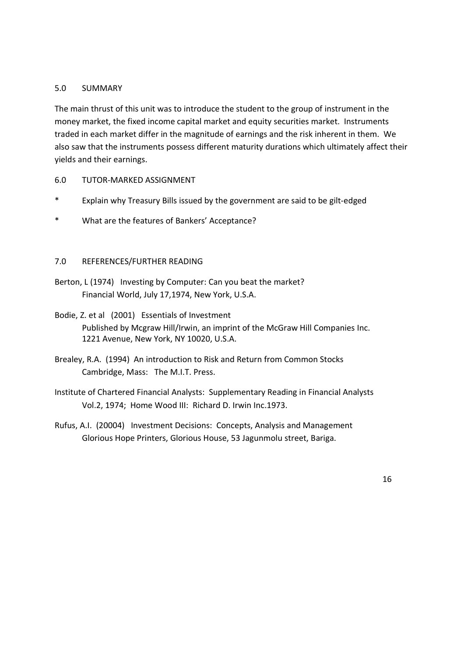## 5.0 SUMMARY

The main thrust of this unit was to introduce the student to the group of instrument in the money market, the fixed income capital market and equity securities market. Instruments traded in each market differ in the magnitude of earnings and the risk inherent in them. We also saw that the instruments possess different maturity durations which ultimately affect their yields and their earnings.

## 6.0 TUTOR-MARKED ASSIGNMENT

- \* Explain why Treasury Bills issued by the government are said to be gilt-edged
- \* What are the features of Bankers' Acceptance?

## 7.0 REFERENCES/FURTHER READING

- Berton, L (1974) Investing by Computer: Can you beat the market? Financial World, July 17,1974, New York, U.S.A.
- Bodie, Z. et al (2001) Essentials of Investment Published by Mcgraw Hill/Irwin, an imprint of the McGraw Hill Companies Inc. 1221 Avenue, New York, NY 10020, U.S.A.
- Brealey, R.A. (1994) An introduction to Risk and Return from Common Stocks Cambridge, Mass: The M.I.T. Press.
- Institute of Chartered Financial Analysts: Supplementary Reading in Financial Analysts Vol.2, 1974; Home Wood III: Richard D. Irwin Inc.1973.
- Rufus, A.I. (20004) Investment Decisions: Concepts, Analysis and Management Glorious Hope Printers, Glorious House, 53 Jagunmolu street, Bariga.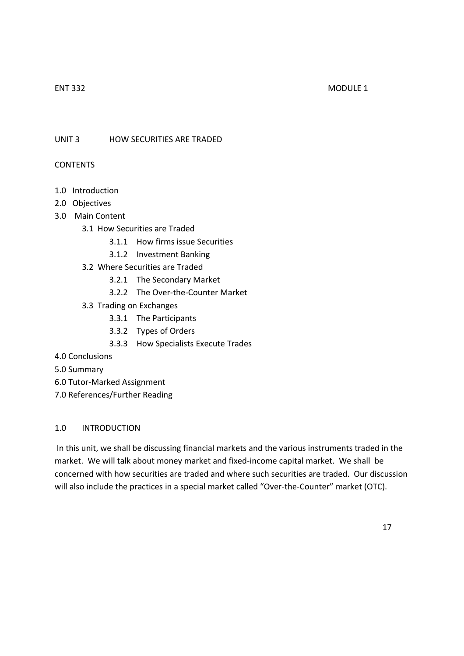## ENT 332 MODULE 1

UNIT 3 HOW SECURITIES ARE TRADED

## CONTENTS

- 1.0 Introduction
- 2.0 Objectives
- 3.0 Main Content
	- 3.1 How Securities are Traded
		- 3.1.1 How firms issue Securities
		- 3.1.2 Investment Banking
	- 3.2 Where Securities are Traded
		- 3.2.1 The Secondary Market
		- 3.2.2 The Over-the-Counter Market
	- 3.3 Trading on Exchanges
		- 3.3.1 The Participants
		- 3.3.2 Types of Orders
		- 3.3.3 How Specialists Execute Trades
- 4.0 Conclusions
- 5.0 Summary
- 6.0 Tutor-Marked Assignment
- 7.0 References/Further Reading

## 1.0 INTRODUCTION

 In this unit, we shall be discussing financial markets and the various instruments traded in the market. We will talk about money market and fixed-income capital market. We shall be concerned with how securities are traded and where such securities are traded. Our discussion will also include the practices in a special market called "Over-the-Counter" market (OTC).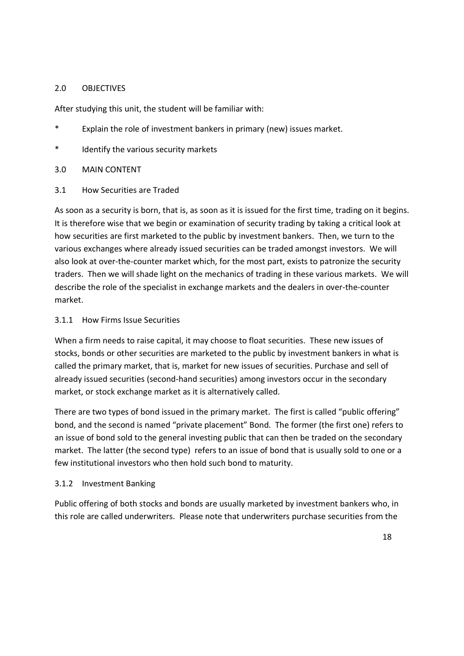## 2.0 OBJECTIVES

After studying this unit, the student will be familiar with:

- \* Explain the role of investment bankers in primary (new) issues market.
- \* Identify the various security markets
- 3.0 MAIN CONTENT
- 3.1 How Securities are Traded

As soon as a security is born, that is, as soon as it is issued for the first time, trading on it begins. It is therefore wise that we begin or examination of security trading by taking a critical look at how securities are first marketed to the public by investment bankers. Then, we turn to the various exchanges where already issued securities can be traded amongst investors. We will also look at over-the-counter market which, for the most part, exists to patronize the security traders. Then we will shade light on the mechanics of trading in these various markets. We will describe the role of the specialist in exchange markets and the dealers in over-the-counter market.

## 3.1.1 How Firms Issue Securities

When a firm needs to raise capital, it may choose to float securities. These new issues of stocks, bonds or other securities are marketed to the public by investment bankers in what is called the primary market, that is, market for new issues of securities. Purchase and sell of already issued securities (second-hand securities) among investors occur in the secondary market, or stock exchange market as it is alternatively called.

There are two types of bond issued in the primary market. The first is called "public offering" bond, and the second is named "private placement" Bond. The former (the first one) refers to an issue of bond sold to the general investing public that can then be traded on the secondary market. The latter (the second type) refers to an issue of bond that is usually sold to one or a few institutional investors who then hold such bond to maturity.

## 3.1.2 Investment Banking

Public offering of both stocks and bonds are usually marketed by investment bankers who, in this role are called underwriters. Please note that underwriters purchase securities from the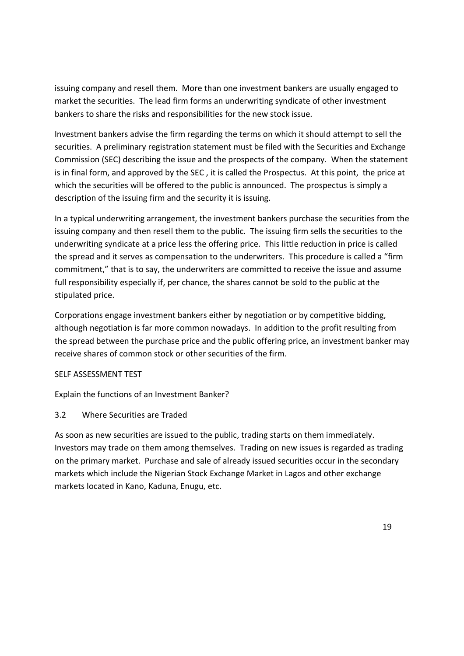issuing company and resell them. More than one investment bankers are usually engaged to market the securities. The lead firm forms an underwriting syndicate of other investment bankers to share the risks and responsibilities for the new stock issue.

Investment bankers advise the firm regarding the terms on which it should attempt to sell the securities. A preliminary registration statement must be filed with the Securities and Exchange Commission (SEC) describing the issue and the prospects of the company. When the statement is in final form, and approved by the SEC , it is called the Prospectus. At this point, the price at which the securities will be offered to the public is announced. The prospectus is simply a description of the issuing firm and the security it is issuing.

In a typical underwriting arrangement, the investment bankers purchase the securities from the issuing company and then resell them to the public. The issuing firm sells the securities to the underwriting syndicate at a price less the offering price. This little reduction in price is called the spread and it serves as compensation to the underwriters. This procedure is called a "firm commitment," that is to say, the underwriters are committed to receive the issue and assume full responsibility especially if, per chance, the shares cannot be sold to the public at the stipulated price.

Corporations engage investment bankers either by negotiation or by competitive bidding, although negotiation is far more common nowadays. In addition to the profit resulting from the spread between the purchase price and the public offering price, an investment banker may receive shares of common stock or other securities of the firm.

## SELF ASSESSMENT TEST

Explain the functions of an Investment Banker?

# 3.2 Where Securities are Traded

As soon as new securities are issued to the public, trading starts on them immediately. Investors may trade on them among themselves. Trading on new issues is regarded as trading on the primary market. Purchase and sale of already issued securities occur in the secondary markets which include the Nigerian Stock Exchange Market in Lagos and other exchange markets located in Kano, Kaduna, Enugu, etc.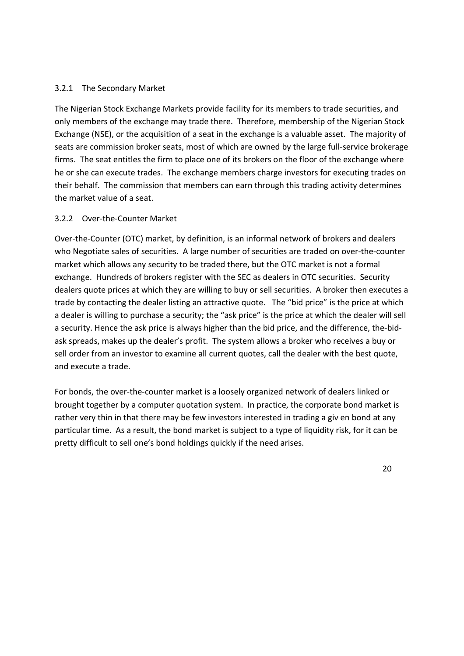## 3.2.1 The Secondary Market

The Nigerian Stock Exchange Markets provide facility for its members to trade securities, and only members of the exchange may trade there. Therefore, membership of the Nigerian Stock Exchange (NSE), or the acquisition of a seat in the exchange is a valuable asset. The majority of seats are commission broker seats, most of which are owned by the large full-service brokerage firms. The seat entitles the firm to place one of its brokers on the floor of the exchange where he or she can execute trades. The exchange members charge investors for executing trades on their behalf. The commission that members can earn through this trading activity determines the market value of a seat.

# 3.2.2 Over-the-Counter Market

Over-the-Counter (OTC) market, by definition, is an informal network of brokers and dealers who Negotiate sales of securities. A large number of securities are traded on over-the-counter market which allows any security to be traded there, but the OTC market is not a formal exchange. Hundreds of brokers register with the SEC as dealers in OTC securities. Security dealers quote prices at which they are willing to buy or sell securities. A broker then executes a trade by contacting the dealer listing an attractive quote. The "bid price" is the price at which a dealer is willing to purchase a security; the "ask price" is the price at which the dealer will sell a security. Hence the ask price is always higher than the bid price, and the difference, the-bidask spreads, makes up the dealer's profit. The system allows a broker who receives a buy or sell order from an investor to examine all current quotes, call the dealer with the best quote, and execute a trade.

For bonds, the over-the-counter market is a loosely organized network of dealers linked or brought together by a computer quotation system. In practice, the corporate bond market is rather very thin in that there may be few investors interested in trading a giv en bond at any particular time. As a result, the bond market is subject to a type of liquidity risk, for it can be pretty difficult to sell one's bond holdings quickly if the need arises.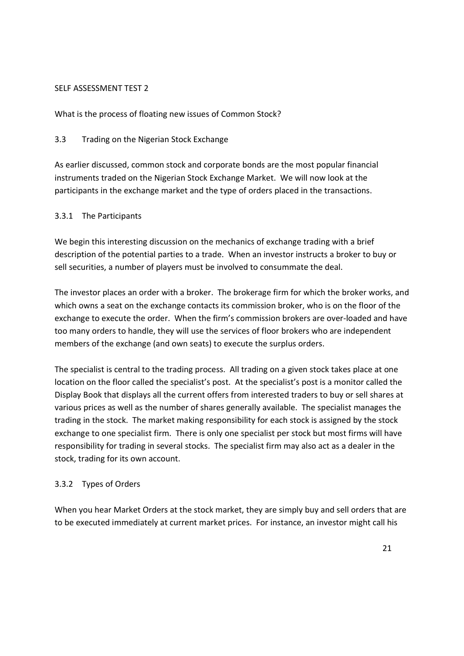## SELF ASSESSMENT TEST 2

What is the process of floating new issues of Common Stock?

# 3.3 Trading on the Nigerian Stock Exchange

As earlier discussed, common stock and corporate bonds are the most popular financial instruments traded on the Nigerian Stock Exchange Market. We will now look at the participants in the exchange market and the type of orders placed in the transactions.

# 3.3.1 The Participants

We begin this interesting discussion on the mechanics of exchange trading with a brief description of the potential parties to a trade. When an investor instructs a broker to buy or sell securities, a number of players must be involved to consummate the deal.

The investor places an order with a broker. The brokerage firm for which the broker works, and which owns a seat on the exchange contacts its commission broker, who is on the floor of the exchange to execute the order. When the firm's commission brokers are over-loaded and have too many orders to handle, they will use the services of floor brokers who are independent members of the exchange (and own seats) to execute the surplus orders.

The specialist is central to the trading process. All trading on a given stock takes place at one location on the floor called the specialist's post. At the specialist's post is a monitor called the Display Book that displays all the current offers from interested traders to buy or sell shares at various prices as well as the number of shares generally available. The specialist manages the trading in the stock. The market making responsibility for each stock is assigned by the stock exchange to one specialist firm. There is only one specialist per stock but most firms will have responsibility for trading in several stocks. The specialist firm may also act as a dealer in the stock, trading for its own account.

# 3.3.2 Types of Orders

When you hear Market Orders at the stock market, they are simply buy and sell orders that are to be executed immediately at current market prices. For instance, an investor might call his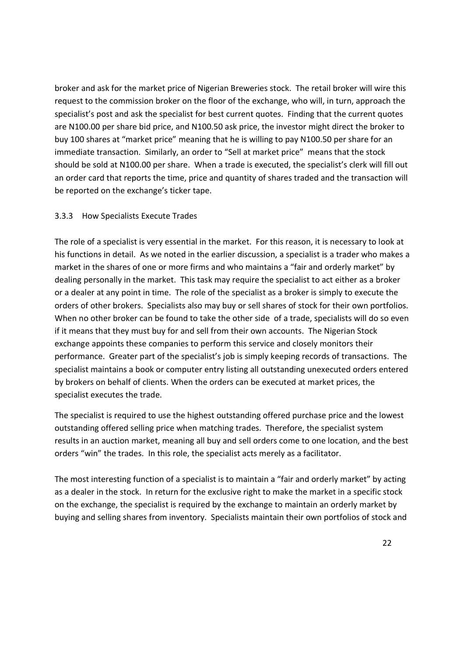broker and ask for the market price of Nigerian Breweries stock. The retail broker will wire this request to the commission broker on the floor of the exchange, who will, in turn, approach the specialist's post and ask the specialist for best current quotes. Finding that the current quotes are N100.00 per share bid price, and N100.50 ask price, the investor might direct the broker to buy 100 shares at "market price" meaning that he is willing to pay N100.50 per share for an immediate transaction. Similarly, an order to "Sell at market price" means that the stock should be sold at N100.00 per share. When a trade is executed, the specialist's clerk will fill out an order card that reports the time, price and quantity of shares traded and the transaction will be reported on the exchange's ticker tape.

## 3.3.3 How Specialists Execute Trades

The role of a specialist is very essential in the market. For this reason, it is necessary to look at his functions in detail. As we noted in the earlier discussion, a specialist is a trader who makes a market in the shares of one or more firms and who maintains a "fair and orderly market" by dealing personally in the market. This task may require the specialist to act either as a broker or a dealer at any point in time. The role of the specialist as a broker is simply to execute the orders of other brokers. Specialists also may buy or sell shares of stock for their own portfolios. When no other broker can be found to take the other side of a trade, specialists will do so even if it means that they must buy for and sell from their own accounts. The Nigerian Stock exchange appoints these companies to perform this service and closely monitors their performance. Greater part of the specialist's job is simply keeping records of transactions. The specialist maintains a book or computer entry listing all outstanding unexecuted orders entered by brokers on behalf of clients. When the orders can be executed at market prices, the specialist executes the trade.

The specialist is required to use the highest outstanding offered purchase price and the lowest outstanding offered selling price when matching trades. Therefore, the specialist system results in an auction market, meaning all buy and sell orders come to one location, and the best orders "win" the trades. In this role, the specialist acts merely as a facilitator.

The most interesting function of a specialist is to maintain a "fair and orderly market" by acting as a dealer in the stock. In return for the exclusive right to make the market in a specific stock on the exchange, the specialist is required by the exchange to maintain an orderly market by buying and selling shares from inventory. Specialists maintain their own portfolios of stock and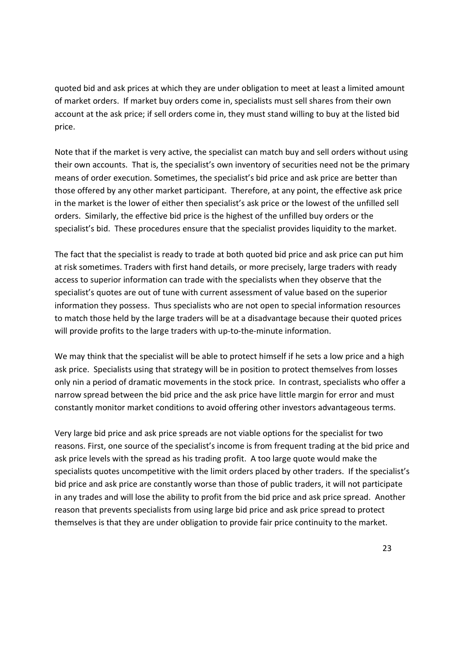quoted bid and ask prices at which they are under obligation to meet at least a limited amount of market orders. If market buy orders come in, specialists must sell shares from their own account at the ask price; if sell orders come in, they must stand willing to buy at the listed bid price.

Note that if the market is very active, the specialist can match buy and sell orders without using their own accounts. That is, the specialist's own inventory of securities need not be the primary means of order execution. Sometimes, the specialist's bid price and ask price are better than those offered by any other market participant. Therefore, at any point, the effective ask price in the market is the lower of either then specialist's ask price or the lowest of the unfilled sell orders. Similarly, the effective bid price is the highest of the unfilled buy orders or the specialist's bid. These procedures ensure that the specialist provides liquidity to the market.

The fact that the specialist is ready to trade at both quoted bid price and ask price can put him at risk sometimes. Traders with first hand details, or more precisely, large traders with ready access to superior information can trade with the specialists when they observe that the specialist's quotes are out of tune with current assessment of value based on the superior information they possess. Thus specialists who are not open to special information resources to match those held by the large traders will be at a disadvantage because their quoted prices will provide profits to the large traders with up-to-the-minute information.

We may think that the specialist will be able to protect himself if he sets a low price and a high ask price. Specialists using that strategy will be in position to protect themselves from losses only nin a period of dramatic movements in the stock price. In contrast, specialists who offer a narrow spread between the bid price and the ask price have little margin for error and must constantly monitor market conditions to avoid offering other investors advantageous terms.

Very large bid price and ask price spreads are not viable options for the specialist for two reasons. First, one source of the specialist's income is from frequent trading at the bid price and ask price levels with the spread as his trading profit. A too large quote would make the specialists quotes uncompetitive with the limit orders placed by other traders. If the specialist's bid price and ask price are constantly worse than those of public traders, it will not participate in any trades and will lose the ability to profit from the bid price and ask price spread. Another reason that prevents specialists from using large bid price and ask price spread to protect themselves is that they are under obligation to provide fair price continuity to the market.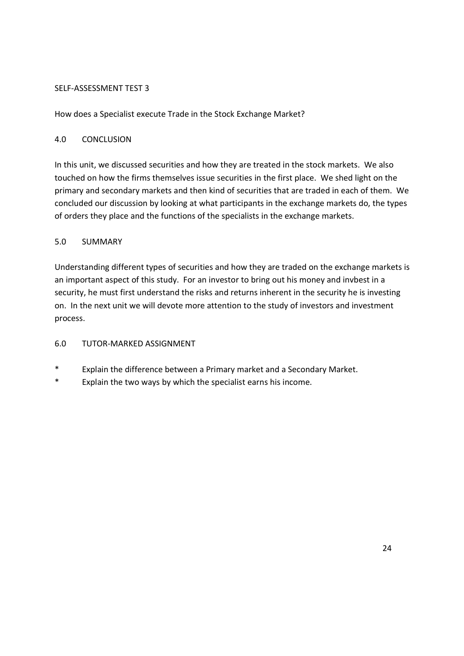# SELF-ASSESSMENT TEST 3

How does a Specialist execute Trade in the Stock Exchange Market?

# 4.0 CONCLUSION

In this unit, we discussed securities and how they are treated in the stock markets. We also touched on how the firms themselves issue securities in the first place. We shed light on the primary and secondary markets and then kind of securities that are traded in each of them. We concluded our discussion by looking at what participants in the exchange markets do, the types of orders they place and the functions of the specialists in the exchange markets.

# 5.0 SUMMARY

Understanding different types of securities and how they are traded on the exchange markets is an important aspect of this study. For an investor to bring out his money and invbest in a security, he must first understand the risks and returns inherent in the security he is investing on. In the next unit we will devote more attention to the study of investors and investment process.

# 6.0 TUTOR-MARKED ASSIGNMENT

- Explain the difference between a Primary market and a Secondary Market.
- \* Explain the two ways by which the specialist earns his income.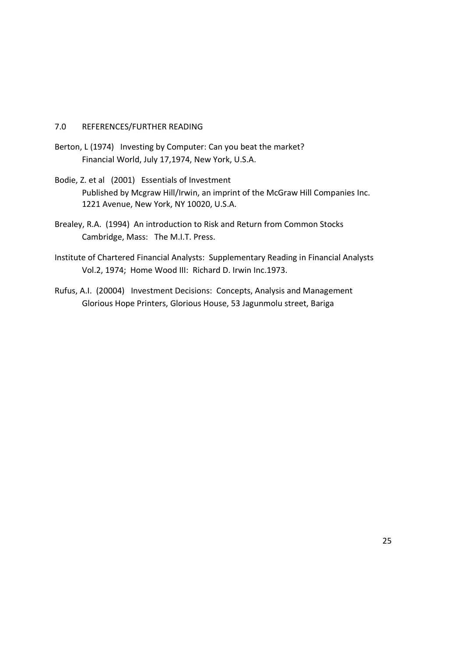## 7.0 REFERENCES/FURTHER READING

- Berton, L (1974) Investing by Computer: Can you beat the market? Financial World, July 17,1974, New York, U.S.A.
- Bodie, Z. et al (2001) Essentials of Investment Published by Mcgraw Hill/Irwin, an imprint of the McGraw Hill Companies Inc. 1221 Avenue, New York, NY 10020, U.S.A.
- Brealey, R.A. (1994) An introduction to Risk and Return from Common Stocks Cambridge, Mass: The M.I.T. Press.
- Institute of Chartered Financial Analysts: Supplementary Reading in Financial Analysts Vol.2, 1974; Home Wood III: Richard D. Irwin Inc.1973.
- Rufus, A.I. (20004) Investment Decisions: Concepts, Analysis and Management Glorious Hope Printers, Glorious House, 53 Jagunmolu street, Bariga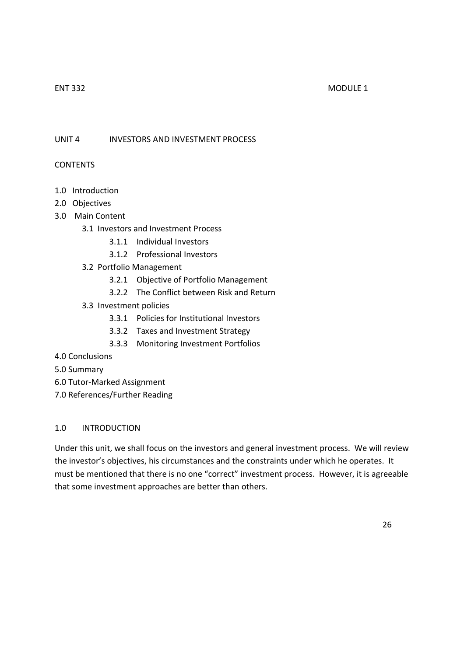#### ENT 332 MODULE 1

UNIT 4 INVESTORS AND INVESTMENT PROCESS

## CONTENTS

- 1.0 Introduction
- 2.0 Objectives
- 3.0 Main Content
	- 3.1 Investors and Investment Process
		- 3.1.1 Individual Investors
		- 3.1.2 Professional Investors
	- 3.2 Portfolio Management
		- 3.2.1 Objective of Portfolio Management
		- 3.2.2 The Conflict between Risk and Return
	- 3.3 Investment policies
		- 3.3.1 Policies for Institutional Investors
		- 3.3.2 Taxes and Investment Strategy
		- 3.3.3 Monitoring Investment Portfolios
- 4.0 Conclusions
- 5.0 Summary
- 6.0 Tutor-Marked Assignment
- 7.0 References/Further Reading

## 1.0 INTRODUCTION

Under this unit, we shall focus on the investors and general investment process. We will review the investor's objectives, his circumstances and the constraints under which he operates. It must be mentioned that there is no one "correct" investment process. However, it is agreeable that some investment approaches are better than others.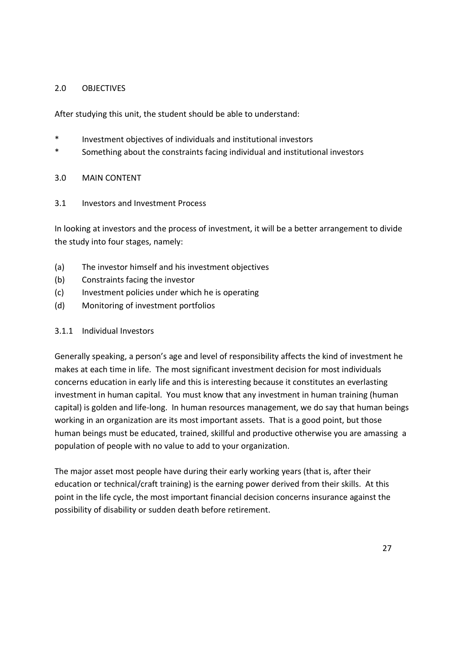# 2.0 OBJECTIVES

After studying this unit, the student should be able to understand:

- Investment objectives of individuals and institutional investors
- \* Something about the constraints facing individual and institutional investors

## 3.0 MAIN CONTENT

3.1 Investors and Investment Process

In looking at investors and the process of investment, it will be a better arrangement to divide the study into four stages, namely:

- (a) The investor himself and his investment objectives
- (b) Constraints facing the investor
- (c) Investment policies under which he is operating
- (d) Monitoring of investment portfolios

## 3.1.1 Individual Investors

Generally speaking, a person's age and level of responsibility affects the kind of investment he makes at each time in life. The most significant investment decision for most individuals concerns education in early life and this is interesting because it constitutes an everlasting investment in human capital. You must know that any investment in human training (human capital) is golden and life-long. In human resources management, we do say that human beings working in an organization are its most important assets. That is a good point, but those human beings must be educated, trained, skillful and productive otherwise you are amassing a population of people with no value to add to your organization.

The major asset most people have during their early working years (that is, after their education or technical/craft training) is the earning power derived from their skills. At this point in the life cycle, the most important financial decision concerns insurance against the possibility of disability or sudden death before retirement.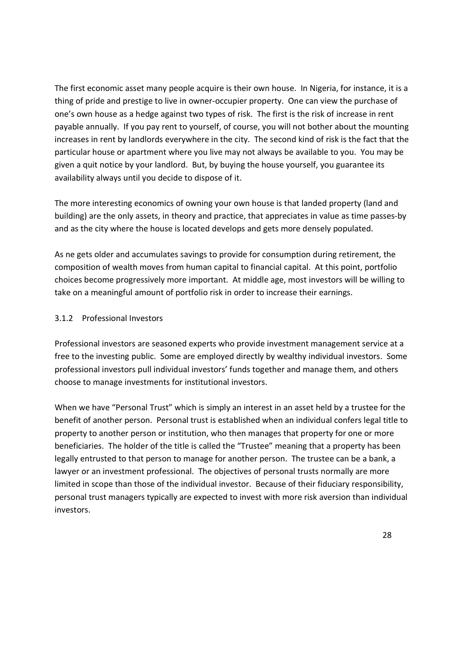The first economic asset many people acquire is their own house. In Nigeria, for instance, it is a thing of pride and prestige to live in owner-occupier property. One can view the purchase of one's own house as a hedge against two types of risk. The first is the risk of increase in rent payable annually. If you pay rent to yourself, of course, you will not bother about the mounting increases in rent by landlords everywhere in the city. The second kind of risk is the fact that the particular house or apartment where you live may not always be available to you. You may be given a quit notice by your landlord. But, by buying the house yourself, you guarantee its availability always until you decide to dispose of it.

The more interesting economics of owning your own house is that landed property (land and building) are the only assets, in theory and practice, that appreciates in value as time passes-by and as the city where the house is located develops and gets more densely populated.

As ne gets older and accumulates savings to provide for consumption during retirement, the composition of wealth moves from human capital to financial capital. At this point, portfolio choices become progressively more important. At middle age, most investors will be willing to take on a meaningful amount of portfolio risk in order to increase their earnings.

# 3.1.2 Professional Investors

Professional investors are seasoned experts who provide investment management service at a free to the investing public. Some are employed directly by wealthy individual investors. Some professional investors pull individual investors' funds together and manage them, and others choose to manage investments for institutional investors.

When we have "Personal Trust" which is simply an interest in an asset held by a trustee for the benefit of another person. Personal trust is established when an individual confers legal title to property to another person or institution, who then manages that property for one or more beneficiaries. The holder of the title is called the "Trustee" meaning that a property has been legally entrusted to that person to manage for another person. The trustee can be a bank, a lawyer or an investment professional. The objectives of personal trusts normally are more limited in scope than those of the individual investor. Because of their fiduciary responsibility, personal trust managers typically are expected to invest with more risk aversion than individual investors.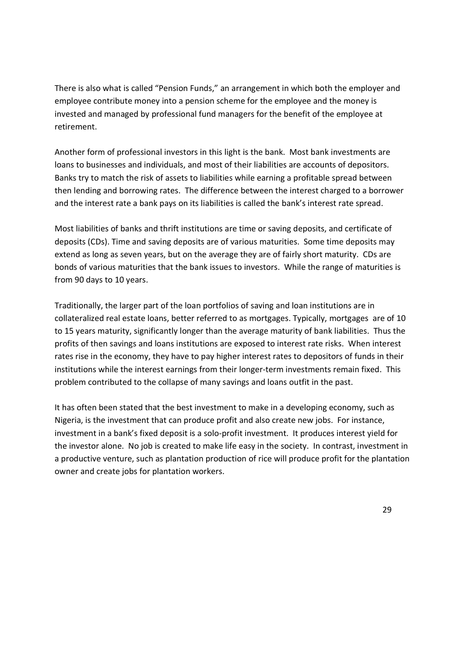There is also what is called "Pension Funds," an arrangement in which both the employer and employee contribute money into a pension scheme for the employee and the money is invested and managed by professional fund managers for the benefit of the employee at retirement.

Another form of professional investors in this light is the bank. Most bank investments are loans to businesses and individuals, and most of their liabilities are accounts of depositors. Banks try to match the risk of assets to liabilities while earning a profitable spread between then lending and borrowing rates. The difference between the interest charged to a borrower and the interest rate a bank pays on its liabilities is called the bank's interest rate spread.

Most liabilities of banks and thrift institutions are time or saving deposits, and certificate of deposits (CDs). Time and saving deposits are of various maturities. Some time deposits may extend as long as seven years, but on the average they are of fairly short maturity. CDs are bonds of various maturities that the bank issues to investors. While the range of maturities is from 90 days to 10 years.

Traditionally, the larger part of the loan portfolios of saving and loan institutions are in collateralized real estate loans, better referred to as mortgages. Typically, mortgages are of 10 to 15 years maturity, significantly longer than the average maturity of bank liabilities. Thus the profits of then savings and loans institutions are exposed to interest rate risks. When interest rates rise in the economy, they have to pay higher interest rates to depositors of funds in their institutions while the interest earnings from their longer-term investments remain fixed. This problem contributed to the collapse of many savings and loans outfit in the past.

It has often been stated that the best investment to make in a developing economy, such as Nigeria, is the investment that can produce profit and also create new jobs. For instance, investment in a bank's fixed deposit is a solo-profit investment. It produces interest yield for the investor alone. No job is created to make life easy in the society. In contrast, investment in a productive venture, such as plantation production of rice will produce profit for the plantation owner and create jobs for plantation workers.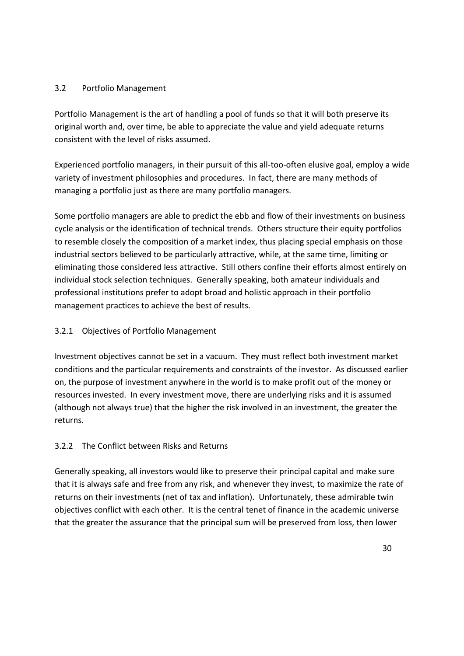# 3.2 Portfolio Management

Portfolio Management is the art of handling a pool of funds so that it will both preserve its original worth and, over time, be able to appreciate the value and yield adequate returns consistent with the level of risks assumed.

Experienced portfolio managers, in their pursuit of this all-too-often elusive goal, employ a wide variety of investment philosophies and procedures. In fact, there are many methods of managing a portfolio just as there are many portfolio managers.

Some portfolio managers are able to predict the ebb and flow of their investments on business cycle analysis or the identification of technical trends. Others structure their equity portfolios to resemble closely the composition of a market index, thus placing special emphasis on those industrial sectors believed to be particularly attractive, while, at the same time, limiting or eliminating those considered less attractive. Still others confine their efforts almost entirely on individual stock selection techniques. Generally speaking, both amateur individuals and professional institutions prefer to adopt broad and holistic approach in their portfolio management practices to achieve the best of results.

# 3.2.1 Objectives of Portfolio Management

Investment objectives cannot be set in a vacuum. They must reflect both investment market conditions and the particular requirements and constraints of the investor. As discussed earlier on, the purpose of investment anywhere in the world is to make profit out of the money or resources invested. In every investment move, there are underlying risks and it is assumed (although not always true) that the higher the risk involved in an investment, the greater the returns.

# 3.2.2 The Conflict between Risks and Returns

Generally speaking, all investors would like to preserve their principal capital and make sure that it is always safe and free from any risk, and whenever they invest, to maximize the rate of returns on their investments (net of tax and inflation). Unfortunately, these admirable twin objectives conflict with each other. It is the central tenet of finance in the academic universe that the greater the assurance that the principal sum will be preserved from loss, then lower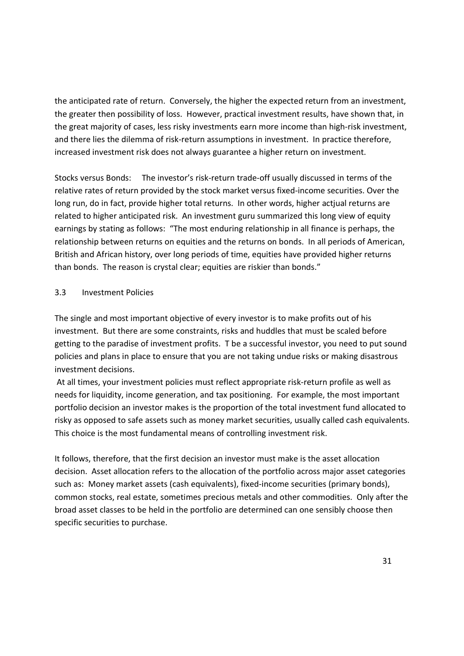the anticipated rate of return. Conversely, the higher the expected return from an investment, the greater then possibility of loss. However, practical investment results, have shown that, in the great majority of cases, less risky investments earn more income than high-risk investment, and there lies the dilemma of risk-return assumptions in investment. In practice therefore, increased investment risk does not always guarantee a higher return on investment.

Stocks versus Bonds: The investor's risk-return trade-off usually discussed in terms of the relative rates of return provided by the stock market versus fixed-income securities. Over the long run, do in fact, provide higher total returns. In other words, higher actjual returns are related to higher anticipated risk. An investment guru summarized this long view of equity earnings by stating as follows: "The most enduring relationship in all finance is perhaps, the relationship between returns on equities and the returns on bonds. In all periods of American, British and African history, over long periods of time, equities have provided higher returns than bonds. The reason is crystal clear; equities are riskier than bonds."

## 3.3 Investment Policies

The single and most important objective of every investor is to make profits out of his investment. But there are some constraints, risks and huddles that must be scaled before getting to the paradise of investment profits. T be a successful investor, you need to put sound policies and plans in place to ensure that you are not taking undue risks or making disastrous investment decisions.

 At all times, your investment policies must reflect appropriate risk-return profile as well as needs for liquidity, income generation, and tax positioning. For example, the most important portfolio decision an investor makes is the proportion of the total investment fund allocated to risky as opposed to safe assets such as money market securities, usually called cash equivalents. This choice is the most fundamental means of controlling investment risk.

It follows, therefore, that the first decision an investor must make is the asset allocation decision. Asset allocation refers to the allocation of the portfolio across major asset categories such as: Money market assets (cash equivalents), fixed-income securities (primary bonds), common stocks, real estate, sometimes precious metals and other commodities. Only after the broad asset classes to be held in the portfolio are determined can one sensibly choose then specific securities to purchase.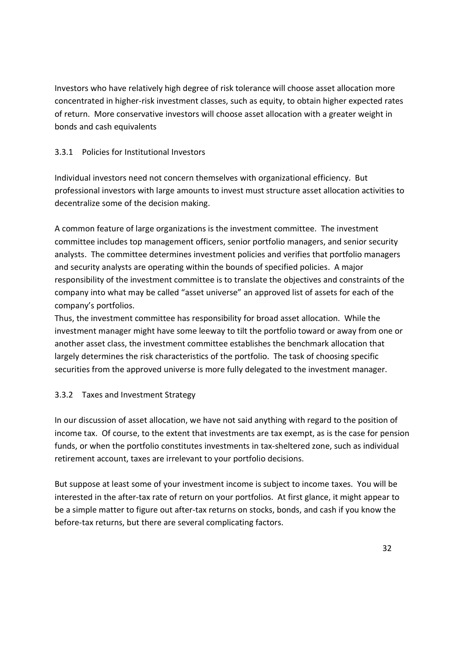Investors who have relatively high degree of risk tolerance will choose asset allocation more concentrated in higher-risk investment classes, such as equity, to obtain higher expected rates of return. More conservative investors will choose asset allocation with a greater weight in bonds and cash equivalents

# 3.3.1 Policies for Institutional Investors

Individual investors need not concern themselves with organizational efficiency. But professional investors with large amounts to invest must structure asset allocation activities to decentralize some of the decision making.

A common feature of large organizations is the investment committee. The investment committee includes top management officers, senior portfolio managers, and senior security analysts. The committee determines investment policies and verifies that portfolio managers and security analysts are operating within the bounds of specified policies. A major responsibility of the investment committee is to translate the objectives and constraints of the company into what may be called "asset universe" an approved list of assets for each of the company's portfolios.

Thus, the investment committee has responsibility for broad asset allocation. While the investment manager might have some leeway to tilt the portfolio toward or away from one or another asset class, the investment committee establishes the benchmark allocation that largely determines the risk characteristics of the portfolio. The task of choosing specific securities from the approved universe is more fully delegated to the investment manager.

## 3.3.2 Taxes and Investment Strategy

In our discussion of asset allocation, we have not said anything with regard to the position of income tax. Of course, to the extent that investments are tax exempt, as is the case for pension funds, or when the portfolio constitutes investments in tax-sheltered zone, such as individual retirement account, taxes are irrelevant to your portfolio decisions.

But suppose at least some of your investment income is subject to income taxes. You will be interested in the after-tax rate of return on your portfolios. At first glance, it might appear to be a simple matter to figure out after-tax returns on stocks, bonds, and cash if you know the before-tax returns, but there are several complicating factors.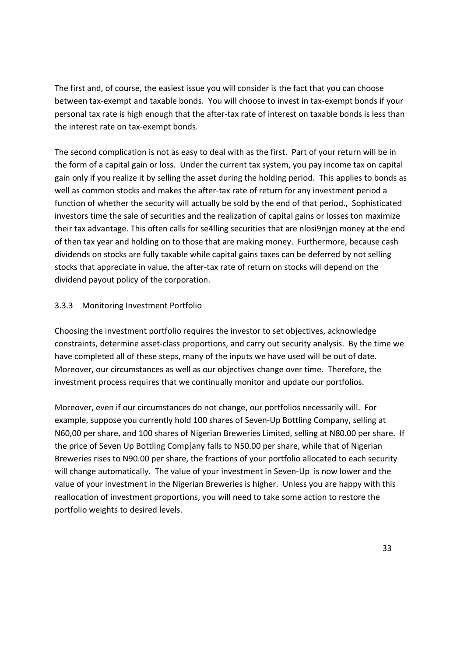The first and, of course, the easiest issue you will consider is the fact that you can choose between tax-exempt and taxable bonds. You will choose to invest in tax-exempt bonds if your personal tax rate is high enough that the after-tax rate of interest on taxable bonds is less than the interest rate on tax-exempt bonds.

The second complication is not as easy to deal with as the first. Part of your return will be in the form of a capital gain or loss. Under the current tax system, you pay income tax on capital gain only if you realize it by selling the asset during the holding period. This applies to bonds as well as common stocks and makes the after-tax rate of return for any investment period a function of whether the security will actually be sold by the end of that period., Sophisticated investors time the sale of securities and the realization of capital gains or losses ton maximize their tax advantage. This often calls for se4lling securities that are nlosi9njgn money at the end of then tax year and holding on to those that are making money. Furthermore, because cash dividends on stocks are fully taxable while capital gains taxes can be deferred by not selling stocks that appreciate in value, the after-tax rate of return on stocks will depend on the dividend payout policy of the corporation.

## 3.3.3 Monitoring Investment Portfolio

Choosing the investment portfolio requires the investor to set objectives, acknowledge constraints, determine asset-class proportions, and carry out security analysis. By the time we have completed all of these steps, many of the inputs we have used will be out of date. Moreover, our circumstances as well as our objectives change over time. Therefore, the investment process requires that we continually monitor and update our portfolios.

Moreover, even if our circumstances do not change, our portfolios necessarily will. For example, suppose you currently hold 100 shares of Seven-Up Bottling Company, selling at N60,00 per share, and 100 shares of Nigerian Breweries Limited, selling at N80.00 per share. If the price of Seven Up Bottling Comp[any falls to N50.00 per share, while that of Nigerian Breweries rises to N90.00 per share, the fractions of your portfolio allocated to each security will change automatically. The value of your investment in Seven-Up is now lower and the value of your investment in the Nigerian Breweries is higher. Unless you are happy with this reallocation of investment proportions, you will need to take some action to restore the portfolio weights to desired levels.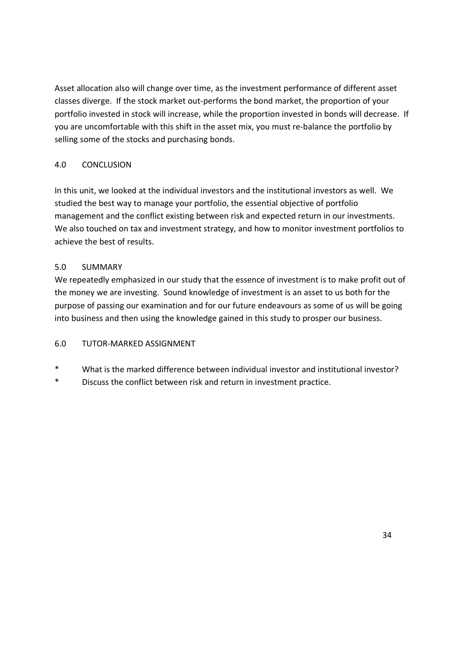Asset allocation also will change over time, as the investment performance of different asset classes diverge. If the stock market out-performs the bond market, the proportion of your portfolio invested in stock will increase, while the proportion invested in bonds will decrease. If you are uncomfortable with this shift in the asset mix, you must re-balance the portfolio by selling some of the stocks and purchasing bonds.

# 4.0 CONCLUSION

In this unit, we looked at the individual investors and the institutional investors as well. We studied the best way to manage your portfolio, the essential objective of portfolio management and the conflict existing between risk and expected return in our investments. We also touched on tax and investment strategy, and how to monitor investment portfolios to achieve the best of results.

# 5.0 SUMMARY

We repeatedly emphasized in our study that the essence of investment is to make profit out of the money we are investing. Sound knowledge of investment is an asset to us both for the purpose of passing our examination and for our future endeavours as some of us will be going into business and then using the knowledge gained in this study to prosper our business.

## 6.0 TUTOR-MARKED ASSIGNMENT

- What is the marked difference between individual investor and institutional investor?
- \* Discuss the conflict between risk and return in investment practice.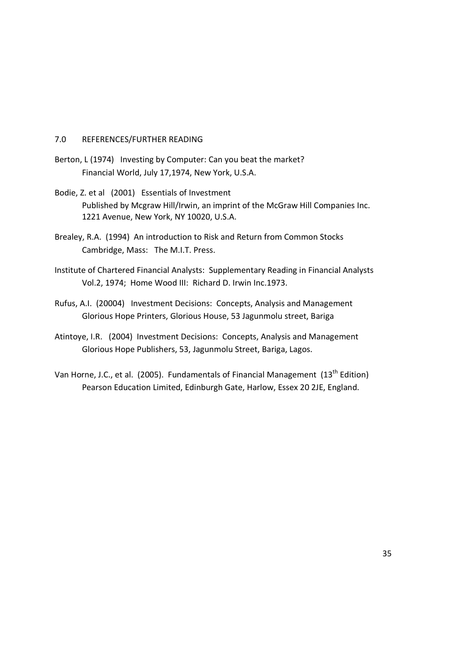#### 7.0 REFERENCES/FURTHER READING

- Berton, L (1974) Investing by Computer: Can you beat the market? Financial World, July 17,1974, New York, U.S.A.
- Bodie, Z. et al (2001) Essentials of Investment Published by Mcgraw Hill/Irwin, an imprint of the McGraw Hill Companies Inc. 1221 Avenue, New York, NY 10020, U.S.A.
- Brealey, R.A. (1994) An introduction to Risk and Return from Common Stocks Cambridge, Mass: The M.I.T. Press.
- Institute of Chartered Financial Analysts: Supplementary Reading in Financial Analysts Vol.2, 1974; Home Wood III: Richard D. Irwin Inc.1973.
- Rufus, A.I. (20004) Investment Decisions: Concepts, Analysis and Management Glorious Hope Printers, Glorious House, 53 Jagunmolu street, Bariga
- Atintoye, I.R. (2004) Investment Decisions: Concepts, Analysis and Management Glorious Hope Publishers, 53, Jagunmolu Street, Bariga, Lagos.
- Van Horne, J.C., et al. (2005). Fundamentals of Financial Management (13<sup>th</sup> Edition) Pearson Education Limited, Edinburgh Gate, Harlow, Essex 20 2JE, England.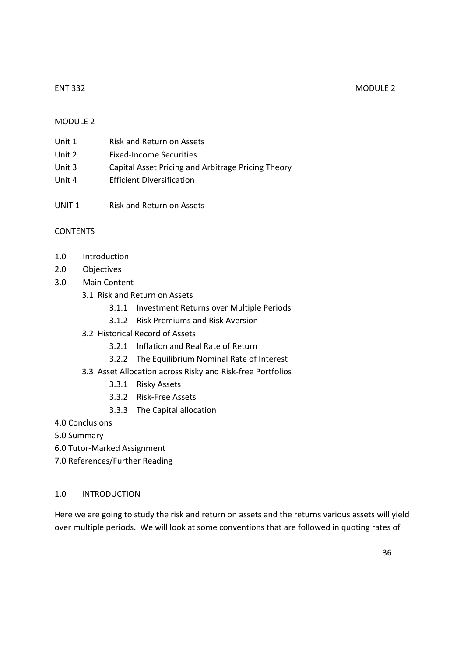#### ENT 332 MODULE 2

## MODULE 2

| Unit 1 | Risk and Return on Assets                          |
|--------|----------------------------------------------------|
| Unit 2 | <b>Fixed-Income Securities</b>                     |
| Unit 3 | Capital Asset Pricing and Arbitrage Pricing Theory |
| Unit 4 | <b>Efficient Diversification</b>                   |

- 
- UNIT 1 Risk and Return on Assets

## **CONTENTS**

- 1.0 Introduction
- 2.0 Objectives
- 3.0 Main Content
	- 3.1 Risk and Return on Assets
		- 3.1.1 Investment Returns over Multiple Periods
		- 3.1.2 Risk Premiums and Risk Aversion
	- 3.2 Historical Record of Assets
		- 3.2.1 Inflation and Real Rate of Return
		- 3.2.2 The Equilibrium Nominal Rate of Interest
	- 3.3 Asset Allocation across Risky and Risk-free Portfolios
		- 3.3.1 Risky Assets
		- 3.3.2 Risk-Free Assets
		- 3.3.3 The Capital allocation
- 4.0 Conclusions
- 5.0 Summary
- 6.0 Tutor-Marked Assignment
- 7.0 References/Further Reading

#### 1.0 INTRODUCTION

Here we are going to study the risk and return on assets and the returns various assets will yield over multiple periods. We will look at some conventions that are followed in quoting rates of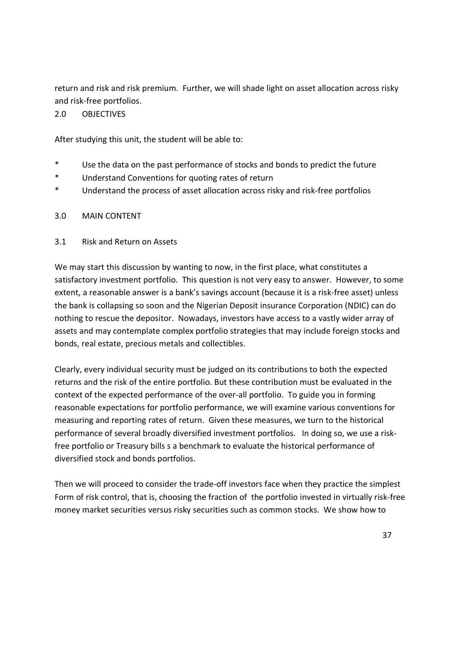return and risk and risk premium. Further, we will shade light on asset allocation across risky and risk-free portfolios.

## 2.0 OBJECTIVES

After studying this unit, the student will be able to:

- \* Use the data on the past performance of stocks and bonds to predict the future
- \* Understand Conventions for quoting rates of return
- \* Understand the process of asset allocation across risky and risk-free portfolios

## 3.0 MAIN CONTENT

## 3.1 Risk and Return on Assets

We may start this discussion by wanting to now, in the first place, what constitutes a satisfactory investment portfolio. This question is not very easy to answer. However, to some extent, a reasonable answer is a bank's savings account (because it is a risk-free asset) unless the bank is collapsing so soon and the Nigerian Deposit insurance Corporation (NDIC) can do nothing to rescue the depositor. Nowadays, investors have access to a vastly wider array of assets and may contemplate complex portfolio strategies that may include foreign stocks and bonds, real estate, precious metals and collectibles.

Clearly, every individual security must be judged on its contributions to both the expected returns and the risk of the entire portfolio. But these contribution must be evaluated in the context of the expected performance of the over-all portfolio. To guide you in forming reasonable expectations for portfolio performance, we will examine various conventions for measuring and reporting rates of return. Given these measures, we turn to the historical performance of several broadly diversified investment portfolios. In doing so, we use a riskfree portfolio or Treasury bills s a benchmark to evaluate the historical performance of diversified stock and bonds portfolios.

Then we will proceed to consider the trade-off investors face when they practice the simplest Form of risk control, that is, choosing the fraction of the portfolio invested in virtually risk-free money market securities versus risky securities such as common stocks. We show how to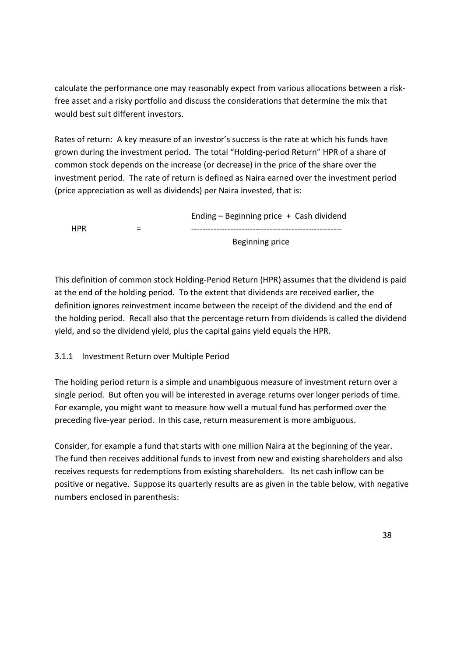calculate the performance one may reasonably expect from various allocations between a riskfree asset and a risky portfolio and discuss the considerations that determine the mix that would best suit different investors.

Rates of return: A key measure of an investor's success is the rate at which his funds have grown during the investment period. The total "Holding-period Return" HPR of a share of common stock depends on the increase (or decrease) in the price of the share over the investment period. The rate of return is defined as Naira earned over the investment period (price appreciation as well as dividends) per Naira invested, that is:

 Ending – Beginning price + Cash dividend HPR = ------------------------------------------------------ Beginning price

This definition of common stock Holding-Period Return (HPR) assumes that the dividend is paid at the end of the holding period. To the extent that dividends are received earlier, the definition ignores reinvestment income between the receipt of the dividend and the end of the holding period. Recall also that the percentage return from dividends is called the dividend yield, and so the dividend yield, plus the capital gains yield equals the HPR.

3.1.1 Investment Return over Multiple Period

The holding period return is a simple and unambiguous measure of investment return over a single period. But often you will be interested in average returns over longer periods of time. For example, you might want to measure how well a mutual fund has performed over the preceding five-year period. In this case, return measurement is more ambiguous.

Consider, for example a fund that starts with one million Naira at the beginning of the year. The fund then receives additional funds to invest from new and existing shareholders and also receives requests for redemptions from existing shareholders. Its net cash inflow can be positive or negative. Suppose its quarterly results are as given in the table below, with negative numbers enclosed in parenthesis: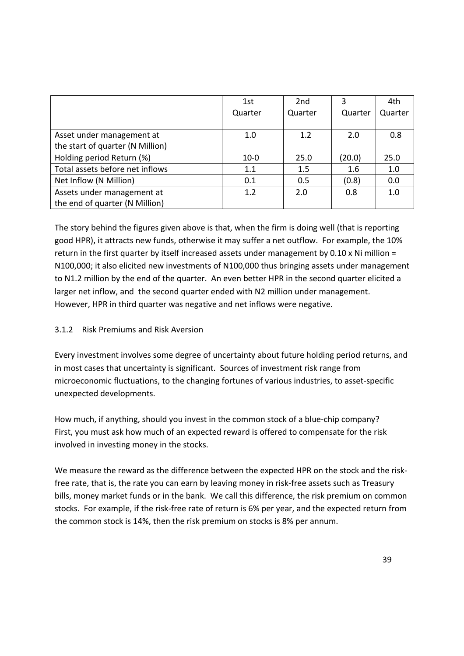|                                  | 1st<br>Quarter | 2 <sub>nd</sub><br>Quarter | 3<br>Quarter | 4th<br>Quarter |
|----------------------------------|----------------|----------------------------|--------------|----------------|
|                                  |                |                            |              |                |
| Asset under management at        | 1.0            | 1.2                        | 2.0          | 0.8            |
| the start of quarter (N Million) |                |                            |              |                |
| Holding period Return (%)        | $10-0$         | 25.0                       | (20.0)       | 25.0           |
| Total assets before net inflows  | 1.1            | 1.5                        | 1.6          | 1.0            |
| Net Inflow (N Million)           | 0.1            | 0.5                        | (0.8)        | 0.0            |
| Assets under management at       | 1.2            | 2.0                        | 0.8          | 1.0            |
| the end of quarter (N Million)   |                |                            |              |                |

The story behind the figures given above is that, when the firm is doing well (that is reporting good HPR), it attracts new funds, otherwise it may suffer a net outflow. For example, the 10% return in the first quarter by itself increased assets under management by 0.10 x Ni million = N100,000; it also elicited new investments of N100,000 thus bringing assets under management to N1.2 million by the end of the quarter. An even better HPR in the second quarter elicited a larger net inflow, and the second quarter ended with N2 million under management. However, HPR in third quarter was negative and net inflows were negative.

# 3.1.2 Risk Premiums and Risk Aversion

Every investment involves some degree of uncertainty about future holding period returns, and in most cases that uncertainty is significant. Sources of investment risk range from microeconomic fluctuations, to the changing fortunes of various industries, to asset-specific unexpected developments.

How much, if anything, should you invest in the common stock of a blue-chip company? First, you must ask how much of an expected reward is offered to compensate for the risk involved in investing money in the stocks.

We measure the reward as the difference between the expected HPR on the stock and the riskfree rate, that is, the rate you can earn by leaving money in risk-free assets such as Treasury bills, money market funds or in the bank. We call this difference, the risk premium on common stocks. For example, if the risk-free rate of return is 6% per year, and the expected return from the common stock is 14%, then the risk premium on stocks is 8% per annum.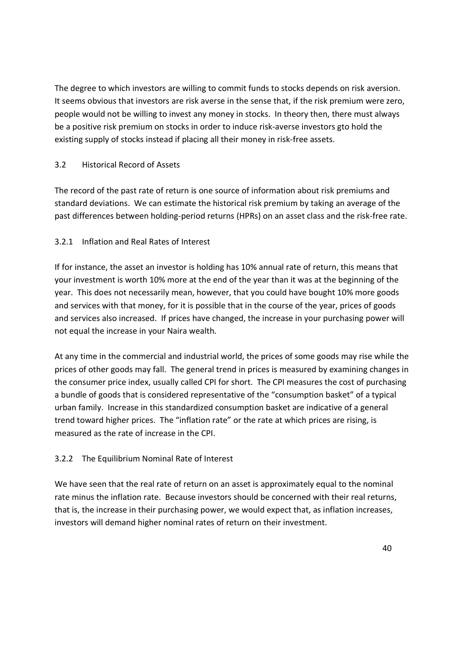The degree to which investors are willing to commit funds to stocks depends on risk aversion. It seems obvious that investors are risk averse in the sense that, if the risk premium were zero, people would not be willing to invest any money in stocks. In theory then, there must always be a positive risk premium on stocks in order to induce risk-averse investors gto hold the existing supply of stocks instead if placing all their money in risk-free assets.

## 3.2 Historical Record of Assets

The record of the past rate of return is one source of information about risk premiums and standard deviations. We can estimate the historical risk premium by taking an average of the past differences between holding-period returns (HPRs) on an asset class and the risk-free rate.

# 3.2.1 Inflation and Real Rates of Interest

If for instance, the asset an investor is holding has 10% annual rate of return, this means that your investment is worth 10% more at the end of the year than it was at the beginning of the year. This does not necessarily mean, however, that you could have bought 10% more goods and services with that money, for it is possible that in the course of the year, prices of goods and services also increased. If prices have changed, the increase in your purchasing power will not equal the increase in your Naira wealth.

At any time in the commercial and industrial world, the prices of some goods may rise while the prices of other goods may fall. The general trend in prices is measured by examining changes in the consumer price index, usually called CPI for short. The CPI measures the cost of purchasing a bundle of goods that is considered representative of the "consumption basket" of a typical urban family. Increase in this standardized consumption basket are indicative of a general trend toward higher prices. The "inflation rate" or the rate at which prices are rising, is measured as the rate of increase in the CPI.

# 3.2.2 The Equilibrium Nominal Rate of Interest

We have seen that the real rate of return on an asset is approximately equal to the nominal rate minus the inflation rate. Because investors should be concerned with their real returns, that is, the increase in their purchasing power, we would expect that, as inflation increases, investors will demand higher nominal rates of return on their investment.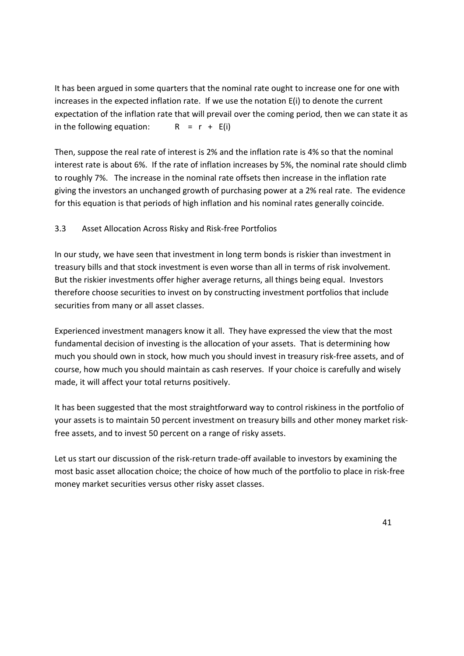It has been argued in some quarters that the nominal rate ought to increase one for one with increases in the expected inflation rate. If we use the notation E(i) to denote the current expectation of the inflation rate that will prevail over the coming period, then we can state it as in the following equation:  $R = r + E(i)$ 

Then, suppose the real rate of interest is 2% and the inflation rate is 4% so that the nominal interest rate is about 6%. If the rate of inflation increases by 5%, the nominal rate should climb to roughly 7%. The increase in the nominal rate offsets then increase in the inflation rate giving the investors an unchanged growth of purchasing power at a 2% real rate. The evidence for this equation is that periods of high inflation and his nominal rates generally coincide.

## 3.3 Asset Allocation Across Risky and Risk-free Portfolios

In our study, we have seen that investment in long term bonds is riskier than investment in treasury bills and that stock investment is even worse than all in terms of risk involvement. But the riskier investments offer higher average returns, all things being equal. Investors therefore choose securities to invest on by constructing investment portfolios that include securities from many or all asset classes.

Experienced investment managers know it all. They have expressed the view that the most fundamental decision of investing is the allocation of your assets. That is determining how much you should own in stock, how much you should invest in treasury risk-free assets, and of course, how much you should maintain as cash reserves. If your choice is carefully and wisely made, it will affect your total returns positively.

It has been suggested that the most straightforward way to control riskiness in the portfolio of your assets is to maintain 50 percent investment on treasury bills and other money market riskfree assets, and to invest 50 percent on a range of risky assets.

Let us start our discussion of the risk-return trade-off available to investors by examining the most basic asset allocation choice; the choice of how much of the portfolio to place in risk-free money market securities versus other risky asset classes.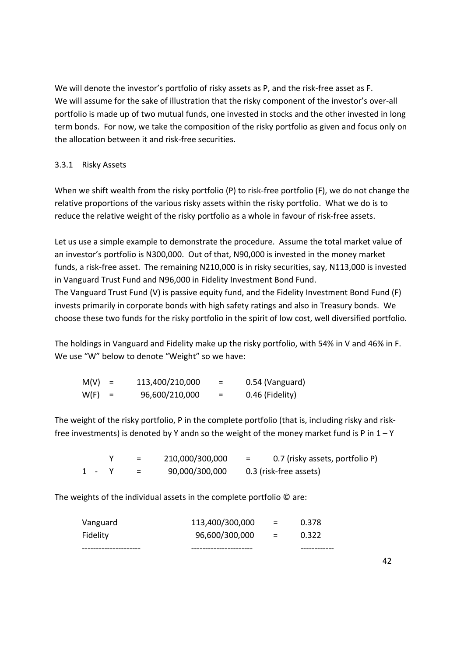We will denote the investor's portfolio of risky assets as P, and the risk-free asset as F. We will assume for the sake of illustration that the risky component of the investor's over-all portfolio is made up of two mutual funds, one invested in stocks and the other invested in long term bonds. For now, we take the composition of the risky portfolio as given and focus only on the allocation between it and risk-free securities.

## 3.3.1 Risky Assets

When we shift wealth from the risky portfolio (P) to risk-free portfolio (F), we do not change the relative proportions of the various risky assets within the risky portfolio. What we do is to reduce the relative weight of the risky portfolio as a whole in favour of risk-free assets.

Let us use a simple example to demonstrate the procedure. Assume the total market value of an investor's portfolio is N300,000. Out of that, N90,000 is invested in the money market funds, a risk-free asset. The remaining N210,000 is in risky securities, say, N113,000 is invested in Vanguard Trust Fund and N96,000 in Fidelity Investment Bond Fund.

The Vanguard Trust Fund (V) is passive equity fund, and the Fidelity Investment Bond Fund (F) invests primarily in corporate bonds with high safety ratings and also in Treasury bonds. We choose these two funds for the risky portfolio in the spirit of low cost, well diversified portfolio.

The holdings in Vanguard and Fidelity make up the risky portfolio, with 54% in V and 46% in F. We use "W" below to denote "Weight" so we have:

| $M(V) =$ | 113,400/210,000 |     | 0.54 (Vanguard) |
|----------|-----------------|-----|-----------------|
| $W(F) =$ | 96,600/210,000  | $=$ | 0.46 (Fidelity) |

The weight of the risky portfolio, P in the complete portfolio (that is, including risky and riskfree investments) is denoted by Y andn so the weight of the money market fund is P in  $1 - Y$ 

|       | $=$ | 210,000/300,000 | 0.7 (risky assets, portfolio P)<br>$=$ |
|-------|-----|-----------------|----------------------------------------|
| 1 - Y | $=$ | 90,000/300,000  | 0.3 (risk-free assets)                 |

The weights of the individual assets in the complete portfolio © are:

| Fidelity | 96,600/300,000  | $\mathbf{r} = \mathbf{r}$ | 0.322 |
|----------|-----------------|---------------------------|-------|
| Vanguard | 113,400/300,000 | $=$                       | 0.378 |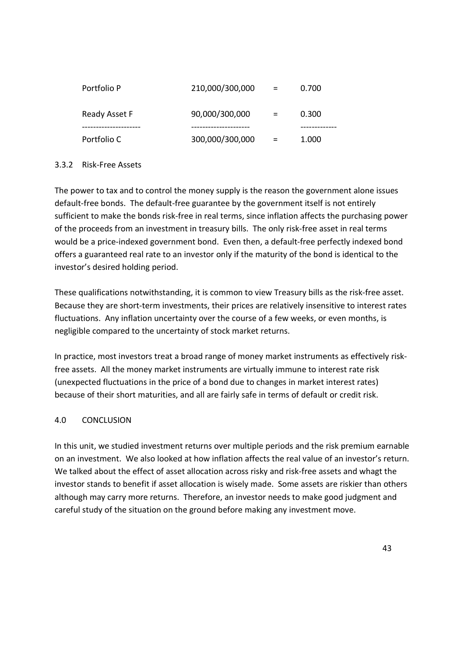| Portfolio P                      | 210,000/300,000                      | $=$ | 0.700             |
|----------------------------------|--------------------------------------|-----|-------------------|
| Ready Asset F                    | 90,000/300,000                       | $=$ | 0.300             |
| -----------------<br>Portfolio C | -----------------<br>300,000/300,000 | $=$ | --------<br>1.000 |

## 3.3.2 Risk-Free Assets

The power to tax and to control the money supply is the reason the government alone issues default-free bonds. The default-free guarantee by the government itself is not entirely sufficient to make the bonds risk-free in real terms, since inflation affects the purchasing power of the proceeds from an investment in treasury bills. The only risk-free asset in real terms would be a price-indexed government bond. Even then, a default-free perfectly indexed bond offers a guaranteed real rate to an investor only if the maturity of the bond is identical to the investor's desired holding period.

These qualifications notwithstanding, it is common to view Treasury bills as the risk-free asset. Because they are short-term investments, their prices are relatively insensitive to interest rates fluctuations. Any inflation uncertainty over the course of a few weeks, or even months, is negligible compared to the uncertainty of stock market returns.

In practice, most investors treat a broad range of money market instruments as effectively riskfree assets. All the money market instruments are virtually immune to interest rate risk (unexpected fluctuations in the price of a bond due to changes in market interest rates) because of their short maturities, and all are fairly safe in terms of default or credit risk.

## 4.0 CONCLUSION

In this unit, we studied investment returns over multiple periods and the risk premium earnable on an investment. We also looked at how inflation affects the real value of an investor's return. We talked about the effect of asset allocation across risky and risk-free assets and whagt the investor stands to benefit if asset allocation is wisely made. Some assets are riskier than others although may carry more returns. Therefore, an investor needs to make good judgment and careful study of the situation on the ground before making any investment move.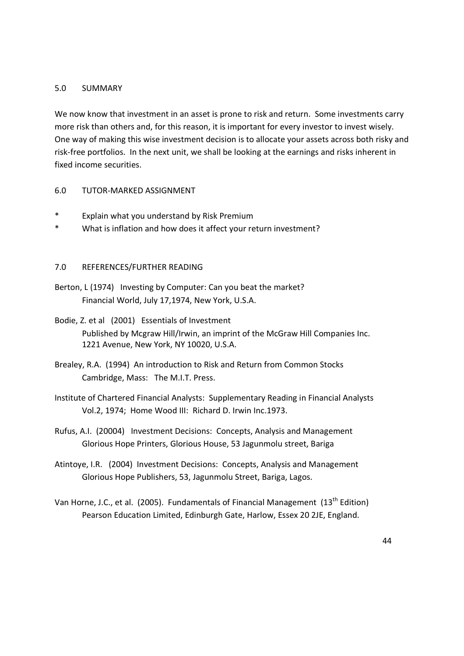#### 5.0 SUMMARY

We now know that investment in an asset is prone to risk and return. Some investments carry more risk than others and, for this reason, it is important for every investor to invest wisely. One way of making this wise investment decision is to allocate your assets across both risky and risk-free portfolios. In the next unit, we shall be looking at the earnings and risks inherent in fixed income securities.

#### 6.0 TUTOR-MARKED ASSIGNMENT

- \* Explain what you understand by Risk Premium
- \* What is inflation and how does it affect your return investment?

#### 7.0 REFERENCES/FURTHER READING

- Berton, L (1974) Investing by Computer: Can you beat the market? Financial World, July 17,1974, New York, U.S.A.
- Bodie, Z. et al (2001) Essentials of Investment Published by Mcgraw Hill/Irwin, an imprint of the McGraw Hill Companies Inc. 1221 Avenue, New York, NY 10020, U.S.A.
- Brealey, R.A. (1994) An introduction to Risk and Return from Common Stocks Cambridge, Mass: The M.I.T. Press.
- Institute of Chartered Financial Analysts: Supplementary Reading in Financial Analysts Vol.2, 1974; Home Wood III: Richard D. Irwin Inc.1973.
- Rufus, A.I. (20004) Investment Decisions: Concepts, Analysis and Management Glorious Hope Printers, Glorious House, 53 Jagunmolu street, Bariga
- Atintoye, I.R. (2004) Investment Decisions: Concepts, Analysis and Management Glorious Hope Publishers, 53, Jagunmolu Street, Bariga, Lagos.
- Van Horne, J.C., et al. (2005). Fundamentals of Financial Management (13<sup>th</sup> Edition) Pearson Education Limited, Edinburgh Gate, Harlow, Essex 20 2JE, England.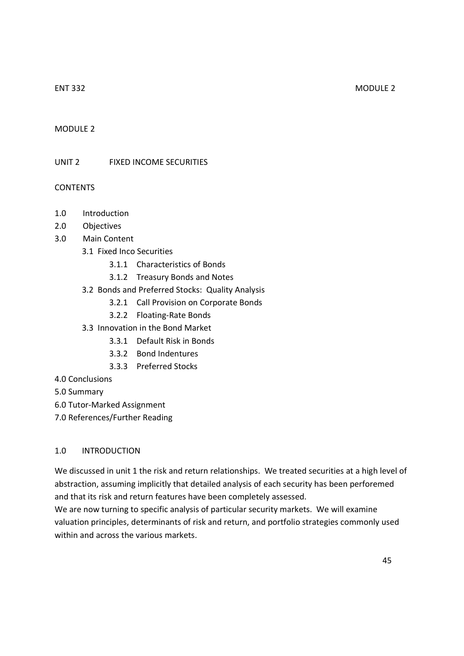### MODULE 2

### UNIT 2 FIXED INCOME SECURITIES

#### CONTENTS

- 1.0 Introduction
- 2.0 Objectives
- 3.0 Main Content
	- 3.1 Fixed Inco Securities
		- 3.1.1 Characteristics of Bonds
		- 3.1.2 Treasury Bonds and Notes
	- 3.2 Bonds and Preferred Stocks: Quality Analysis
		- 3.2.1 Call Provision on Corporate Bonds
		- 3.2.2 Floating-Rate Bonds
	- 3.3 Innovation in the Bond Market
		- 3.3.1 Default Risk in Bonds
		- 3.3.2 Bond Indentures
		- 3.3.3 Preferred Stocks
- 4.0 Conclusions
- 5.0 Summary
- 6.0 Tutor-Marked Assignment
- 7.0 References/Further Reading

#### 1.0 INTRODUCTION

We discussed in unit 1 the risk and return relationships. We treated securities at a high level of abstraction, assuming implicitly that detailed analysis of each security has been perforemed and that its risk and return features have been completely assessed.

We are now turning to specific analysis of particular security markets. We will examine valuation principles, determinants of risk and return, and portfolio strategies commonly used within and across the various markets.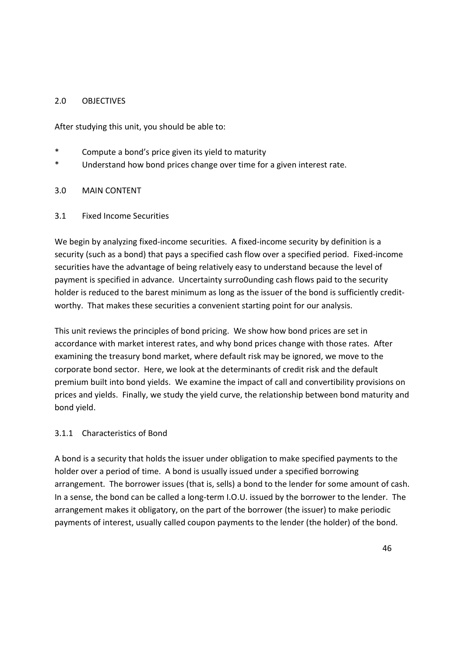## 2.0 OBJECTIVES

After studying this unit, you should be able to:

- Compute a bond's price given its yield to maturity
- \* Understand how bond prices change over time for a given interest rate.

#### 3.0 MAIN CONTENT

#### 3.1 Fixed Income Securities

We begin by analyzing fixed-income securities. A fixed-income security by definition is a security (such as a bond) that pays a specified cash flow over a specified period. Fixed-income securities have the advantage of being relatively easy to understand because the level of payment is specified in advance. Uncertainty surro0unding cash flows paid to the security holder is reduced to the barest minimum as long as the issuer of the bond is sufficiently creditworthy. That makes these securities a convenient starting point for our analysis.

This unit reviews the principles of bond pricing. We show how bond prices are set in accordance with market interest rates, and why bond prices change with those rates. After examining the treasury bond market, where default risk may be ignored, we move to the corporate bond sector. Here, we look at the determinants of credit risk and the default premium built into bond yields. We examine the impact of call and convertibility provisions on prices and yields. Finally, we study the yield curve, the relationship between bond maturity and bond yield.

#### 3.1.1 Characteristics of Bond

A bond is a security that holds the issuer under obligation to make specified payments to the holder over a period of time. A bond is usually issued under a specified borrowing arrangement. The borrower issues (that is, sells) a bond to the lender for some amount of cash. In a sense, the bond can be called a long-term I.O.U. issued by the borrower to the lender. The arrangement makes it obligatory, on the part of the borrower (the issuer) to make periodic payments of interest, usually called coupon payments to the lender (the holder) of the bond.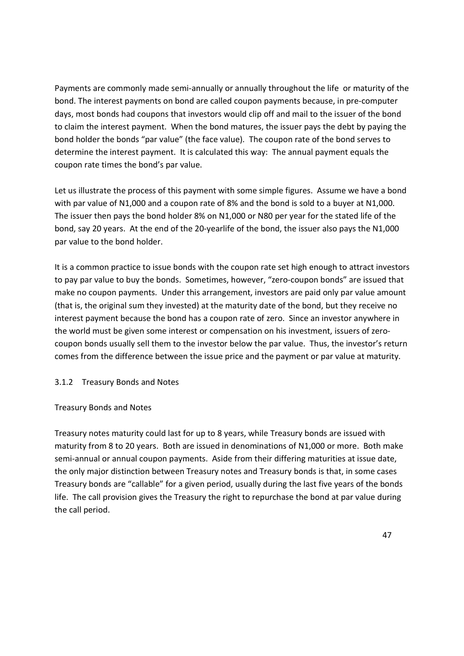Payments are commonly made semi-annually or annually throughout the life or maturity of the bond. The interest payments on bond are called coupon payments because, in pre-computer days, most bonds had coupons that investors would clip off and mail to the issuer of the bond to claim the interest payment. When the bond matures, the issuer pays the debt by paying the bond holder the bonds "par value" (the face value). The coupon rate of the bond serves to determine the interest payment. It is calculated this way: The annual payment equals the coupon rate times the bond's par value.

Let us illustrate the process of this payment with some simple figures. Assume we have a bond with par value of N1,000 and a coupon rate of 8% and the bond is sold to a buyer at N1,000. The issuer then pays the bond holder 8% on N1,000 or N80 per year for the stated life of the bond, say 20 years. At the end of the 20-yearlife of the bond, the issuer also pays the N1,000 par value to the bond holder.

It is a common practice to issue bonds with the coupon rate set high enough to attract investors to pay par value to buy the bonds. Sometimes, however, "zero-coupon bonds" are issued that make no coupon payments. Under this arrangement, investors are paid only par value amount (that is, the original sum they invested) at the maturity date of the bond, but they receive no interest payment because the bond has a coupon rate of zero. Since an investor anywhere in the world must be given some interest or compensation on his investment, issuers of zerocoupon bonds usually sell them to the investor below the par value. Thus, the investor's return comes from the difference between the issue price and the payment or par value at maturity.

## 3.1.2 Treasury Bonds and Notes

#### Treasury Bonds and Notes

Treasury notes maturity could last for up to 8 years, while Treasury bonds are issued with maturity from 8 to 20 years. Both are issued in denominations of N1,000 or more. Both make semi-annual or annual coupon payments. Aside from their differing maturities at issue date, the only major distinction between Treasury notes and Treasury bonds is that, in some cases Treasury bonds are "callable" for a given period, usually during the last five years of the bonds life. The call provision gives the Treasury the right to repurchase the bond at par value during the call period.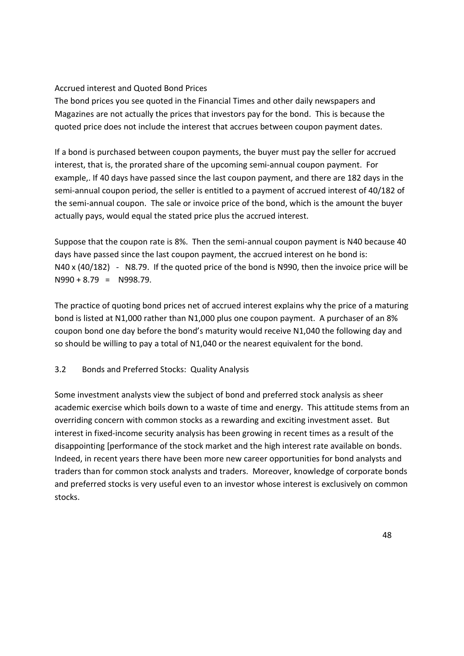# Accrued interest and Quoted Bond Prices

The bond prices you see quoted in the Financial Times and other daily newspapers and Magazines are not actually the prices that investors pay for the bond. This is because the quoted price does not include the interest that accrues between coupon payment dates.

If a bond is purchased between coupon payments, the buyer must pay the seller for accrued interest, that is, the prorated share of the upcoming semi-annual coupon payment. For example,. If 40 days have passed since the last coupon payment, and there are 182 days in the semi-annual coupon period, the seller is entitled to a payment of accrued interest of 40/182 of the semi-annual coupon. The sale or invoice price of the bond, which is the amount the buyer actually pays, would equal the stated price plus the accrued interest.

Suppose that the coupon rate is 8%. Then the semi-annual coupon payment is N40 because 40 days have passed since the last coupon payment, the accrued interest on he bond is: N40 x (40/182) - N8.79. If the quoted price of the bond is N990, then the invoice price will be  $N990 + 8.79 = N998.79$ .

The practice of quoting bond prices net of accrued interest explains why the price of a maturing bond is listed at N1,000 rather than N1,000 plus one coupon payment. A purchaser of an 8% coupon bond one day before the bond's maturity would receive N1,040 the following day and so should be willing to pay a total of N1,040 or the nearest equivalent for the bond.

# 3.2 Bonds and Preferred Stocks: Quality Analysis

Some investment analysts view the subject of bond and preferred stock analysis as sheer academic exercise which boils down to a waste of time and energy. This attitude stems from an overriding concern with common stocks as a rewarding and exciting investment asset. But interest in fixed-income security analysis has been growing in recent times as a result of the disappointing [performance of the stock market and the high interest rate available on bonds. Indeed, in recent years there have been more new career opportunities for bond analysts and traders than for common stock analysts and traders. Moreover, knowledge of corporate bonds and preferred stocks is very useful even to an investor whose interest is exclusively on common stocks.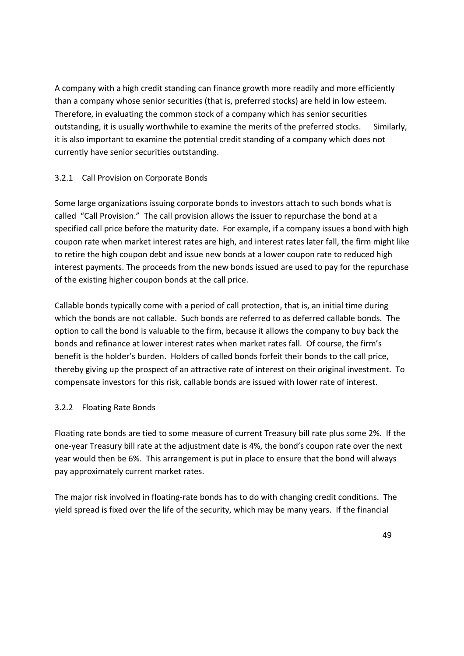A company with a high credit standing can finance growth more readily and more efficiently than a company whose senior securities (that is, preferred stocks) are held in low esteem. Therefore, in evaluating the common stock of a company which has senior securities outstanding, it is usually worthwhile to examine the merits of the preferred stocks. Similarly, it is also important to examine the potential credit standing of a company which does not currently have senior securities outstanding.

## 3.2.1 Call Provision on Corporate Bonds

Some large organizations issuing corporate bonds to investors attach to such bonds what is called "Call Provision." The call provision allows the issuer to repurchase the bond at a specified call price before the maturity date. For example, if a company issues a bond with high coupon rate when market interest rates are high, and interest rates later fall, the firm might like to retire the high coupon debt and issue new bonds at a lower coupon rate to reduced high interest payments. The proceeds from the new bonds issued are used to pay for the repurchase of the existing higher coupon bonds at the call price.

Callable bonds typically come with a period of call protection, that is, an initial time during which the bonds are not callable. Such bonds are referred to as deferred callable bonds. The option to call the bond is valuable to the firm, because it allows the company to buy back the bonds and refinance at lower interest rates when market rates fall. Of course, the firm's benefit is the holder's burden. Holders of called bonds forfeit their bonds to the call price, thereby giving up the prospect of an attractive rate of interest on their original investment. To compensate investors for this risk, callable bonds are issued with lower rate of interest.

## 3.2.2 Floating Rate Bonds

Floating rate bonds are tied to some measure of current Treasury bill rate plus some 2%. If the one-year Treasury bill rate at the adjustment date is 4%, the bond's coupon rate over the next year would then be 6%. This arrangement is put in place to ensure that the bond will always pay approximately current market rates.

The major risk involved in floating-rate bonds has to do with changing credit conditions. The yield spread is fixed over the life of the security, which may be many years. If the financial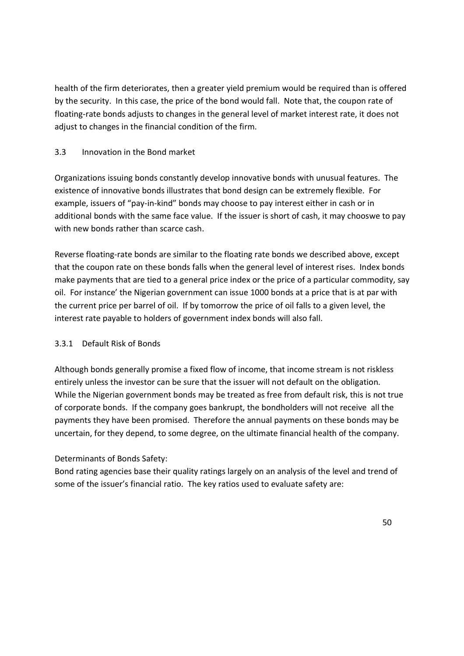health of the firm deteriorates, then a greater yield premium would be required than is offered by the security. In this case, the price of the bond would fall. Note that, the coupon rate of floating-rate bonds adjusts to changes in the general level of market interest rate, it does not adjust to changes in the financial condition of the firm.

# 3.3 Innovation in the Bond market

Organizations issuing bonds constantly develop innovative bonds with unusual features. The existence of innovative bonds illustrates that bond design can be extremely flexible. For example, issuers of "pay-in-kind" bonds may choose to pay interest either in cash or in additional bonds with the same face value. If the issuer is short of cash, it may chooswe to pay with new bonds rather than scarce cash.

Reverse floating-rate bonds are similar to the floating rate bonds we described above, except that the coupon rate on these bonds falls when the general level of interest rises. Index bonds make payments that are tied to a general price index or the price of a particular commodity, say oil. For instance' the Nigerian government can issue 1000 bonds at a price that is at par with the current price per barrel of oil. If by tomorrow the price of oil falls to a given level, the interest rate payable to holders of government index bonds will also fall.

## 3.3.1 Default Risk of Bonds

Although bonds generally promise a fixed flow of income, that income stream is not riskless entirely unless the investor can be sure that the issuer will not default on the obligation. While the Nigerian government bonds may be treated as free from default risk, this is not true of corporate bonds. If the company goes bankrupt, the bondholders will not receive all the payments they have been promised. Therefore the annual payments on these bonds may be uncertain, for they depend, to some degree, on the ultimate financial health of the company.

## Determinants of Bonds Safety:

Bond rating agencies base their quality ratings largely on an analysis of the level and trend of some of the issuer's financial ratio. The key ratios used to evaluate safety are: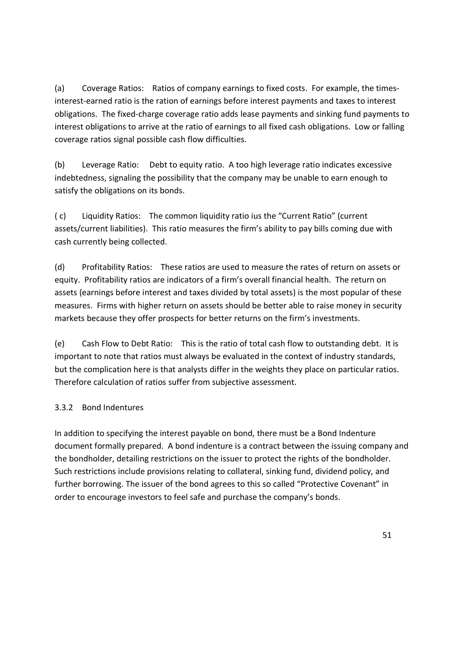(a) Coverage Ratios: Ratios of company earnings to fixed costs. For example, the timesinterest-earned ratio is the ration of earnings before interest payments and taxes to interest obligations. The fixed-charge coverage ratio adds lease payments and sinking fund payments to interest obligations to arrive at the ratio of earnings to all fixed cash obligations. Low or falling coverage ratios signal possible cash flow difficulties.

(b) Leverage Ratio: Debt to equity ratio. A too high leverage ratio indicates excessive indebtedness, signaling the possibility that the company may be unable to earn enough to satisfy the obligations on its bonds.

( c) Liquidity Ratios: The common liquidity ratio ius the "Current Ratio" (current assets/current liabilities). This ratio measures the firm's ability to pay bills coming due with cash currently being collected.

(d) Profitability Ratios: These ratios are used to measure the rates of return on assets or equity. Profitability ratios are indicators of a firm's overall financial health. The return on assets (earnings before interest and taxes divided by total assets) is the most popular of these measures. Firms with higher return on assets should be better able to raise money in security markets because they offer prospects for better returns on the firm's investments.

(e) Cash Flow to Debt Ratio: This is the ratio of total cash flow to outstanding debt. It is important to note that ratios must always be evaluated in the context of industry standards, but the complication here is that analysts differ in the weights they place on particular ratios. Therefore calculation of ratios suffer from subjective assessment.

# 3.3.2 Bond Indentures

In addition to specifying the interest payable on bond, there must be a Bond Indenture document formally prepared. A bond indenture is a contract between the issuing company and the bondholder, detailing restrictions on the issuer to protect the rights of the bondholder. Such restrictions include provisions relating to collateral, sinking fund, dividend policy, and further borrowing. The issuer of the bond agrees to this so called "Protective Covenant" in order to encourage investors to feel safe and purchase the company's bonds.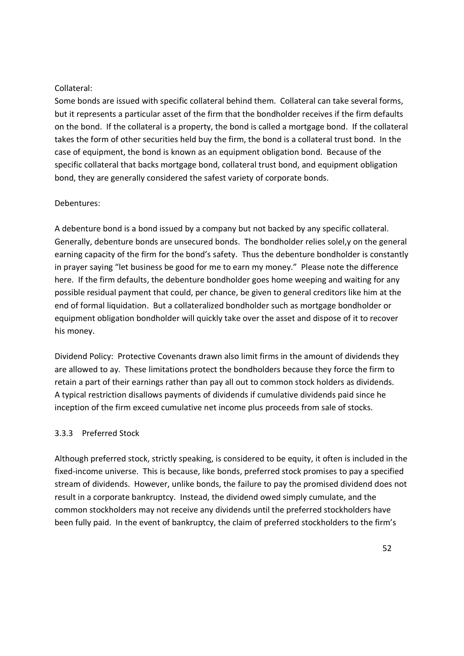### Collateral:

Some bonds are issued with specific collateral behind them. Collateral can take several forms, but it represents a particular asset of the firm that the bondholder receives if the firm defaults on the bond. If the collateral is a property, the bond is called a mortgage bond. If the collateral takes the form of other securities held buy the firm, the bond is a collateral trust bond. In the case of equipment, the bond is known as an equipment obligation bond. Because of the specific collateral that backs mortgage bond, collateral trust bond, and equipment obligation bond, they are generally considered the safest variety of corporate bonds.

#### Debentures:

A debenture bond is a bond issued by a company but not backed by any specific collateral. Generally, debenture bonds are unsecured bonds. The bondholder relies solel,y on the general earning capacity of the firm for the bond's safety. Thus the debenture bondholder is constantly in prayer saying "let business be good for me to earn my money." Please note the difference here. If the firm defaults, the debenture bondholder goes home weeping and waiting for any possible residual payment that could, per chance, be given to general creditors like him at the end of formal liquidation. But a collateralized bondholder such as mortgage bondholder or equipment obligation bondholder will quickly take over the asset and dispose of it to recover his money.

Dividend Policy: Protective Covenants drawn also limit firms in the amount of dividends they are allowed to ay. These limitations protect the bondholders because they force the firm to retain a part of their earnings rather than pay all out to common stock holders as dividends. A typical restriction disallows payments of dividends if cumulative dividends paid since he inception of the firm exceed cumulative net income plus proceeds from sale of stocks.

#### 3.3.3 Preferred Stock

Although preferred stock, strictly speaking, is considered to be equity, it often is included in the fixed-income universe. This is because, like bonds, preferred stock promises to pay a specified stream of dividends. However, unlike bonds, the failure to pay the promised dividend does not result in a corporate bankruptcy. Instead, the dividend owed simply cumulate, and the common stockholders may not receive any dividends until the preferred stockholders have been fully paid. In the event of bankruptcy, the claim of preferred stockholders to the firm's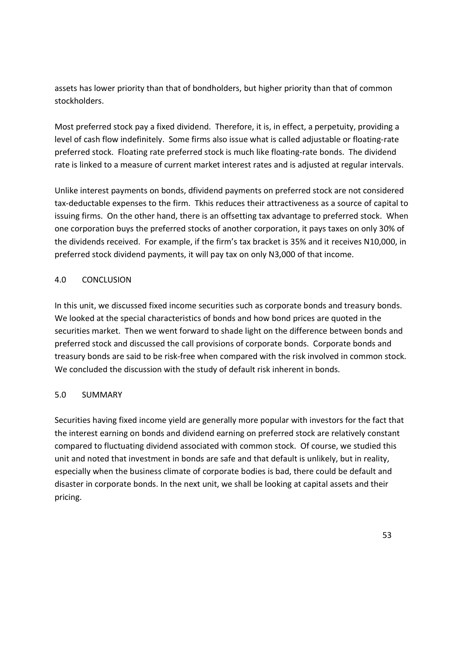assets has lower priority than that of bondholders, but higher priority than that of common stockholders.

Most preferred stock pay a fixed dividend. Therefore, it is, in effect, a perpetuity, providing a level of cash flow indefinitely. Some firms also issue what is called adjustable or floating-rate preferred stock. Floating rate preferred stock is much like floating-rate bonds. The dividend rate is linked to a measure of current market interest rates and is adjusted at regular intervals.

Unlike interest payments on bonds, dfividend payments on preferred stock are not considered tax-deductable expenses to the firm. Tkhis reduces their attractiveness as a source of capital to issuing firms. On the other hand, there is an offsetting tax advantage to preferred stock. When one corporation buys the preferred stocks of another corporation, it pays taxes on only 30% of the dividends received. For example, if the firm's tax bracket is 35% and it receives N10,000, in preferred stock dividend payments, it will pay tax on only N3,000 of that income.

## 4.0 CONCLUSION

In this unit, we discussed fixed income securities such as corporate bonds and treasury bonds. We looked at the special characteristics of bonds and how bond prices are quoted in the securities market. Then we went forward to shade light on the difference between bonds and preferred stock and discussed the call provisions of corporate bonds. Corporate bonds and treasury bonds are said to be risk-free when compared with the risk involved in common stock. We concluded the discussion with the study of default risk inherent in bonds.

#### 5.0 SUMMARY

Securities having fixed income yield are generally more popular with investors for the fact that the interest earning on bonds and dividend earning on preferred stock are relatively constant compared to fluctuating dividend associated with common stock. Of course, we studied this unit and noted that investment in bonds are safe and that default is unlikely, but in reality, especially when the business climate of corporate bodies is bad, there could be default and disaster in corporate bonds. In the next unit, we shall be looking at capital assets and their pricing.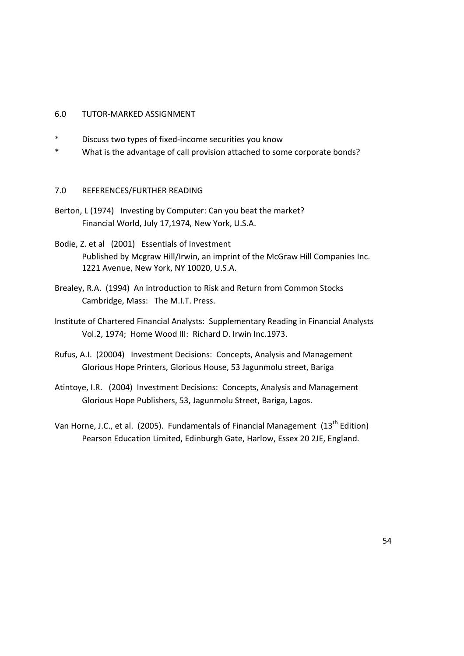#### 6.0 TUTOR-MARKED ASSIGNMENT

- \* Discuss two types of fixed-income securities you know
- \* What is the advantage of call provision attached to some corporate bonds?

#### 7.0 REFERENCES/FURTHER READING

- Berton, L (1974) Investing by Computer: Can you beat the market? Financial World, July 17,1974, New York, U.S.A.
- Bodie, Z. et al (2001) Essentials of Investment Published by Mcgraw Hill/Irwin, an imprint of the McGraw Hill Companies Inc. 1221 Avenue, New York, NY 10020, U.S.A.
- Brealey, R.A. (1994) An introduction to Risk and Return from Common Stocks Cambridge, Mass: The M.I.T. Press.
- Institute of Chartered Financial Analysts: Supplementary Reading in Financial Analysts Vol.2, 1974; Home Wood III: Richard D. Irwin Inc.1973.
- Rufus, A.I. (20004) Investment Decisions: Concepts, Analysis and Management Glorious Hope Printers, Glorious House, 53 Jagunmolu street, Bariga
- Atintoye, I.R. (2004) Investment Decisions: Concepts, Analysis and Management Glorious Hope Publishers, 53, Jagunmolu Street, Bariga, Lagos.
- Van Horne, J.C., et al. (2005). Fundamentals of Financial Management (13<sup>th</sup> Edition) Pearson Education Limited, Edinburgh Gate, Harlow, Essex 20 2JE, England.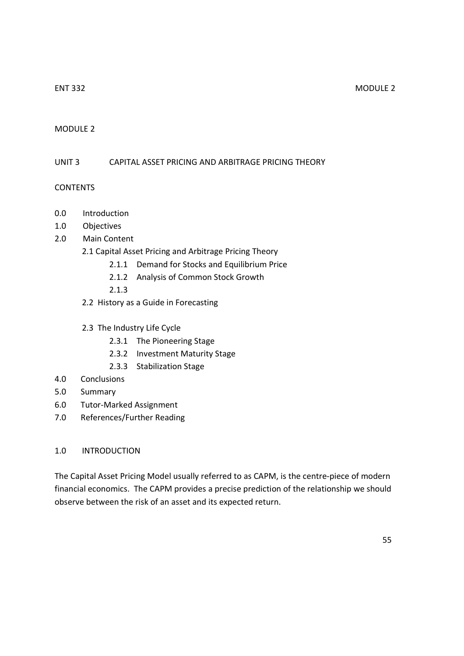## MODULE 2

#### UNIT 3 CAPITAL ASSET PRICING AND ARBITRAGE PRICING THEORY

#### **CONTENTS**

- 0.0 Introduction
- 1.0 Objectives
- 2.0 Main Content
	- 2.1 Capital Asset Pricing and Arbitrage Pricing Theory
		- 2.1.1 Demand for Stocks and Equilibrium Price
		- 2.1.2 Analysis of Common Stock Growth
		- 2.1.3
	- 2.2 History as a Guide in Forecasting
	- 2.3 The Industry Life Cycle
		- 2.3.1 The Pioneering Stage
		- 2.3.2 Investment Maturity Stage
		- 2.3.3 Stabilization Stage
- 4.0 Conclusions
- 5.0 Summary
- 6.0 Tutor-Marked Assignment
- 7.0 References/Further Reading

#### 1.0 INTRODUCTION

The Capital Asset Pricing Model usually referred to as CAPM, is the centre-piece of modern financial economics. The CAPM provides a precise prediction of the relationship we should observe between the risk of an asset and its expected return.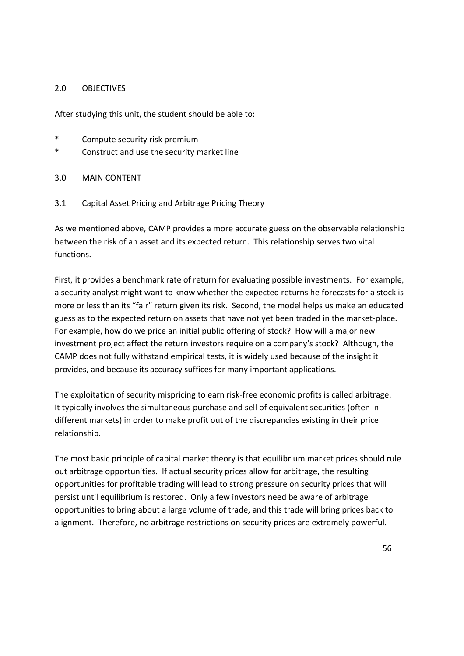#### 2.0 OBJECTIVES

After studying this unit, the student should be able to:

- \* Compute security risk premium
- \* Construct and use the security market line
- 3.0 MAIN CONTENT
- 3.1 Capital Asset Pricing and Arbitrage Pricing Theory

As we mentioned above, CAMP provides a more accurate guess on the observable relationship between the risk of an asset and its expected return. This relationship serves two vital functions.

First, it provides a benchmark rate of return for evaluating possible investments. For example, a security analyst might want to know whether the expected returns he forecasts for a stock is more or less than its "fair" return given its risk. Second, the model helps us make an educated guess as to the expected return on assets that have not yet been traded in the market-place. For example, how do we price an initial public offering of stock? How will a major new investment project affect the return investors require on a company's stock? Although, the CAMP does not fully withstand empirical tests, it is widely used because of the insight it provides, and because its accuracy suffices for many important applications.

The exploitation of security mispricing to earn risk-free economic profits is called arbitrage. It typically involves the simultaneous purchase and sell of equivalent securities (often in different markets) in order to make profit out of the discrepancies existing in their price relationship.

The most basic principle of capital market theory is that equilibrium market prices should rule out arbitrage opportunities. If actual security prices allow for arbitrage, the resulting opportunities for profitable trading will lead to strong pressure on security prices that will persist until equilibrium is restored. Only a few investors need be aware of arbitrage opportunities to bring about a large volume of trade, and this trade will bring prices back to alignment. Therefore, no arbitrage restrictions on security prices are extremely powerful.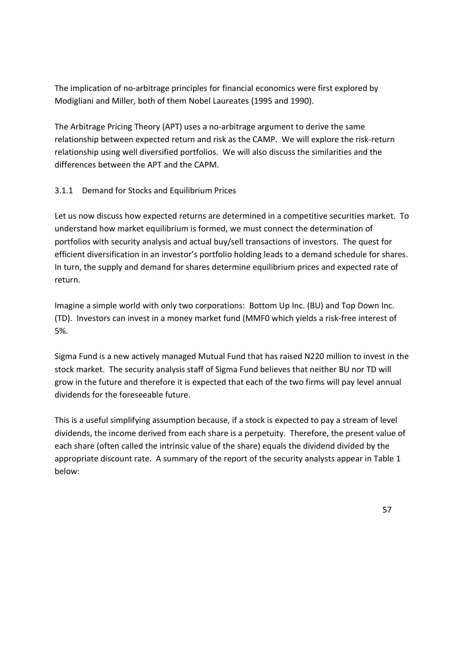The implication of no-arbitrage principles for financial economics were first explored by Modigliani and Miller, both of them Nobel Laureates (1995 and 1990).

The Arbitrage Pricing Theory (APT) uses a no-arbitrage argument to derive the same relationship between expected return and risk as the CAMP. We will explore the risk-return relationship using well diversified portfolios. We will also discuss the similarities and the differences between the APT and the CAPM.

# 3.1.1 Demand for Stocks and Equilibrium Prices

Let us now discuss how expected returns are determined in a competitive securities market. To understand how market equilibrium is formed, we must connect the determination of portfolios with security analysis and actual buy/sell transactions of investors. The quest for efficient diversification in an investor's portfolio holding leads to a demand schedule for shares. In turn, the supply and demand for shares determine equilibrium prices and expected rate of return.

Imagine a simple world with only two corporations: Bottom Up Inc. (BU) and Top Down Inc. (TD). Investors can invest in a money market fund (MMF0 which yields a risk-free interest of 5%.

Sigma Fund is a new actively managed Mutual Fund that has raised N220 million to invest in the stock market. The security analysis staff of Sigma Fund believes that neither BU nor TD will grow in the future and therefore it is expected that each of the two firms will pay level annual dividends for the foreseeable future.

This is a useful simplifying assumption because, if a stock is expected to pay a stream of level dividends, the income derived from each share is a perpetuity. Therefore, the present value of each share (often called the intrinsic value of the share) equals the dividend divided by the appropriate discount rate. A summary of the report of the security analysts appear in Table 1 below: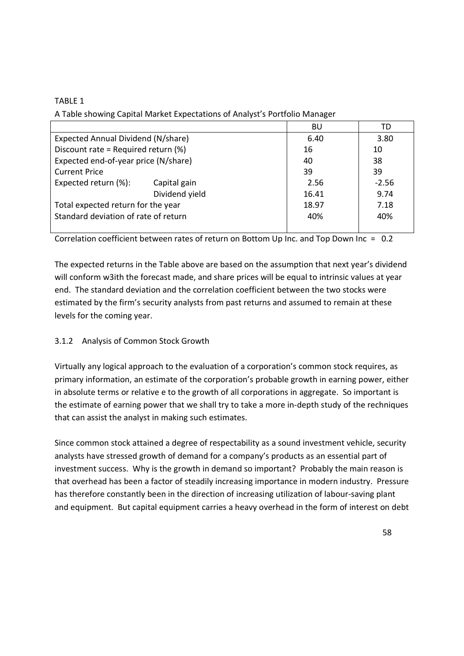# TABLE 1

A Table showing Capital Market Expectations of Analyst's Portfolio Manager

|                                      |                | BU    | TD      |
|--------------------------------------|----------------|-------|---------|
| Expected Annual Dividend (N/share)   | 6.40           | 3.80  |         |
| Discount rate = Required return (%)  | 16             | 10    |         |
| Expected end-of-year price (N/share) |                | 40    | 38      |
| <b>Current Price</b>                 |                | 39    | 39      |
| Expected return (%):                 | Capital gain   | 2.56  | $-2.56$ |
|                                      | Dividend yield | 16.41 | 9.74    |
| Total expected return for the year   |                | 18.97 | 7.18    |
| Standard deviation of rate of return |                | 40%   | 40%     |
|                                      |                |       |         |

Correlation coefficient between rates of return on Bottom Up Inc. and Top Down Inc = 0.2

The expected returns in the Table above are based on the assumption that next year's dividend will conform w3ith the forecast made, and share prices will be equal to intrinsic values at year end. The standard deviation and the correlation coefficient between the two stocks were estimated by the firm's security analysts from past returns and assumed to remain at these levels for the coming year.

# 3.1.2 Analysis of Common Stock Growth

Virtually any logical approach to the evaluation of a corporation's common stock requires, as primary information, an estimate of the corporation's probable growth in earning power, either in absolute terms or relative e to the growth of all corporations in aggregate. So important is the estimate of earning power that we shall try to take a more in-depth study of the rechniques that can assist the analyst in making such estimates.

Since common stock attained a degree of respectability as a sound investment vehicle, security analysts have stressed growth of demand for a company's products as an essential part of investment success. Why is the growth in demand so important? Probably the main reason is that overhead has been a factor of steadily increasing importance in modern industry. Pressure has therefore constantly been in the direction of increasing utilization of labour-saving plant and equipment. But capital equipment carries a heavy overhead in the form of interest on debt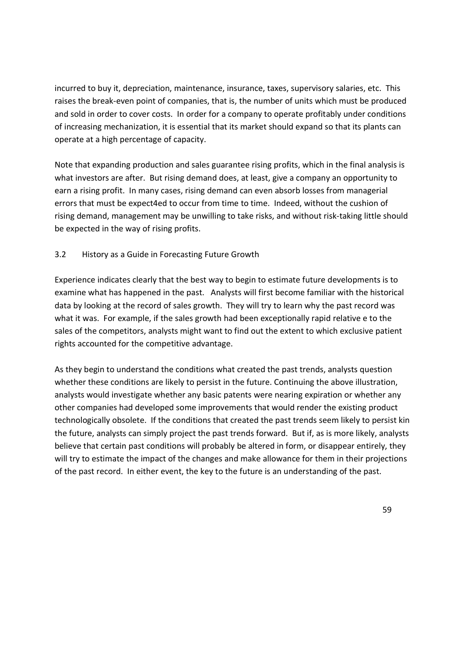incurred to buy it, depreciation, maintenance, insurance, taxes, supervisory salaries, etc. This raises the break-even point of companies, that is, the number of units which must be produced and sold in order to cover costs. In order for a company to operate profitably under conditions of increasing mechanization, it is essential that its market should expand so that its plants can operate at a high percentage of capacity.

Note that expanding production and sales guarantee rising profits, which in the final analysis is what investors are after. But rising demand does, at least, give a company an opportunity to earn a rising profit. In many cases, rising demand can even absorb losses from managerial errors that must be expect4ed to occur from time to time. Indeed, without the cushion of rising demand, management may be unwilling to take risks, and without risk-taking little should be expected in the way of rising profits.

## 3.2 History as a Guide in Forecasting Future Growth

Experience indicates clearly that the best way to begin to estimate future developments is to examine what has happened in the past. Analysts will first become familiar with the historical data by looking at the record of sales growth. They will try to learn why the past record was what it was. For example, if the sales growth had been exceptionally rapid relative e to the sales of the competitors, analysts might want to find out the extent to which exclusive patient rights accounted for the competitive advantage.

As they begin to understand the conditions what created the past trends, analysts question whether these conditions are likely to persist in the future. Continuing the above illustration, analysts would investigate whether any basic patents were nearing expiration or whether any other companies had developed some improvements that would render the existing product technologically obsolete. If the conditions that created the past trends seem likely to persist kin the future, analysts can simply project the past trends forward. But if, as is more likely, analysts believe that certain past conditions will probably be altered in form, or disappear entirely, they will try to estimate the impact of the changes and make allowance for them in their projections of the past record. In either event, the key to the future is an understanding of the past.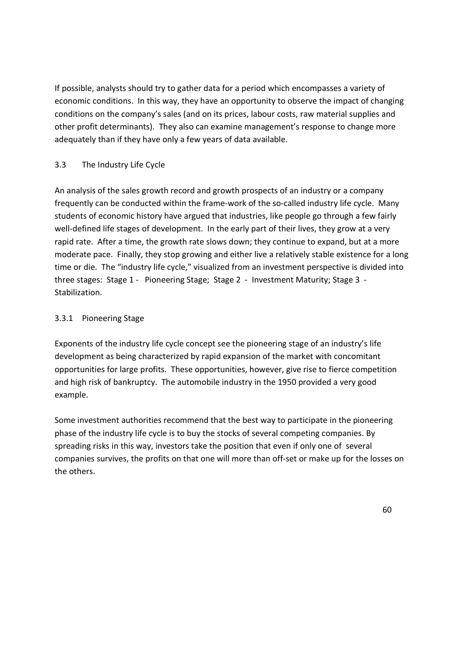If possible, analysts should try to gather data for a period which encompasses a variety of economic conditions. In this way, they have an opportunity to observe the impact of changing conditions on the company's sales (and on its prices, labour costs, raw material supplies and other profit determinants). They also can examine management's response to change more adequately than if they have only a few years of data available.

# 3.3 The Industry Life Cycle

An analysis of the sales growth record and growth prospects of an industry or a company frequently can be conducted within the frame-work of the so-called industry life cycle. Many students of economic history have argued that industries, like people go through a few fairly well-defined life stages of development. In the early part of their lives, they grow at a very rapid rate. After a time, the growth rate slows down; they continue to expand, but at a more moderate pace. Finally, they stop growing and either live a relatively stable existence for a long time or die. The "industry life cycle," visualized from an investment perspective is divided into three stages: Stage 1 - Pioneering Stage; Stage 2 - Investment Maturity; Stage 3 - Stabilization.

# 3.3.1 Pioneering Stage

Exponents of the industry life cycle concept see the pioneering stage of an industry's life development as being characterized by rapid expansion of the market with concomitant opportunities for large profits. These opportunities, however, give rise to fierce competition and high risk of bankruptcy. The automobile industry in the 1950 provided a very good example.

Some investment authorities recommend that the best way to participate in the pioneering phase of the industry life cycle is to buy the stocks of several competing companies. By spreading risks in this way, investors take the position that even if only one of several companies survives, the profits on that one will more than off-set or make up for the losses on the others.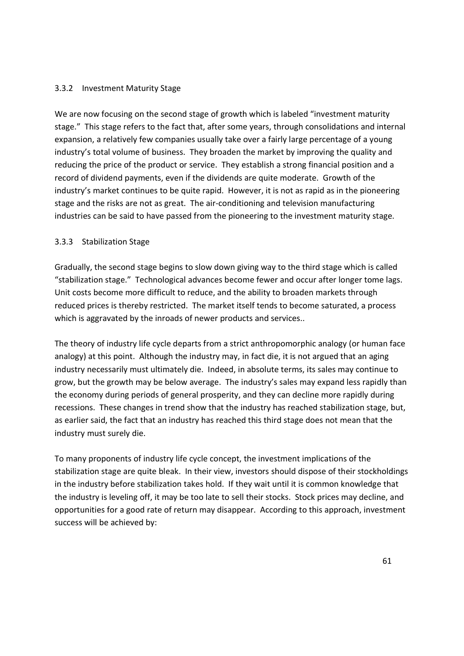### 3.3.2 Investment Maturity Stage

We are now focusing on the second stage of growth which is labeled "investment maturity" stage." This stage refers to the fact that, after some years, through consolidations and internal expansion, a relatively few companies usually take over a fairly large percentage of a young industry's total volume of business. They broaden the market by improving the quality and reducing the price of the product or service. They establish a strong financial position and a record of dividend payments, even if the dividends are quite moderate. Growth of the industry's market continues to be quite rapid. However, it is not as rapid as in the pioneering stage and the risks are not as great. The air-conditioning and television manufacturing industries can be said to have passed from the pioneering to the investment maturity stage.

## 3.3.3 Stabilization Stage

Gradually, the second stage begins to slow down giving way to the third stage which is called "stabilization stage." Technological advances become fewer and occur after longer tome lags. Unit costs become more difficult to reduce, and the ability to broaden markets through reduced prices is thereby restricted. The market itself tends to become saturated, a process which is aggravated by the inroads of newer products and services..

The theory of industry life cycle departs from a strict anthropomorphic analogy (or human face analogy) at this point. Although the industry may, in fact die, it is not argued that an aging industry necessarily must ultimately die. Indeed, in absolute terms, its sales may continue to grow, but the growth may be below average. The industry's sales may expand less rapidly than the economy during periods of general prosperity, and they can decline more rapidly during recessions. These changes in trend show that the industry has reached stabilization stage, but, as earlier said, the fact that an industry has reached this third stage does not mean that the industry must surely die.

To many proponents of industry life cycle concept, the investment implications of the stabilization stage are quite bleak. In their view, investors should dispose of their stockholdings in the industry before stabilization takes hold. If they wait until it is common knowledge that the industry is leveling off, it may be too late to sell their stocks. Stock prices may decline, and opportunities for a good rate of return may disappear. According to this approach, investment success will be achieved by: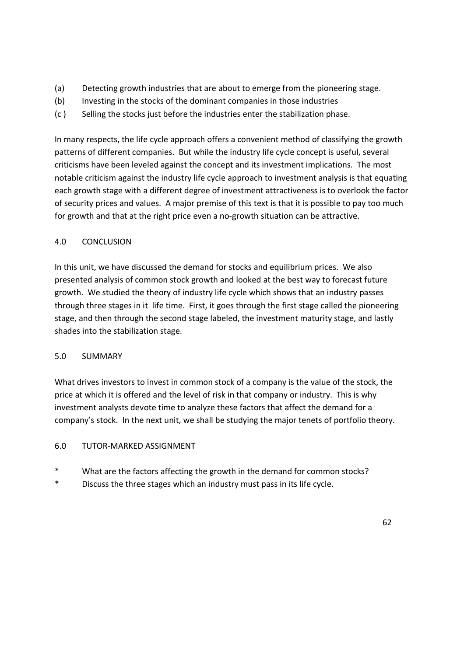- (a) Detecting growth industries that are about to emerge from the pioneering stage.
- (b) Investing in the stocks of the dominant companies in those industries
- (c ) Selling the stocks just before the industries enter the stabilization phase.

In many respects, the life cycle approach offers a convenient method of classifying the growth patterns of different companies. But while the industry life cycle concept is useful, several criticisms have been leveled against the concept and its investment implications. The most notable criticism against the industry life cycle approach to investment analysis is that equating each growth stage with a different degree of investment attractiveness is to overlook the factor of security prices and values. A major premise of this text is that it is possible to pay too much for growth and that at the right price even a no-growth situation can be attractive.

# 4.0 CONCLUSION

In this unit, we have discussed the demand for stocks and equilibrium prices. We also presented analysis of common stock growth and looked at the best way to forecast future growth. We studied the theory of industry life cycle which shows that an industry passes through three stages in it life time. First, it goes through the first stage called the pioneering stage, and then through the second stage labeled, the investment maturity stage, and lastly shades into the stabilization stage.

## 5.0 SUMMARY

What drives investors to invest in common stock of a company is the value of the stock, the price at which it is offered and the level of risk in that company or industry. This is why investment analysts devote time to analyze these factors that affect the demand for a company's stock. In the next unit, we shall be studying the major tenets of portfolio theory.

# 6.0 TUTOR-MARKED ASSIGNMENT

- \* What are the factors affecting the growth in the demand for common stocks?
- \* Discuss the three stages which an industry must pass in its life cycle.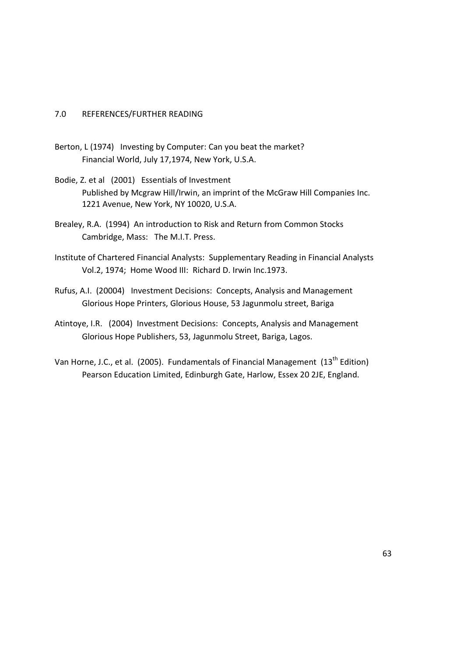#### 7.0 REFERENCES/FURTHER READING

- Berton, L (1974) Investing by Computer: Can you beat the market? Financial World, July 17,1974, New York, U.S.A.
- Bodie, Z. et al (2001) Essentials of Investment Published by Mcgraw Hill/Irwin, an imprint of the McGraw Hill Companies Inc. 1221 Avenue, New York, NY 10020, U.S.A.
- Brealey, R.A. (1994) An introduction to Risk and Return from Common Stocks Cambridge, Mass: The M.I.T. Press.
- Institute of Chartered Financial Analysts: Supplementary Reading in Financial Analysts Vol.2, 1974; Home Wood III: Richard D. Irwin Inc.1973.
- Rufus, A.I. (20004) Investment Decisions: Concepts, Analysis and Management Glorious Hope Printers, Glorious House, 53 Jagunmolu street, Bariga
- Atintoye, I.R. (2004) Investment Decisions: Concepts, Analysis and Management Glorious Hope Publishers, 53, Jagunmolu Street, Bariga, Lagos.
- Van Horne, J.C., et al. (2005). Fundamentals of Financial Management (13<sup>th</sup> Edition) Pearson Education Limited, Edinburgh Gate, Harlow, Essex 20 2JE, England.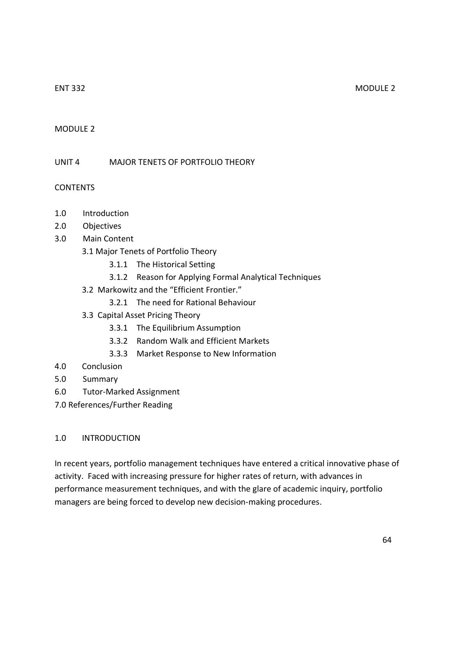### MODULE 2

UNIT 4 MAJOR TENETS OF PORTFOLIO THEORY

## CONTENTS

- 1.0 Introduction
- 2.0 Objectives
- 3.0 Main Content
	- 3.1 Major Tenets of Portfolio Theory
		- 3.1.1 The Historical Setting
		- 3.1.2 Reason for Applying Formal Analytical Techniques
	- 3.2 Markowitz and the "Efficient Frontier."
		- 3.2.1 The need for Rational Behaviour
	- 3.3 Capital Asset Pricing Theory
		- 3.3.1 The Equilibrium Assumption
		- 3.3.2 Random Walk and Efficient Markets
		- 3.3.3 Market Response to New Information
- 4.0 Conclusion
- 5.0 Summary
- 6.0 Tutor-Marked Assignment
- 7.0 References/Further Reading

#### 1.0 INTRODUCTION

In recent years, portfolio management techniques have entered a critical innovative phase of activity. Faced with increasing pressure for higher rates of return, with advances in performance measurement techniques, and with the glare of academic inquiry, portfolio managers are being forced to develop new decision-making procedures.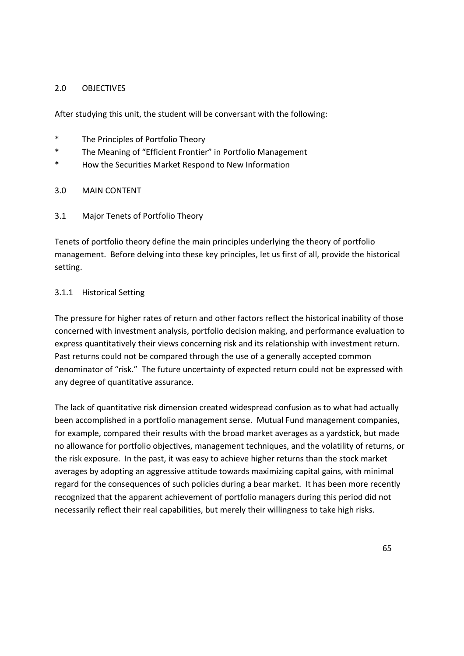### 2.0 OBJECTIVES

After studying this unit, the student will be conversant with the following:

- \* The Principles of Portfolio Theory
- \* The Meaning of "Efficient Frontier" in Portfolio Management
- \* How the Securities Market Respond to New Information
- 3.0 MAIN CONTENT
- 3.1 Major Tenets of Portfolio Theory

Tenets of portfolio theory define the main principles underlying the theory of portfolio management. Before delving into these key principles, let us first of all, provide the historical setting.

## 3.1.1 Historical Setting

The pressure for higher rates of return and other factors reflect the historical inability of those concerned with investment analysis, portfolio decision making, and performance evaluation to express quantitatively their views concerning risk and its relationship with investment return. Past returns could not be compared through the use of a generally accepted common denominator of "risk." The future uncertainty of expected return could not be expressed with any degree of quantitative assurance.

The lack of quantitative risk dimension created widespread confusion as to what had actually been accomplished in a portfolio management sense. Mutual Fund management companies, for example, compared their results with the broad market averages as a yardstick, but made no allowance for portfolio objectives, management techniques, and the volatility of returns, or the risk exposure. In the past, it was easy to achieve higher returns than the stock market averages by adopting an aggressive attitude towards maximizing capital gains, with minimal regard for the consequences of such policies during a bear market. It has been more recently recognized that the apparent achievement of portfolio managers during this period did not necessarily reflect their real capabilities, but merely their willingness to take high risks.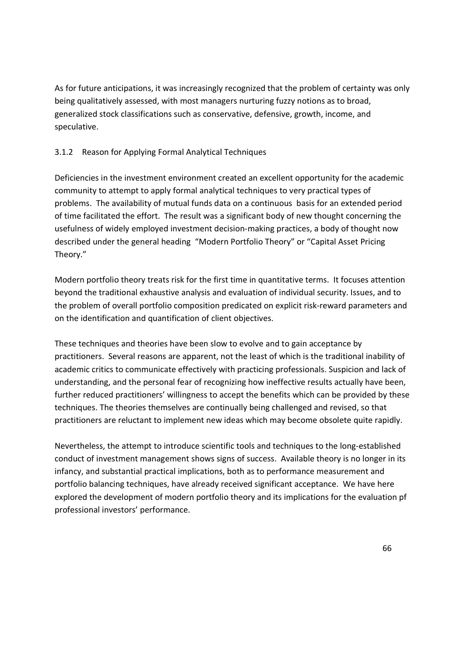As for future anticipations, it was increasingly recognized that the problem of certainty was only being qualitatively assessed, with most managers nurturing fuzzy notions as to broad, generalized stock classifications such as conservative, defensive, growth, income, and speculative.

# 3.1.2 Reason for Applying Formal Analytical Techniques

Deficiencies in the investment environment created an excellent opportunity for the academic community to attempt to apply formal analytical techniques to very practical types of problems. The availability of mutual funds data on a continuous basis for an extended period of time facilitated the effort. The result was a significant body of new thought concerning the usefulness of widely employed investment decision-making practices, a body of thought now described under the general heading "Modern Portfolio Theory" or "Capital Asset Pricing Theory."

Modern portfolio theory treats risk for the first time in quantitative terms. It focuses attention beyond the traditional exhaustive analysis and evaluation of individual security. Issues, and to the problem of overall portfolio composition predicated on explicit risk-reward parameters and on the identification and quantification of client objectives.

These techniques and theories have been slow to evolve and to gain acceptance by practitioners. Several reasons are apparent, not the least of which is the traditional inability of academic critics to communicate effectively with practicing professionals. Suspicion and lack of understanding, and the personal fear of recognizing how ineffective results actually have been, further reduced practitioners' willingness to accept the benefits which can be provided by these techniques. The theories themselves are continually being challenged and revised, so that practitioners are reluctant to implement new ideas which may become obsolete quite rapidly.

Nevertheless, the attempt to introduce scientific tools and techniques to the long-established conduct of investment management shows signs of success. Available theory is no longer in its infancy, and substantial practical implications, both as to performance measurement and portfolio balancing techniques, have already received significant acceptance. We have here explored the development of modern portfolio theory and its implications for the evaluation pf professional investors' performance.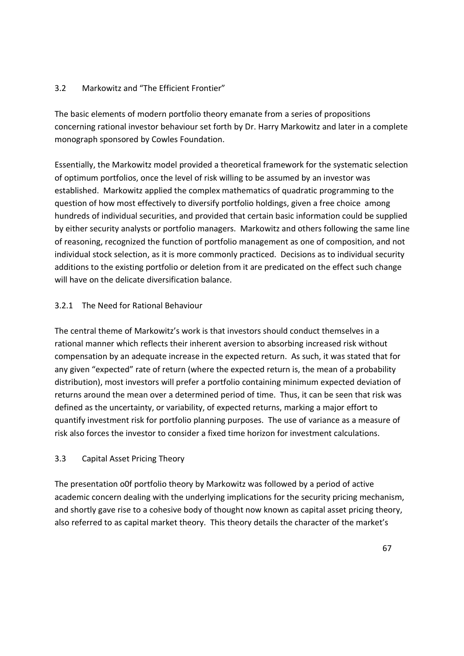## 3.2 Markowitz and "The Efficient Frontier"

The basic elements of modern portfolio theory emanate from a series of propositions concerning rational investor behaviour set forth by Dr. Harry Markowitz and later in a complete monograph sponsored by Cowles Foundation.

Essentially, the Markowitz model provided a theoretical framework for the systematic selection of optimum portfolios, once the level of risk willing to be assumed by an investor was established. Markowitz applied the complex mathematics of quadratic programming to the question of how most effectively to diversify portfolio holdings, given a free choice among hundreds of individual securities, and provided that certain basic information could be supplied by either security analysts or portfolio managers. Markowitz and others following the same line of reasoning, recognized the function of portfolio management as one of composition, and not individual stock selection, as it is more commonly practiced. Decisions as to individual security additions to the existing portfolio or deletion from it are predicated on the effect such change will have on the delicate diversification balance.

## 3.2.1 The Need for Rational Behaviour

The central theme of Markowitz's work is that investors should conduct themselves in a rational manner which reflects their inherent aversion to absorbing increased risk without compensation by an adequate increase in the expected return. As such, it was stated that for any given "expected" rate of return (where the expected return is, the mean of a probability distribution), most investors will prefer a portfolio containing minimum expected deviation of returns around the mean over a determined period of time. Thus, it can be seen that risk was defined as the uncertainty, or variability, of expected returns, marking a major effort to quantify investment risk for portfolio planning purposes. The use of variance as a measure of risk also forces the investor to consider a fixed time horizon for investment calculations.

## 3.3 Capital Asset Pricing Theory

The presentation o0f portfolio theory by Markowitz was followed by a period of active academic concern dealing with the underlying implications for the security pricing mechanism, and shortly gave rise to a cohesive body of thought now known as capital asset pricing theory, also referred to as capital market theory. This theory details the character of the market's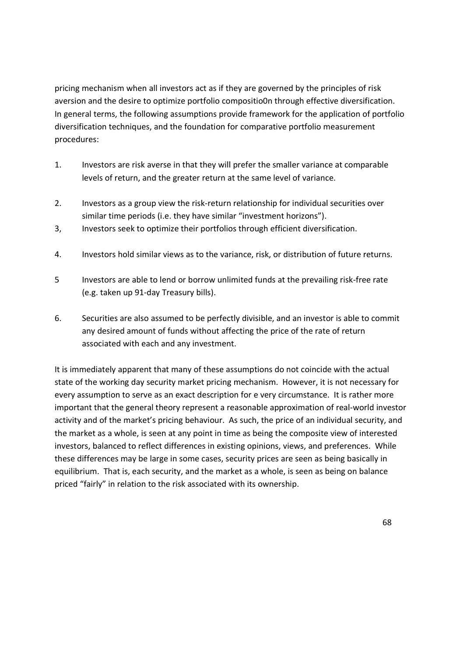pricing mechanism when all investors act as if they are governed by the principles of risk aversion and the desire to optimize portfolio compositio0n through effective diversification. In general terms, the following assumptions provide framework for the application of portfolio diversification techniques, and the foundation for comparative portfolio measurement procedures:

- 1. Investors are risk averse in that they will prefer the smaller variance at comparable levels of return, and the greater return at the same level of variance.
- 2. Investors as a group view the risk-return relationship for individual securities over similar time periods (i.e. they have similar "investment horizons").
- 3, Investors seek to optimize their portfolios through efficient diversification.
- 4. Investors hold similar views as to the variance, risk, or distribution of future returns.
- 5 Investors are able to lend or borrow unlimited funds at the prevailing risk-free rate (e.g. taken up 91-day Treasury bills).
- 6. Securities are also assumed to be perfectly divisible, and an investor is able to commit any desired amount of funds without affecting the price of the rate of return associated with each and any investment.

It is immediately apparent that many of these assumptions do not coincide with the actual state of the working day security market pricing mechanism. However, it is not necessary for every assumption to serve as an exact description for e very circumstance. It is rather more important that the general theory represent a reasonable approximation of real-world investor activity and of the market's pricing behaviour. As such, the price of an individual security, and the market as a whole, is seen at any point in time as being the composite view of interested investors, balanced to reflect differences in existing opinions, views, and preferences. While these differences may be large in some cases, security prices are seen as being basically in equilibrium. That is, each security, and the market as a whole, is seen as being on balance priced "fairly" in relation to the risk associated with its ownership.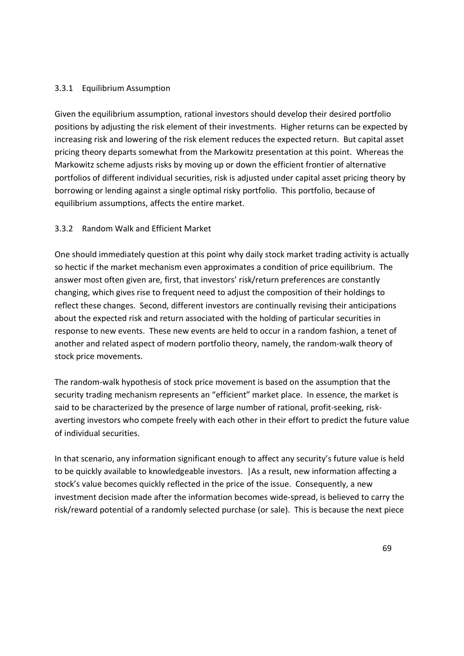#### 3.3.1 Equilibrium Assumption

Given the equilibrium assumption, rational investors should develop their desired portfolio positions by adjusting the risk element of their investments. Higher returns can be expected by increasing risk and lowering of the risk element reduces the expected return. But capital asset pricing theory departs somewhat from the Markowitz presentation at this point. Whereas the Markowitz scheme adjusts risks by moving up or down the efficient frontier of alternative portfolios of different individual securities, risk is adjusted under capital asset pricing theory by borrowing or lending against a single optimal risky portfolio. This portfolio, because of equilibrium assumptions, affects the entire market.

## 3.3.2 Random Walk and Efficient Market

One should immediately question at this point why daily stock market trading activity is actually so hectic if the market mechanism even approximates a condition of price equilibrium. The answer most often given are, first, that investors' risk/return preferences are constantly changing, which gives rise to frequent need to adjust the composition of their holdings to reflect these changes. Second, different investors are continually revising their anticipations about the expected risk and return associated with the holding of particular securities in response to new events. These new events are held to occur in a random fashion, a tenet of another and related aspect of modern portfolio theory, namely, the random-walk theory of stock price movements.

The random-walk hypothesis of stock price movement is based on the assumption that the security trading mechanism represents an "efficient" market place. In essence, the market is said to be characterized by the presence of large number of rational, profit-seeking, riskaverting investors who compete freely with each other in their effort to predict the future value of individual securities.

In that scenario, any information significant enough to affect any security's future value is held to be quickly available to knowledgeable investors. |As a result, new information affecting a stock's value becomes quickly reflected in the price of the issue. Consequently, a new investment decision made after the information becomes wide-spread, is believed to carry the risk/reward potential of a randomly selected purchase (or sale). This is because the next piece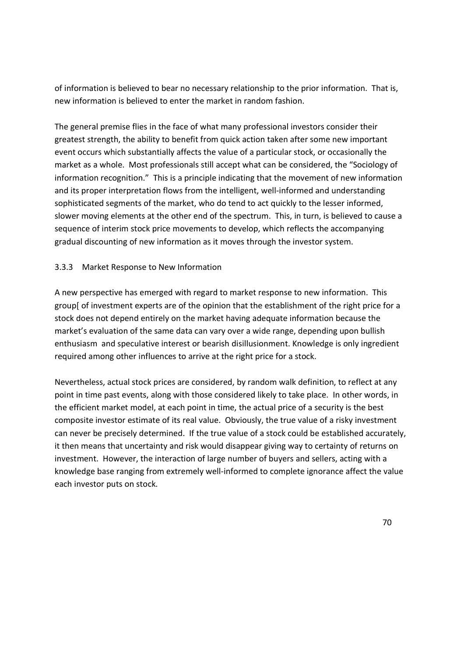of information is believed to bear no necessary relationship to the prior information. That is, new information is believed to enter the market in random fashion.

The general premise flies in the face of what many professional investors consider their greatest strength, the ability to benefit from quick action taken after some new important event occurs which substantially affects the value of a particular stock, or occasionally the market as a whole. Most professionals still accept what can be considered, the "Sociology of information recognition." This is a principle indicating that the movement of new information and its proper interpretation flows from the intelligent, well-informed and understanding sophisticated segments of the market, who do tend to act quickly to the lesser informed, slower moving elements at the other end of the spectrum. This, in turn, is believed to cause a sequence of interim stock price movements to develop, which reflects the accompanying gradual discounting of new information as it moves through the investor system.

## 3.3.3 Market Response to New Information

A new perspective has emerged with regard to market response to new information. This group[ of investment experts are of the opinion that the establishment of the right price for a stock does not depend entirely on the market having adequate information because the market's evaluation of the same data can vary over a wide range, depending upon bullish enthusiasm and speculative interest or bearish disillusionment. Knowledge is only ingredient required among other influences to arrive at the right price for a stock.

Nevertheless, actual stock prices are considered, by random walk definition, to reflect at any point in time past events, along with those considered likely to take place. In other words, in the efficient market model, at each point in time, the actual price of a security is the best composite investor estimate of its real value. Obviously, the true value of a risky investment can never be precisely determined. If the true value of a stock could be established accurately, it then means that uncertainty and risk would disappear giving way to certainty of returns on investment. However, the interaction of large number of buyers and sellers, acting with a knowledge base ranging from extremely well-informed to complete ignorance affect the value each investor puts on stock.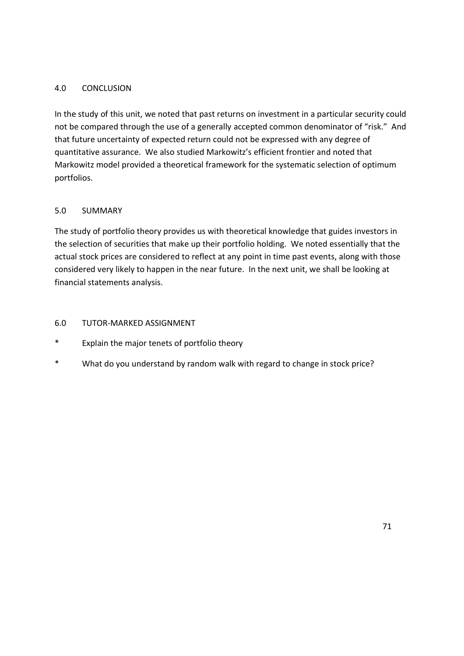## 4.0 CONCLUSION

In the study of this unit, we noted that past returns on investment in a particular security could not be compared through the use of a generally accepted common denominator of "risk." And that future uncertainty of expected return could not be expressed with any degree of quantitative assurance. We also studied Markowitz's efficient frontier and noted that Markowitz model provided a theoretical framework for the systematic selection of optimum portfolios.

## 5.0 SUMMARY

The study of portfolio theory provides us with theoretical knowledge that guides investors in the selection of securities that make up their portfolio holding. We noted essentially that the actual stock prices are considered to reflect at any point in time past events, along with those considered very likely to happen in the near future. In the next unit, we shall be looking at financial statements analysis.

## 6.0 TUTOR-MARKED ASSIGNMENT

- \* Explain the major tenets of portfolio theory
- \* What do you understand by random walk with regard to change in stock price?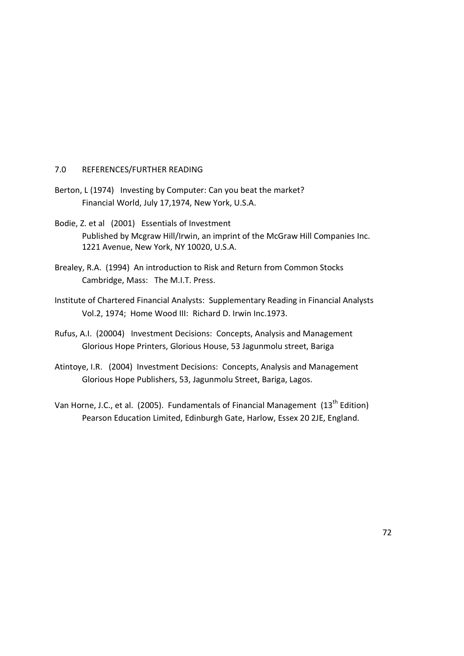#### 7.0 REFERENCES/FURTHER READING

- Berton, L (1974) Investing by Computer: Can you beat the market? Financial World, July 17,1974, New York, U.S.A.
- Bodie, Z. et al (2001) Essentials of Investment Published by Mcgraw Hill/Irwin, an imprint of the McGraw Hill Companies Inc. 1221 Avenue, New York, NY 10020, U.S.A.
- Brealey, R.A. (1994) An introduction to Risk and Return from Common Stocks Cambridge, Mass: The M.I.T. Press.
- Institute of Chartered Financial Analysts: Supplementary Reading in Financial Analysts Vol.2, 1974; Home Wood III: Richard D. Irwin Inc.1973.
- Rufus, A.I. (20004) Investment Decisions: Concepts, Analysis and Management Glorious Hope Printers, Glorious House, 53 Jagunmolu street, Bariga
- Atintoye, I.R. (2004) Investment Decisions: Concepts, Analysis and Management Glorious Hope Publishers, 53, Jagunmolu Street, Bariga, Lagos.
- Van Horne, J.C., et al. (2005). Fundamentals of Financial Management (13<sup>th</sup> Edition) Pearson Education Limited, Edinburgh Gate, Harlow, Essex 20 2JE, England.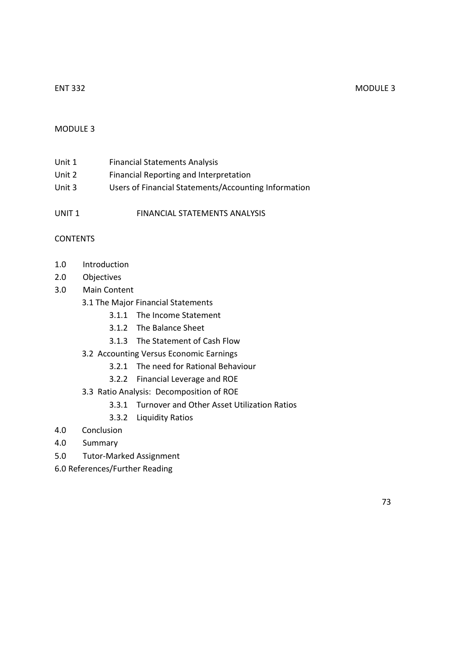#### ENT 332 MODULE 3

#### MODULE 3

| Unit 1 | <b>Financial Statements Analysis</b>                 |
|--------|------------------------------------------------------|
| Unit 2 | Financial Reporting and Interpretation               |
| Unit 3 | Users of Financial Statements/Accounting Information |

UNIT 1 FINANCIAL STATEMENTS ANALYSIS

## **CONTENTS**

- 1.0 Introduction
- 2.0 Objectives
- 3.0 Main Content
	- 3.1 The Major Financial Statements
		- 3.1.1 The Income Statement
		- 3.1.2 The Balance Sheet
		- 3.1.3 The Statement of Cash Flow
	- 3.2 Accounting Versus Economic Earnings
		- 3.2.1 The need for Rational Behaviour
		- 3.2.2 Financial Leverage and ROE
	- 3.3 Ratio Analysis: Decomposition of ROE
		- 3.3.1 Turnover and Other Asset Utilization Ratios
		- 3.3.2 Liquidity Ratios
- 4.0 Conclusion
- 4.0 Summary
- 5.0 Tutor-Marked Assignment
- 6.0 References/Further Reading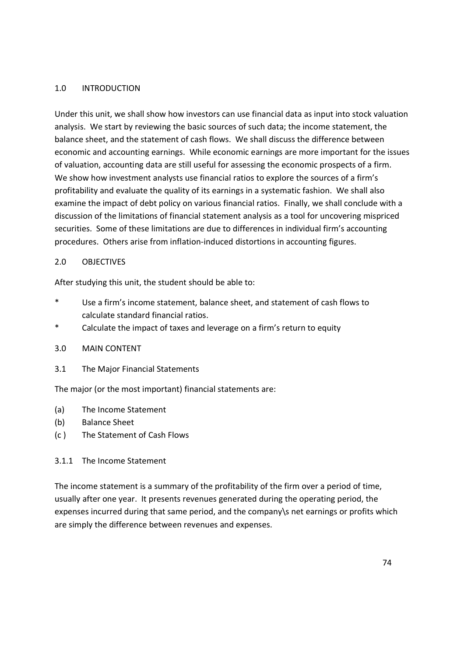#### 1.0 INTRODUCTION

Under this unit, we shall show how investors can use financial data as input into stock valuation analysis. We start by reviewing the basic sources of such data; the income statement, the balance sheet, and the statement of cash flows. We shall discuss the difference between economic and accounting earnings. While economic earnings are more important for the issues of valuation, accounting data are still useful for assessing the economic prospects of a firm. We show how investment analysts use financial ratios to explore the sources of a firm's profitability and evaluate the quality of its earnings in a systematic fashion. We shall also examine the impact of debt policy on various financial ratios. Finally, we shall conclude with a discussion of the limitations of financial statement analysis as a tool for uncovering mispriced securities. Some of these limitations are due to differences in individual firm's accounting procedures. Others arise from inflation-induced distortions in accounting figures.

## 2.0 OBJECTIVES

After studying this unit, the student should be able to:

- \* Use a firm's income statement, balance sheet, and statement of cash flows to calculate standard financial ratios.
- \* Calculate the impact of taxes and leverage on a firm's return to equity

#### 3.0 MAIN CONTENT

3.1 The Major Financial Statements

The major (or the most important) financial statements are:

- (a) The Income Statement
- (b) Balance Sheet
- (c ) The Statement of Cash Flows

#### 3.1.1 The Income Statement

The income statement is a summary of the profitability of the firm over a period of time, usually after one year. It presents revenues generated during the operating period, the expenses incurred during that same period, and the company\s net earnings or profits which are simply the difference between revenues and expenses.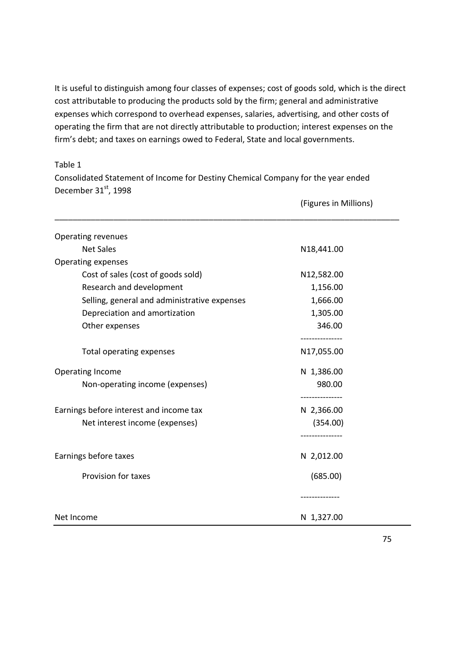It is useful to distinguish among four classes of expenses; cost of goods sold, which is the direct cost attributable to producing the products sold by the firm; general and administrative expenses which correspond to overhead expenses, salaries, advertising, and other costs of operating the firm that are not directly attributable to production; interest expenses on the firm's debt; and taxes on earnings owed to Federal, State and local governments.

#### Table 1

Consolidated Statement of Income for Destiny Chemical Company for the year ended December 31st, 1998

| <b>Operating revenues</b>                    |              |
|----------------------------------------------|--------------|
| <b>Net Sales</b>                             | N18,441.00   |
| <b>Operating expenses</b>                    |              |
| Cost of sales (cost of goods sold)           | N12,582.00   |
| Research and development                     | 1,156.00     |
| Selling, general and administrative expenses | 1,666.00     |
| Depreciation and amortization                | 1,305.00     |
| Other expenses                               | 346.00       |
| Total operating expenses                     | N17,055.00   |
| <b>Operating Income</b>                      | N 1,386.00   |
| Non-operating income (expenses)              | 980.00       |
| Earnings before interest and income tax      | N 2,366.00   |
| Net interest income (expenses)               | (354.00)     |
|                                              |              |
| Earnings before taxes                        | N 2,012.00   |
| Provision for taxes                          | (685.00)     |
|                                              | ------------ |
| Net Income                                   | N 1,327.00   |

75

(Figures in Millions)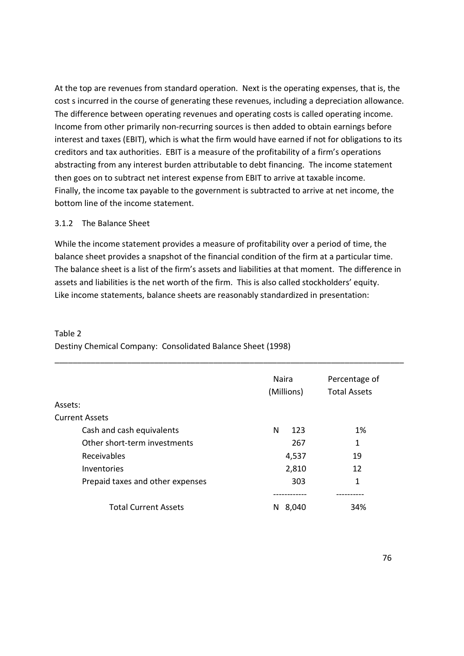At the top are revenues from standard operation. Next is the operating expenses, that is, the cost s incurred in the course of generating these revenues, including a depreciation allowance. The difference between operating revenues and operating costs is called operating income. Income from other primarily non-recurring sources is then added to obtain earnings before interest and taxes (EBIT), which is what the firm would have earned if not for obligations to its creditors and tax authorities. EBIT is a measure of the profitability of a firm's operations abstracting from any interest burden attributable to debt financing. The income statement then goes on to subtract net interest expense from EBIT to arrive at taxable income. Finally, the income tax payable to the government is subtracted to arrive at net income, the bottom line of the income statement.

#### 3.1.2 The Balance Sheet

While the income statement provides a measure of profitability over a period of time, the balance sheet provides a snapshot of the financial condition of the firm at a particular time. The balance sheet is a list of the firm's assets and liabilities at that moment. The difference in assets and liabilities is the net worth of the firm. This is also called stockholders' equity. Like income statements, balance sheets are reasonably standardized in presentation:

|                                  | <b>Naira</b><br>(Millions) | Percentage of<br><b>Total Assets</b> |
|----------------------------------|----------------------------|--------------------------------------|
| Assets:                          |                            |                                      |
| <b>Current Assets</b>            |                            |                                      |
| Cash and cash equivalents        | N<br>123                   | 1%                                   |
| Other short-term investments     | 267                        | 1                                    |
| Receivables                      | 4,537                      | 19                                   |
| Inventories                      | 2,810                      | 12                                   |
| Prepaid taxes and other expenses | 303                        | 1                                    |
|                                  |                            |                                      |
| <b>Total Current Assets</b>      | 8,040<br>N                 | 34%                                  |

Destiny Chemical Company: Consolidated Balance Sheet (1998)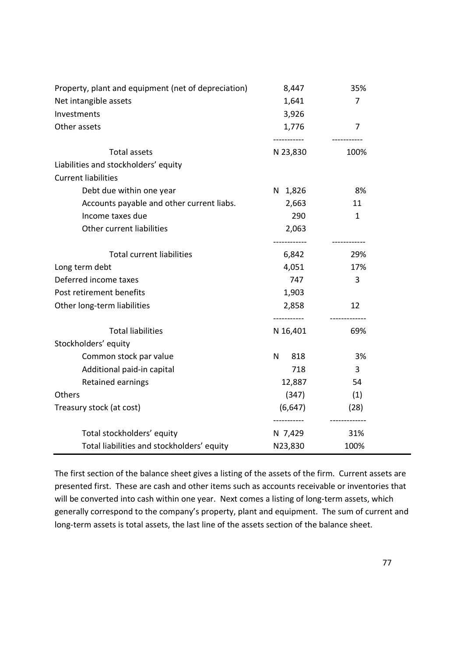| Property, plant and equipment (net of depreciation) | 8,447                   | 35%            |
|-----------------------------------------------------|-------------------------|----------------|
| Net intangible assets                               | 1,641                   | $\overline{7}$ |
| Investments                                         | 3,926                   |                |
| Other assets                                        | 1,776                   | $\overline{7}$ |
| <b>Total assets</b>                                 | -----------<br>N 23,830 | 100%           |
| Liabilities and stockholders' equity                |                         |                |
| <b>Current liabilities</b>                          |                         |                |
| Debt due within one year                            | N 1,826                 | 8%             |
| Accounts payable and other current liabs.           | 2,663                   | 11             |
| Income taxes due                                    | 290                     | 1              |
| Other current liabilities                           | 2,063                   |                |
|                                                     |                         |                |
| <b>Total current liabilities</b>                    | 6,842                   | 29%            |
| Long term debt                                      | 4,051                   | 17%            |
| Deferred income taxes                               | 747                     | 3              |
| Post retirement benefits                            | 1,903                   |                |
| Other long-term liabilities                         | 2,858<br>-----------    | 12             |
| <b>Total liabilities</b>                            | N 16,401                | 69%            |
| Stockholders' equity                                |                         |                |
| Common stock par value                              | N<br>818                | 3%             |
| Additional paid-in capital                          | 718                     | 3              |
| Retained earnings                                   | 12,887                  | 54             |
| <b>Others</b>                                       | (347)                   | (1)            |
| Treasury stock (at cost)                            | (6, 647)                | (28)           |
| Total stockholders' equity                          | N 7,429                 | 31%            |
| Total liabilities and stockholders' equity          | N23,830                 | 100%           |

The first section of the balance sheet gives a listing of the assets of the firm. Current assets are presented first. These are cash and other items such as accounts receivable or inventories that will be converted into cash within one year. Next comes a listing of long-term assets, which generally correspond to the company's property, plant and equipment. The sum of current and long-term assets is total assets, the last line of the assets section of the balance sheet.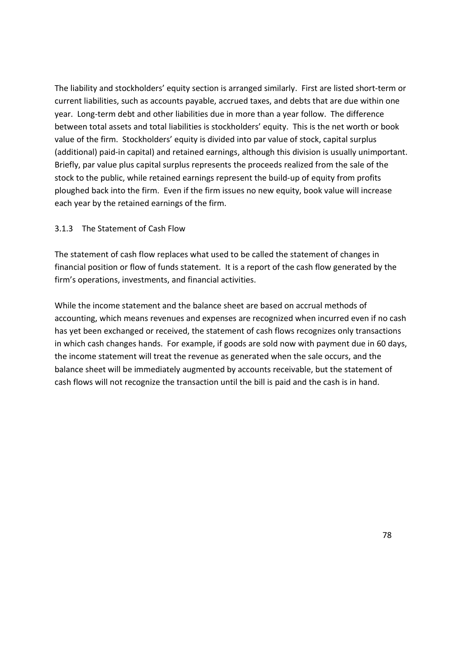The liability and stockholders' equity section is arranged similarly. First are listed short-term or current liabilities, such as accounts payable, accrued taxes, and debts that are due within one year. Long-term debt and other liabilities due in more than a year follow. The difference between total assets and total liabilities is stockholders' equity. This is the net worth or book value of the firm. Stockholders' equity is divided into par value of stock, capital surplus (additional) paid-in capital) and retained earnings, although this division is usually unimportant. Briefly, par value plus capital surplus represents the proceeds realized from the sale of the stock to the public, while retained earnings represent the build-up of equity from profits ploughed back into the firm. Even if the firm issues no new equity, book value will increase each year by the retained earnings of the firm.

#### 3.1.3 The Statement of Cash Flow

The statement of cash flow replaces what used to be called the statement of changes in financial position or flow of funds statement. It is a report of the cash flow generated by the firm's operations, investments, and financial activities.

While the income statement and the balance sheet are based on accrual methods of accounting, which means revenues and expenses are recognized when incurred even if no cash has yet been exchanged or received, the statement of cash flows recognizes only transactions in which cash changes hands. For example, if goods are sold now with payment due in 60 days, the income statement will treat the revenue as generated when the sale occurs, and the balance sheet will be immediately augmented by accounts receivable, but the statement of cash flows will not recognize the transaction until the bill is paid and the cash is in hand.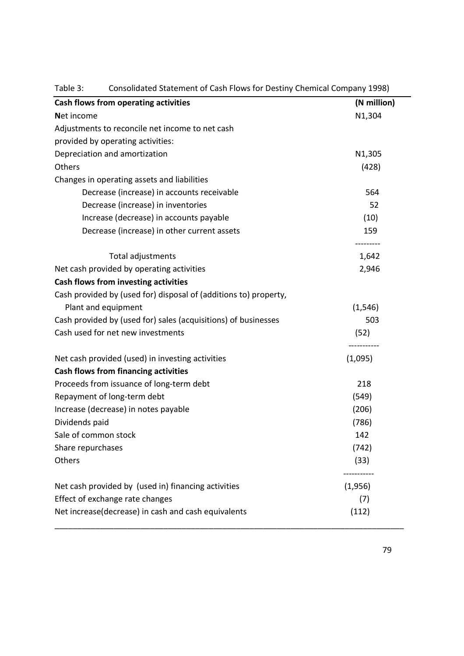| Cash flows from operating activities                             | (N million)           |
|------------------------------------------------------------------|-----------------------|
| Net income                                                       | N1,304                |
| Adjustments to reconcile net income to net cash                  |                       |
| provided by operating activities:                                |                       |
| Depreciation and amortization                                    | N1,305                |
| Others                                                           | (428)                 |
| Changes in operating assets and liabilities                      |                       |
| Decrease (increase) in accounts receivable                       | 564                   |
| Decrease (increase) in inventories                               | 52                    |
| Increase (decrease) in accounts payable                          | (10)                  |
| Decrease (increase) in other current assets                      | 159                   |
| Total adjustments                                                | 1,642                 |
| Net cash provided by operating activities                        | 2,946                 |
| Cash flows from investing activities                             |                       |
| Cash provided by (used for) disposal of (additions to) property, |                       |
| Plant and equipment                                              | (1, 546)              |
| Cash provided by (used for) sales (acquisitions) of businesses   | 503                   |
| Cash used for net new investments                                | (52)                  |
| Net cash provided (used) in investing activities                 | ----------<br>(1,095) |
| <b>Cash flows from financing activities</b>                      |                       |
| Proceeds from issuance of long-term debt                         | 218                   |
| Repayment of long-term debt                                      | (549)                 |
| Increase (decrease) in notes payable                             | (206)                 |
| Dividends paid                                                   | (786)                 |
| Sale of common stock                                             | 142                   |
| Share repurchases                                                | (742)                 |
| Others                                                           | (33)                  |
| Net cash provided by (used in) financing activities              | (1,956)               |
| Effect of exchange rate changes                                  | (7)                   |
| Net increase(decrease) in cash and cash equivalents              | (112)                 |

Table 3: Consolidated Statement of Cash Flows for Destiny Chemical Company 1998)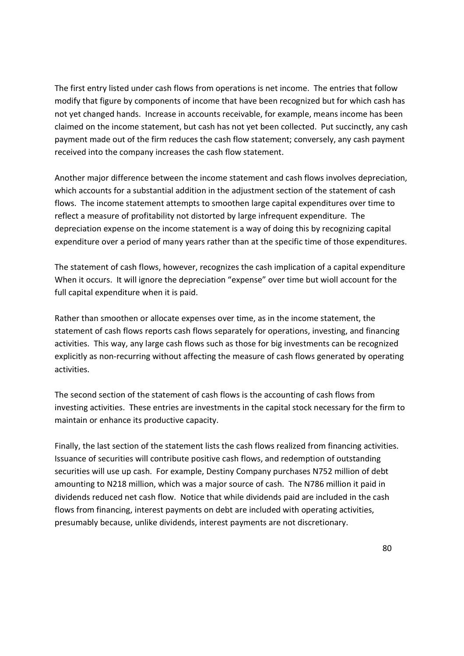The first entry listed under cash flows from operations is net income. The entries that follow modify that figure by components of income that have been recognized but for which cash has not yet changed hands. Increase in accounts receivable, for example, means income has been claimed on the income statement, but cash has not yet been collected. Put succinctly, any cash payment made out of the firm reduces the cash flow statement; conversely, any cash payment received into the company increases the cash flow statement.

Another major difference between the income statement and cash flows involves depreciation, which accounts for a substantial addition in the adjustment section of the statement of cash flows. The income statement attempts to smoothen large capital expenditures over time to reflect a measure of profitability not distorted by large infrequent expenditure. The depreciation expense on the income statement is a way of doing this by recognizing capital expenditure over a period of many years rather than at the specific time of those expenditures.

The statement of cash flows, however, recognizes the cash implication of a capital expenditure When it occurs. It will ignore the depreciation "expense" over time but wioll account for the full capital expenditure when it is paid.

Rather than smoothen or allocate expenses over time, as in the income statement, the statement of cash flows reports cash flows separately for operations, investing, and financing activities. This way, any large cash flows such as those for big investments can be recognized explicitly as non-recurring without affecting the measure of cash flows generated by operating activities.

The second section of the statement of cash flows is the accounting of cash flows from investing activities. These entries are investments in the capital stock necessary for the firm to maintain or enhance its productive capacity.

Finally, the last section of the statement lists the cash flows realized from financing activities. Issuance of securities will contribute positive cash flows, and redemption of outstanding securities will use up cash. For example, Destiny Company purchases N752 million of debt amounting to N218 million, which was a major source of cash. The N786 million it paid in dividends reduced net cash flow. Notice that while dividends paid are included in the cash flows from financing, interest payments on debt are included with operating activities, presumably because, unlike dividends, interest payments are not discretionary.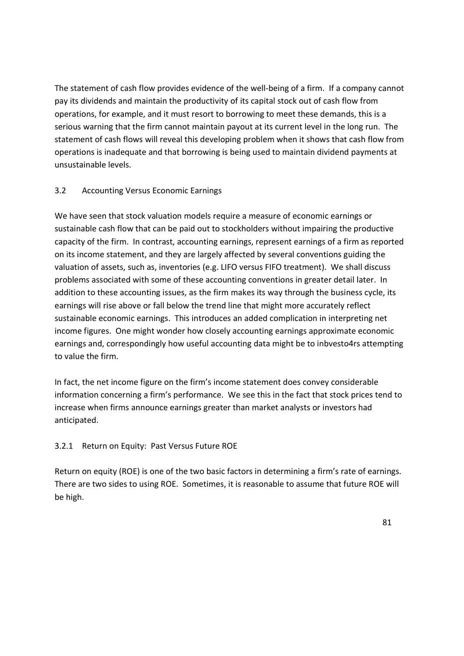The statement of cash flow provides evidence of the well-being of a firm. If a company cannot pay its dividends and maintain the productivity of its capital stock out of cash flow from operations, for example, and it must resort to borrowing to meet these demands, this is a serious warning that the firm cannot maintain payout at its current level in the long run. The statement of cash flows will reveal this developing problem when it shows that cash flow from operations is inadequate and that borrowing is being used to maintain dividend payments at unsustainable levels.

## 3.2 Accounting Versus Economic Earnings

We have seen that stock valuation models require a measure of economic earnings or sustainable cash flow that can be paid out to stockholders without impairing the productive capacity of the firm. In contrast, accounting earnings, represent earnings of a firm as reported on its income statement, and they are largely affected by several conventions guiding the valuation of assets, such as, inventories (e.g. LIFO versus FIFO treatment). We shall discuss problems associated with some of these accounting conventions in greater detail later. In addition to these accounting issues, as the firm makes its way through the business cycle, its earnings will rise above or fall below the trend line that might more accurately reflect sustainable economic earnings. This introduces an added complication in interpreting net income figures. One might wonder how closely accounting earnings approximate economic earnings and, correspondingly how useful accounting data might be to inbvesto4rs attempting to value the firm.

In fact, the net income figure on the firm's income statement does convey considerable information concerning a firm's performance. We see this in the fact that stock prices tend to increase when firms announce earnings greater than market analysts or investors had anticipated.

## 3.2.1 Return on Equity: Past Versus Future ROE

Return on equity (ROE) is one of the two basic factors in determining a firm's rate of earnings. There are two sides to using ROE. Sometimes, it is reasonable to assume that future ROE will be high.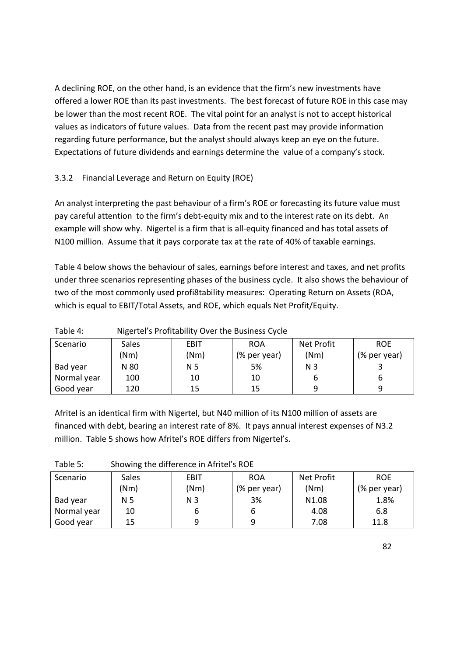A declining ROE, on the other hand, is an evidence that the firm's new investments have offered a lower ROE than its past investments. The best forecast of future ROE in this case may be lower than the most recent ROE. The vital point for an analyst is not to accept historical values as indicators of future values. Data from the recent past may provide information regarding future performance, but the analyst should always keep an eye on the future. Expectations of future dividends and earnings determine the value of a company's stock.

# 3.3.2 Financial Leverage and Return on Equity (ROE)

An analyst interpreting the past behaviour of a firm's ROE or forecasting its future value must pay careful attention to the firm's debt-equity mix and to the interest rate on its debt. An example will show why. Nigertel is a firm that is all-equity financed and has total assets of N100 million. Assume that it pays corporate tax at the rate of 40% of taxable earnings.

Table 4 below shows the behaviour of sales, earnings before interest and taxes, and net profits under three scenarios representing phases of the business cycle. It also shows the behaviour of two of the most commonly used profi8tability measures: Operating Return on Assets (ROA, which is equal to EBIT/Total Assets, and ROE, which equals Net Profit/Equity.

| Scenario    | <b>Sales</b> | EBIT | <b>ROA</b>   | Net Profit     | <b>ROE</b>   |
|-------------|--------------|------|--------------|----------------|--------------|
|             | (Nm)         | (Nm) | (% per year) | (Nm)           | (% per year) |
| Bad year    | N 80         | N 5  | 5%           | N <sub>3</sub> |              |
| Normal year | 100          | 10   | 10           |                | b            |
| Good year   | 120          | 15   | 15           | q              | q            |

Table 4: Nigertel's Profitability Over the Business Cycle

Afritel is an identical firm with Nigertel, but N40 million of its N100 million of assets are financed with debt, bearing an interest rate of 8%. It pays annual interest expenses of N3.2 million. Table 5 shows how Afritel's ROE differs from Nigertel's.

| Scenario    | Sales | <b>EBIT</b>    | <b>ROA</b>   | Net Profit        | <b>ROE</b>   |
|-------------|-------|----------------|--------------|-------------------|--------------|
|             | (Nm)  | (Nm)           | (% per year) | (Nm)              | (% per year) |
| Bad year    | N 5   | N <sub>3</sub> | 3%           | N <sub>1.08</sub> | 1.8%         |
| Normal year | 10    | o              | b            | 4.08              | 6.8          |
| Good year   | 15    | q              | q            | 7.08              | 11.8         |

Table 5: Showing the difference in Afritel's ROE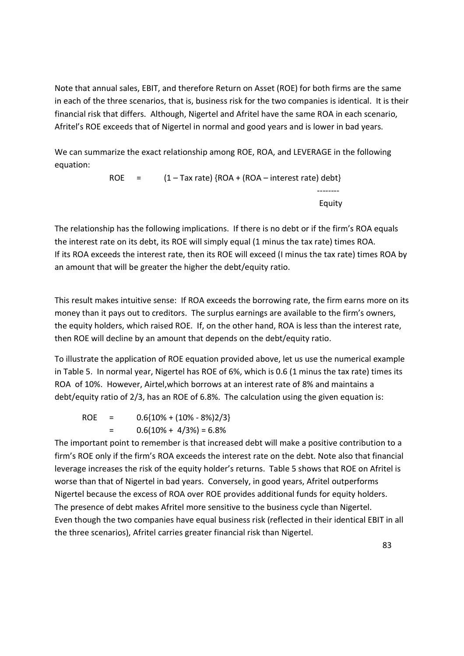Note that annual sales, EBIT, and therefore Return on Asset (ROE) for both firms are the same in each of the three scenarios, that is, business risk for the two companies is identical. It is their financial risk that differs. Although, Nigertel and Afritel have the same ROA in each scenario, Afritel's ROE exceeds that of Nigertel in normal and good years and is lower in bad years.

We can summarize the exact relationship among ROE, ROA, and LEVERAGE in the following equation:

ROE =  $(1 - Tax rate)$  {ROA + (ROA – interest rate) debt} ------- experience of the contract of the Equity of the Equity of the Equity of the Second Second Second Second Second Second Second Second Second Second Second Second Second Second Second Second Second Second Second Second Second

The relationship has the following implications. If there is no debt or if the firm's ROA equals the interest rate on its debt, its ROE will simply equal (1 minus the tax rate) times ROA. If its ROA exceeds the interest rate, then its ROE will exceed (I minus the tax rate) times ROA by an amount that will be greater the higher the debt/equity ratio.

This result makes intuitive sense: If ROA exceeds the borrowing rate, the firm earns more on its money than it pays out to creditors. The surplus earnings are available to the firm's owners, the equity holders, which raised ROE. If, on the other hand, ROA is less than the interest rate, then ROE will decline by an amount that depends on the debt/equity ratio.

To illustrate the application of ROE equation provided above, let us use the numerical example in Table 5. In normal year, Nigertel has ROE of 6%, which is 0.6 (1 minus the tax rate) times its ROA of 10%. However, Airtel,which borrows at an interest rate of 8% and maintains a debt/equity ratio of 2/3, has an ROE of 6.8%. The calculation using the given equation is:

ROE =  $0.6{10\% + (10\% - 8\%)2/3}$  $=$  0.6(10% + 4/3%) = 6.8%

The important point to remember is that increased debt will make a positive contribution to a firm's ROE only if the firm's ROA exceeds the interest rate on the debt. Note also that financial leverage increases the risk of the equity holder's returns. Table 5 shows that ROE on Afritel is worse than that of Nigertel in bad years. Conversely, in good years, Afritel outperforms Nigertel because the excess of ROA over ROE provides additional funds for equity holders. The presence of debt makes Afritel more sensitive to the business cycle than Nigertel. Even though the two companies have equal business risk (reflected in their identical EBIT in all the three scenarios), Afritel carries greater financial risk than Nigertel.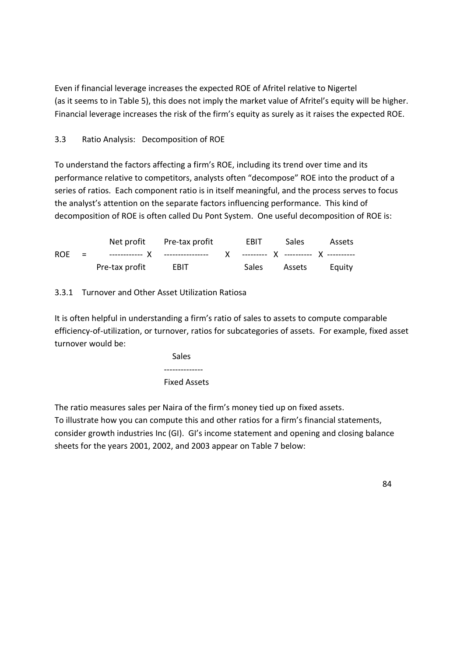Even if financial leverage increases the expected ROE of Afritel relative to Nigertel (as it seems to in Table 5), this does not imply the market value of Afritel's equity will be higher. Financial leverage increases the risk of the firm's equity as surely as it raises the expected ROE.

# 3.3 Ratio Analysis: Decomposition of ROE

To understand the factors affecting a firm's ROE, including its trend over time and its performance relative to competitors, analysts often "decompose" ROE into the product of a series of ratios. Each component ratio is in itself meaningful, and the process serves to focus the analyst's attention on the separate factors influencing performance. This kind of decomposition of ROE is often called Du Pont System. One useful decomposition of ROE is:

|  |                     | Net profit Pre-tax profit | EBIT | Sales Assets        |  |
|--|---------------------|---------------------------|------|---------------------|--|
|  |                     |                           |      |                     |  |
|  | Pre-tax profit EBIT |                           |      | Sales Assets Equity |  |

# 3.3.1 Turnover and Other Asset Utilization Ratiosa

It is often helpful in understanding a firm's ratio of sales to assets to compute comparable efficiency-of-utilization, or turnover, ratios for subcategories of assets. For example, fixed asset turnover would be:

 Sales -------------- Fixed Assets

The ratio measures sales per Naira of the firm's money tied up on fixed assets. To illustrate how you can compute this and other ratios for a firm's financial statements, consider growth industries Inc (GI). GI's income statement and opening and closing balance sheets for the years 2001, 2002, and 2003 appear on Table 7 below: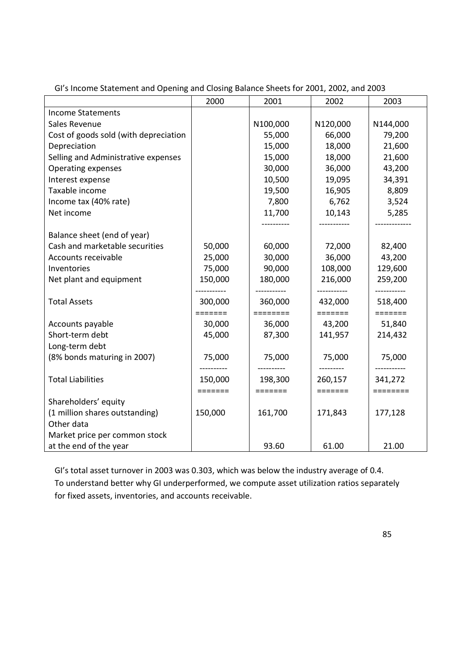|                                       | 2000    | 2001     | 2002     | 2003     |
|---------------------------------------|---------|----------|----------|----------|
| <b>Income Statements</b>              |         |          |          |          |
| Sales Revenue                         |         | N100,000 | N120,000 | N144,000 |
| Cost of goods sold (with depreciation |         | 55,000   | 66,000   | 79,200   |
| Depreciation                          |         | 15,000   | 18,000   | 21,600   |
| Selling and Administrative expenses   |         | 15,000   | 18,000   | 21,600   |
| <b>Operating expenses</b>             |         | 30,000   | 36,000   | 43,200   |
| Interest expense                      |         | 10,500   | 19,095   | 34,391   |
| Taxable income                        |         | 19,500   | 16,905   | 8,809    |
| Income tax (40% rate)                 |         | 7,800    | 6,762    | 3,524    |
| Net income                            |         | 11,700   | 10,143   | 5,285    |
|                                       |         |          |          |          |
| Balance sheet (end of year)           |         |          |          |          |
| Cash and marketable securities        | 50,000  | 60,000   | 72,000   | 82,400   |
| Accounts receivable                   | 25,000  | 30,000   | 36,000   | 43,200   |
| Inventories                           | 75,000  | 90,000   | 108,000  | 129,600  |
| Net plant and equipment               | 150,000 | 180,000  | 216,000  | 259,200  |
|                                       |         |          |          | -------  |
| <b>Total Assets</b>                   | 300,000 | 360,000  | 432,000  | 518,400  |
|                                       | ======= |          | =======  | =======  |
| Accounts payable                      | 30,000  | 36,000   | 43,200   | 51,840   |
| Short-term debt                       | 45,000  | 87,300   | 141,957  | 214,432  |
| Long-term debt                        |         |          |          |          |
| (8% bonds maturing in 2007)           | 75,000  | 75,000   | 75,000   | 75,000   |
|                                       |         |          |          |          |
| <b>Total Liabilities</b>              | 150,000 | 198,300  | 260,157  | 341,272  |
|                                       | ======= | =======  | =======  | ======== |
| Shareholders' equity                  |         |          |          |          |
| (1 million shares outstanding)        | 150,000 | 161,700  | 171,843  | 177,128  |
| Other data                            |         |          |          |          |
| Market price per common stock         |         |          |          |          |
| at the end of the year                |         | 93.60    | 61.00    | 21.00    |

GI's Income Statement and Opening and Closing Balance Sheets for 2001, 2002, and 2003

GI's total asset turnover in 2003 was 0.303, which was below the industry average of 0.4.

To understand better why GI underperformed, we compute asset utilization ratios separately for fixed assets, inventories, and accounts receivable.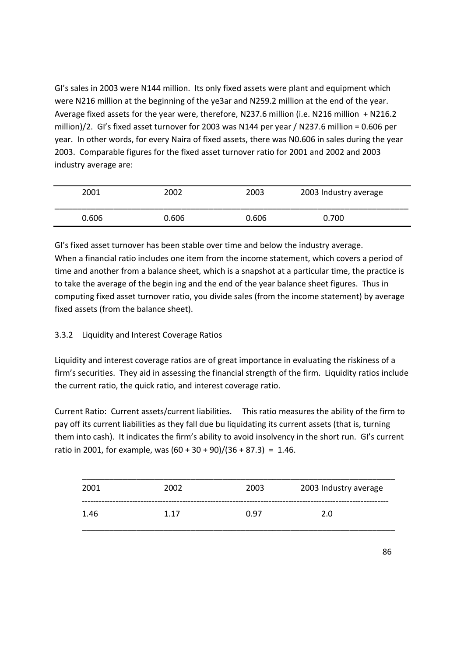GI's sales in 2003 were N144 million. Its only fixed assets were plant and equipment which were N216 million at the beginning of the ye3ar and N259.2 million at the end of the year. Average fixed assets for the year were, therefore, N237.6 million (i.e. N216 million + N216.2 million)/2. GI's fixed asset turnover for 2003 was N144 per year / N237.6 million = 0.606 per year. In other words, for every Naira of fixed assets, there was N0.606 in sales during the year 2003. Comparable figures for the fixed asset turnover ratio for 2001 and 2002 and 2003 industry average are:

| 2001  | 2002  | 2003  | 2003 Industry average |
|-------|-------|-------|-----------------------|
| 0.606 | 0.606 | 0.606 | 0.700                 |

GI's fixed asset turnover has been stable over time and below the industry average. When a financial ratio includes one item from the income statement, which covers a period of time and another from a balance sheet, which is a snapshot at a particular time, the practice is to take the average of the begin ing and the end of the year balance sheet figures. Thus in computing fixed asset turnover ratio, you divide sales (from the income statement) by average fixed assets (from the balance sheet).

## 3.3.2 Liquidity and Interest Coverage Ratios

Liquidity and interest coverage ratios are of great importance in evaluating the riskiness of a firm's securities. They aid in assessing the financial strength of the firm. Liquidity ratios include the current ratio, the quick ratio, and interest coverage ratio.

Current Ratio: Current assets/current liabilities. This ratio measures the ability of the firm to pay off its current liabilities as they fall due bu liquidating its current assets (that is, turning them into cash). It indicates the firm's ability to avoid insolvency in the short run. GI's current ratio in 2001, for example, was  $(60 + 30 + 90)/(36 + 87.3) = 1.46$ .

| 2001 | 2002 | 2003 | 2003 Industry average |
|------|------|------|-----------------------|
| 1.46 | 1.17 | 0.97 | 2.0                   |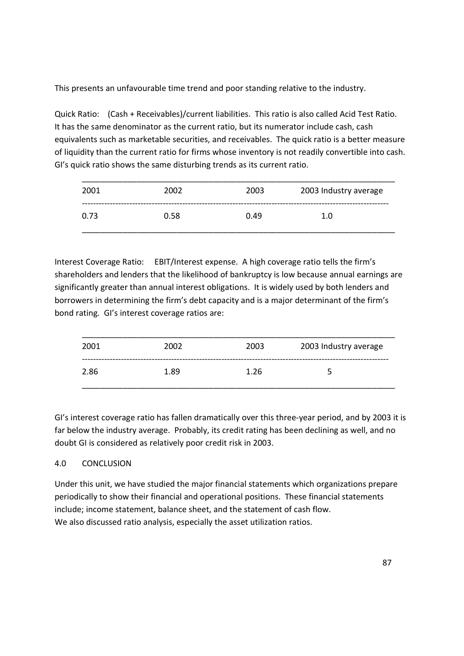This presents an unfavourable time trend and poor standing relative to the industry.

Quick Ratio: (Cash + Receivables)/current liabilities. This ratio is also called Acid Test Ratio. It has the same denominator as the current ratio, but its numerator include cash, cash equivalents such as marketable securities, and receivables. The quick ratio is a better measure of liquidity than the current ratio for firms whose inventory is not readily convertible into cash. GI's quick ratio shows the same disturbing trends as its current ratio.

| 2001 | 2002 | 2003 | 2003 Industry average |
|------|------|------|-----------------------|
| 0.73 | 0.58 | 0.49 | 1.0                   |

Interest Coverage Ratio: EBIT/Interest expense. A high coverage ratio tells the firm's shareholders and lenders that the likelihood of bankruptcy is low because annual earnings are significantly greater than annual interest obligations. It is widely used by both lenders and borrowers in determining the firm's debt capacity and is a major determinant of the firm's bond rating. GI's interest coverage ratios are:

| 2001 | 2002 | 2003 | 2003 Industry average |
|------|------|------|-----------------------|
| 2.86 | 1.89 | 1.26 |                       |

GI's interest coverage ratio has fallen dramatically over this three-year period, and by 2003 it is far below the industry average. Probably, its credit rating has been declining as well, and no doubt GI is considered as relatively poor credit risk in 2003.

## 4.0 CONCLUSION

Under this unit, we have studied the major financial statements which organizations prepare periodically to show their financial and operational positions. These financial statements include; income statement, balance sheet, and the statement of cash flow. We also discussed ratio analysis, especially the asset utilization ratios.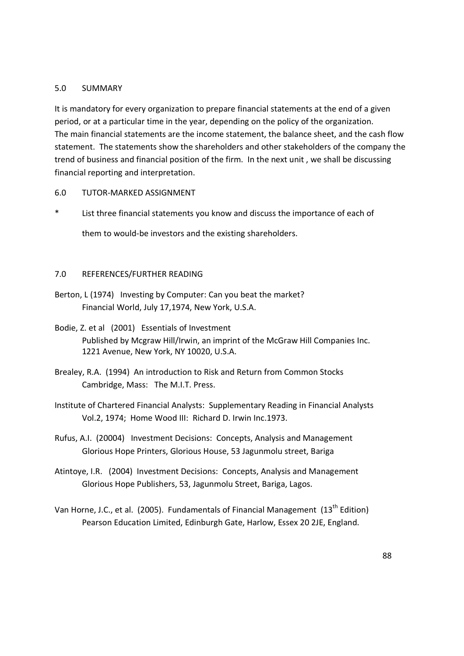#### 5.0 SUMMARY

It is mandatory for every organization to prepare financial statements at the end of a given period, or at a particular time in the year, depending on the policy of the organization. The main financial statements are the income statement, the balance sheet, and the cash flow statement. The statements show the shareholders and other stakeholders of the company the trend of business and financial position of the firm. In the next unit , we shall be discussing financial reporting and interpretation.

6.0 TUTOR-MARKED ASSIGNMENT

List three financial statements you know and discuss the importance of each of

them to would-be investors and the existing shareholders.

#### 7.0 REFERENCES/FURTHER READING

- Berton, L (1974) Investing by Computer: Can you beat the market? Financial World, July 17,1974, New York, U.S.A.
- Bodie, Z. et al (2001) Essentials of Investment Published by Mcgraw Hill/Irwin, an imprint of the McGraw Hill Companies Inc. 1221 Avenue, New York, NY 10020, U.S.A.
- Brealey, R.A. (1994) An introduction to Risk and Return from Common Stocks Cambridge, Mass: The M.I.T. Press.
- Institute of Chartered Financial Analysts: Supplementary Reading in Financial Analysts Vol.2, 1974; Home Wood III: Richard D. Irwin Inc.1973.
- Rufus, A.I. (20004) Investment Decisions: Concepts, Analysis and Management Glorious Hope Printers, Glorious House, 53 Jagunmolu street, Bariga
- Atintoye, I.R. (2004) Investment Decisions: Concepts, Analysis and Management Glorious Hope Publishers, 53, Jagunmolu Street, Bariga, Lagos.
- Van Horne, J.C., et al. (2005). Fundamentals of Financial Management (13<sup>th</sup> Edition) Pearson Education Limited, Edinburgh Gate, Harlow, Essex 20 2JE, England.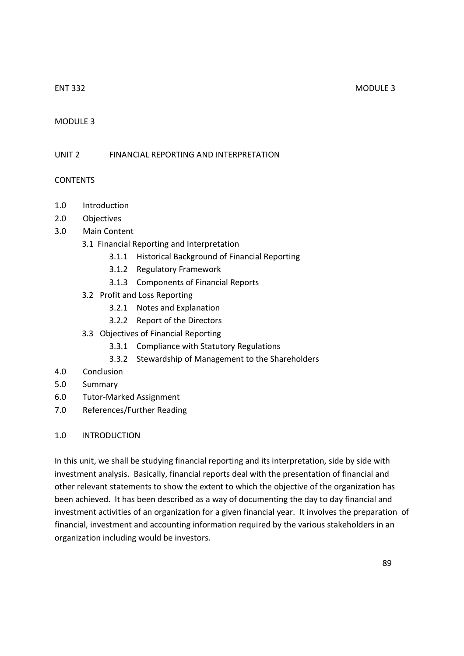#### ENT 332 MODULE 3

#### MODULE 3

#### UNIT 2 FINANCIAL REPORTING AND INTERPRETATION

#### **CONTENTS**

- 1.0 Introduction
- 2.0 Objectives
- 3.0 Main Content
	- 3.1 Financial Reporting and Interpretation
		- 3.1.1 Historical Background of Financial Reporting
		- 3.1.2 Regulatory Framework
		- 3.1.3 Components of Financial Reports
	- 3.2 Profit and Loss Reporting
		- 3.2.1 Notes and Explanation
		- 3.2.2 Report of the Directors
	- 3.3 Objectives of Financial Reporting
		- 3.3.1 Compliance with Statutory Regulations
		- 3.3.2 Stewardship of Management to the Shareholders
- 4.0 Conclusion
- 5.0 Summary
- 6.0 Tutor-Marked Assignment
- 7.0 References/Further Reading

#### 1.0 INTRODUCTION

In this unit, we shall be studying financial reporting and its interpretation, side by side with investment analysis. Basically, financial reports deal with the presentation of financial and other relevant statements to show the extent to which the objective of the organization has been achieved. It has been described as a way of documenting the day to day financial and investment activities of an organization for a given financial year. It involves the preparation of financial, investment and accounting information required by the various stakeholders in an organization including would be investors.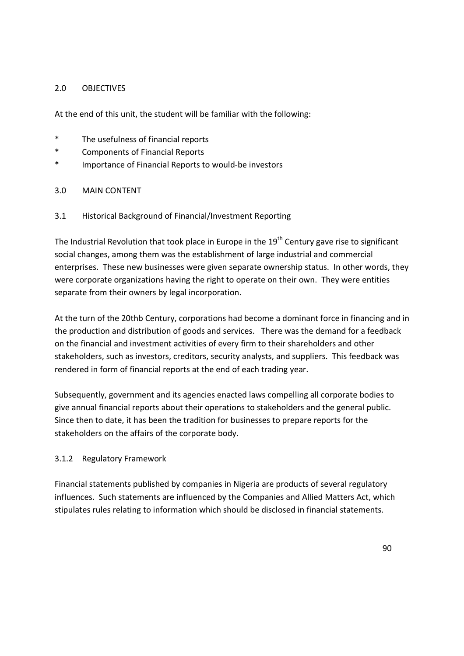#### 2.0 OBJECTIVES

At the end of this unit, the student will be familiar with the following:

- \* The usefulness of financial reports
- \* Components of Financial Reports
- \* Importance of Financial Reports to would-be investors

## 3.0 MAIN CONTENT

3.1 Historical Background of Financial/Investment Reporting

The Industrial Revolution that took place in Europe in the  $19<sup>th</sup>$  Century gave rise to significant social changes, among them was the establishment of large industrial and commercial enterprises. These new businesses were given separate ownership status. In other words, they were corporate organizations having the right to operate on their own. They were entities separate from their owners by legal incorporation.

At the turn of the 20thb Century, corporations had become a dominant force in financing and in the production and distribution of goods and services. There was the demand for a feedback on the financial and investment activities of every firm to their shareholders and other stakeholders, such as investors, creditors, security analysts, and suppliers. This feedback was rendered in form of financial reports at the end of each trading year.

Subsequently, government and its agencies enacted laws compelling all corporate bodies to give annual financial reports about their operations to stakeholders and the general public. Since then to date, it has been the tradition for businesses to prepare reports for the stakeholders on the affairs of the corporate body.

#### 3.1.2 Regulatory Framework

Financial statements published by companies in Nigeria are products of several regulatory influences. Such statements are influenced by the Companies and Allied Matters Act, which stipulates rules relating to information which should be disclosed in financial statements.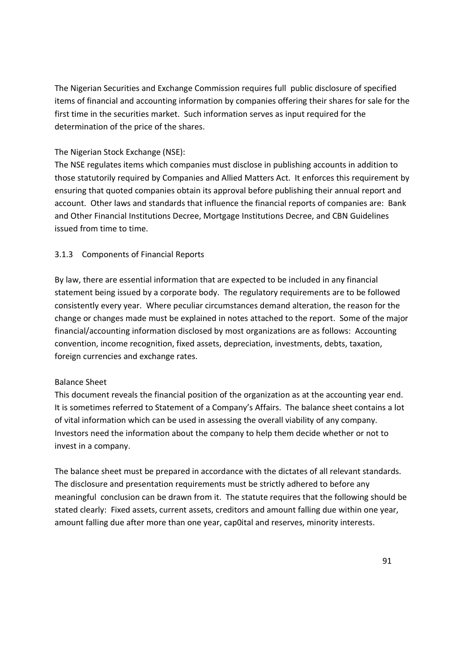The Nigerian Securities and Exchange Commission requires full public disclosure of specified items of financial and accounting information by companies offering their shares for sale for the first time in the securities market. Such information serves as input required for the determination of the price of the shares.

## The Nigerian Stock Exchange (NSE):

The NSE regulates items which companies must disclose in publishing accounts in addition to those statutorily required by Companies and Allied Matters Act. It enforces this requirement by ensuring that quoted companies obtain its approval before publishing their annual report and account. Other laws and standards that influence the financial reports of companies are: Bank and Other Financial Institutions Decree, Mortgage Institutions Decree, and CBN Guidelines issued from time to time.

# 3.1.3 Components of Financial Reports

By law, there are essential information that are expected to be included in any financial statement being issued by a corporate body. The regulatory requirements are to be followed consistently every year. Where peculiar circumstances demand alteration, the reason for the change or changes made must be explained in notes attached to the report. Some of the major financial/accounting information disclosed by most organizations are as follows: Accounting convention, income recognition, fixed assets, depreciation, investments, debts, taxation, foreign currencies and exchange rates.

## Balance Sheet

This document reveals the financial position of the organization as at the accounting year end. It is sometimes referred to Statement of a Company's Affairs. The balance sheet contains a lot of vital information which can be used in assessing the overall viability of any company. Investors need the information about the company to help them decide whether or not to invest in a company.

The balance sheet must be prepared in accordance with the dictates of all relevant standards. The disclosure and presentation requirements must be strictly adhered to before any meaningful conclusion can be drawn from it. The statute requires that the following should be stated clearly: Fixed assets, current assets, creditors and amount falling due within one year, amount falling due after more than one year, cap0ital and reserves, minority interests.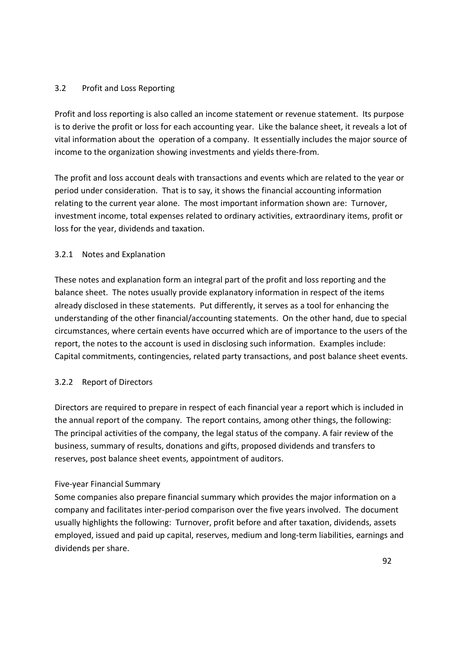## 3.2 Profit and Loss Reporting

Profit and loss reporting is also called an income statement or revenue statement. Its purpose is to derive the profit or loss for each accounting year. Like the balance sheet, it reveals a lot of vital information about the operation of a company. It essentially includes the major source of income to the organization showing investments and yields there-from.

The profit and loss account deals with transactions and events which are related to the year or period under consideration. That is to say, it shows the financial accounting information relating to the current year alone. The most important information shown are: Turnover, investment income, total expenses related to ordinary activities, extraordinary items, profit or loss for the year, dividends and taxation.

## 3.2.1 Notes and Explanation

These notes and explanation form an integral part of the profit and loss reporting and the balance sheet. The notes usually provide explanatory information in respect of the items already disclosed in these statements. Put differently, it serves as a tool for enhancing the understanding of the other financial/accounting statements. On the other hand, due to special circumstances, where certain events have occurred which are of importance to the users of the report, the notes to the account is used in disclosing such information. Examples include: Capital commitments, contingencies, related party transactions, and post balance sheet events.

## 3.2.2 Report of Directors

Directors are required to prepare in respect of each financial year a report which is included in the annual report of the company. The report contains, among other things, the following: The principal activities of the company, the legal status of the company. A fair review of the business, summary of results, donations and gifts, proposed dividends and transfers to reserves, post balance sheet events, appointment of auditors.

#### Five-year Financial Summary

Some companies also prepare financial summary which provides the major information on a company and facilitates inter-period comparison over the five years involved. The document usually highlights the following: Turnover, profit before and after taxation, dividends, assets employed, issued and paid up capital, reserves, medium and long-term liabilities, earnings and dividends per share.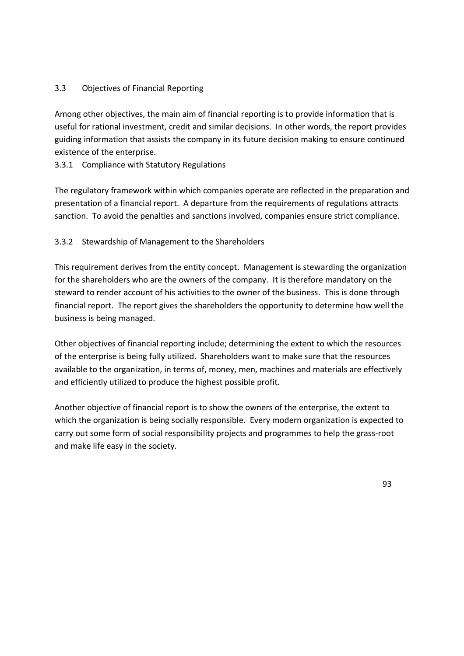## 3.3 Objectives of Financial Reporting

Among other objectives, the main aim of financial reporting is to provide information that is useful for rational investment, credit and similar decisions. In other words, the report provides guiding information that assists the company in its future decision making to ensure continued existence of the enterprise.

3.3.1 Compliance with Statutory Regulations

The regulatory framework within which companies operate are reflected in the preparation and presentation of a financial report. A departure from the requirements of regulations attracts sanction. To avoid the penalties and sanctions involved, companies ensure strict compliance.

## 3.3.2 Stewardship of Management to the Shareholders

This requirement derives from the entity concept. Management is stewarding the organization for the shareholders who are the owners of the company. It is therefore mandatory on the steward to render account of his activities to the owner of the business. This is done through financial report. The report gives the shareholders the opportunity to determine how well the business is being managed.

Other objectives of financial reporting include; determining the extent to which the resources of the enterprise is being fully utilized. Shareholders want to make sure that the resources available to the organization, in terms of, money, men, machines and materials are effectively and efficiently utilized to produce the highest possible profit.

Another objective of financial report is to show the owners of the enterprise, the extent to which the organization is being socially responsible. Every modern organization is expected to carry out some form of social responsibility projects and programmes to help the grass-root and make life easy in the society.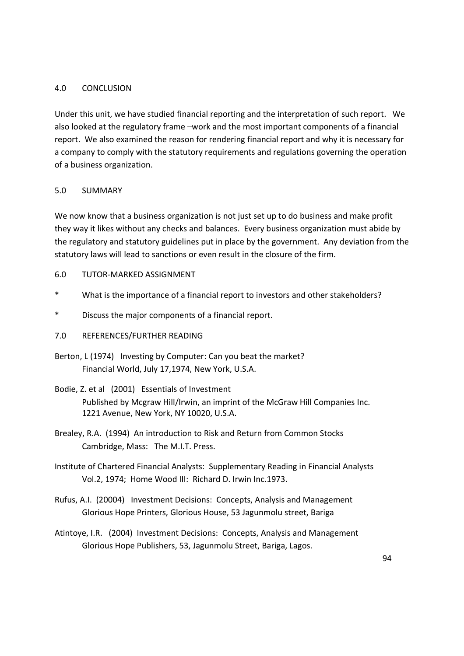#### 4.0 CONCLUSION

Under this unit, we have studied financial reporting and the interpretation of such report. We also looked at the regulatory frame –work and the most important components of a financial report. We also examined the reason for rendering financial report and why it is necessary for a company to comply with the statutory requirements and regulations governing the operation of a business organization.

## 5.0 SUMMARY

We now know that a business organization is not just set up to do business and make profit they way it likes without any checks and balances. Every business organization must abide by the regulatory and statutory guidelines put in place by the government. Any deviation from the statutory laws will lead to sanctions or even result in the closure of the firm.

## 6.0 TUTOR-MARKED ASSIGNMENT

- \* What is the importance of a financial report to investors and other stakeholders?
- \* Discuss the major components of a financial report.
- 7.0 REFERENCES/FURTHER READING
- Berton, L (1974) Investing by Computer: Can you beat the market? Financial World, July 17,1974, New York, U.S.A.
- Bodie, Z. et al (2001) Essentials of Investment Published by Mcgraw Hill/Irwin, an imprint of the McGraw Hill Companies Inc. 1221 Avenue, New York, NY 10020, U.S.A.
- Brealey, R.A. (1994) An introduction to Risk and Return from Common Stocks Cambridge, Mass: The M.I.T. Press.
- Institute of Chartered Financial Analysts: Supplementary Reading in Financial Analysts Vol.2, 1974; Home Wood III: Richard D. Irwin Inc.1973.
- Rufus, A.I. (20004) Investment Decisions: Concepts, Analysis and Management Glorious Hope Printers, Glorious House, 53 Jagunmolu street, Bariga
- Atintoye, I.R. (2004) Investment Decisions: Concepts, Analysis and Management Glorious Hope Publishers, 53, Jagunmolu Street, Bariga, Lagos.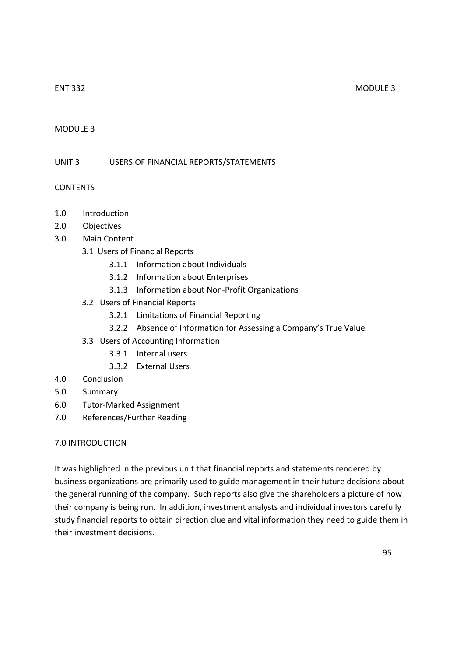#### MODULE 3

UNIT 3 USERS OF FINANCIAL REPORTS/STATEMENTS

#### CONTENTS

- 1.0 Introduction
- 2.0 Objectives
- 3.0 Main Content
	- 3.1 Users of Financial Reports
		- 3.1.1 Information about Individuals
		- 3.1.2 Information about Enterprises
		- 3.1.3 Information about Non-Profit Organizations
	- 3.2 Users of Financial Reports
		- 3.2.1 Limitations of Financial Reporting
		- 3.2.2 Absence of Information for Assessing a Company's True Value
	- 3.3 Users of Accounting Information
		- 3.3.1 Internal users
		- 3.3.2 External Users
- 4.0 Conclusion
- 5.0 Summary
- 6.0 Tutor-Marked Assignment
- 7.0 References/Further Reading

#### 7.0 INTRODUCTION

It was highlighted in the previous unit that financial reports and statements rendered by business organizations are primarily used to guide management in their future decisions about the general running of the company. Such reports also give the shareholders a picture of how their company is being run. In addition, investment analysts and individual investors carefully study financial reports to obtain direction clue and vital information they need to guide them in their investment decisions.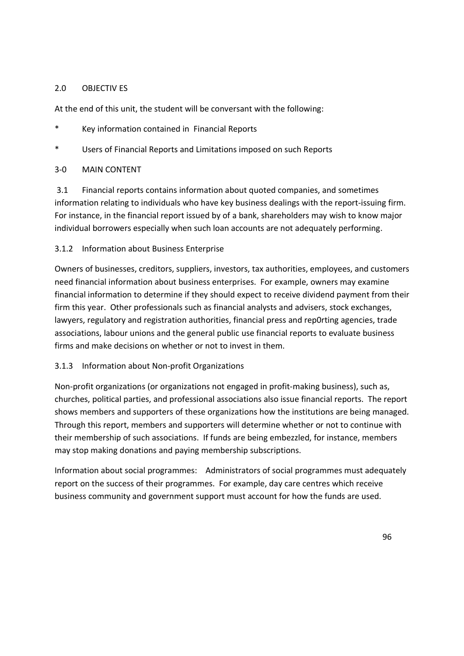#### 2.0 OBJECTIV ES

At the end of this unit, the student will be conversant with the following:

- \* Key information contained in Financial Reports
- \* Users of Financial Reports and Limitations imposed on such Reports

## 3-0 MAIN CONTENT

 3.1 Financial reports contains information about quoted companies, and sometimes information relating to individuals who have key business dealings with the report-issuing firm. For instance, in the financial report issued by of a bank, shareholders may wish to know major individual borrowers especially when such loan accounts are not adequately performing.

## 3.1.2 Information about Business Enterprise

Owners of businesses, creditors, suppliers, investors, tax authorities, employees, and customers need financial information about business enterprises. For example, owners may examine financial information to determine if they should expect to receive dividend payment from their firm this year. Other professionals such as financial analysts and advisers, stock exchanges, lawyers, regulatory and registration authorities, financial press and rep0rting agencies, trade associations, labour unions and the general public use financial reports to evaluate business firms and make decisions on whether or not to invest in them.

## 3.1.3 Information about Non-profit Organizations

Non-profit organizations (or organizations not engaged in profit-making business), such as, churches, political parties, and professional associations also issue financial reports. The report shows members and supporters of these organizations how the institutions are being managed. Through this report, members and supporters will determine whether or not to continue with their membership of such associations. If funds are being embezzled, for instance, members may stop making donations and paying membership subscriptions.

Information about social programmes: Administrators of social programmes must adequately report on the success of their programmes. For example, day care centres which receive business community and government support must account for how the funds are used.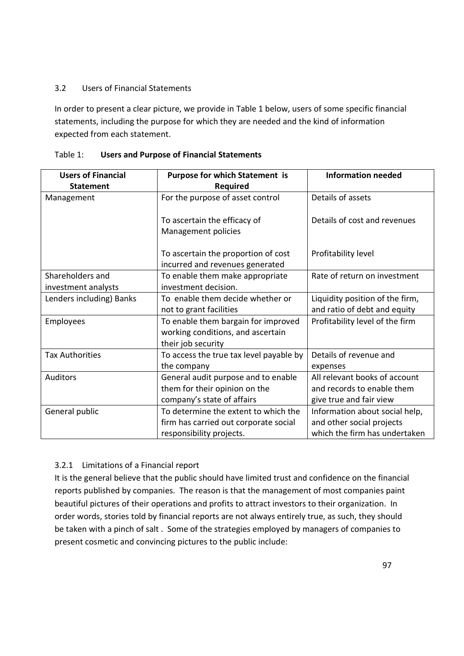## 3.2 Users of Financial Statements

In order to present a clear picture, we provide in Table 1 below, users of some specific financial statements, including the purpose for which they are needed and the kind of information expected from each statement.

| <b>Users of Financial</b> | <b>Purpose for which Statement is</b>                                  | <b>Information needed</b>       |
|---------------------------|------------------------------------------------------------------------|---------------------------------|
| <b>Statement</b>          | Required                                                               |                                 |
| Management                | For the purpose of asset control                                       | Details of assets               |
|                           | To ascertain the efficacy of                                           | Details of cost and revenues    |
|                           | Management policies                                                    |                                 |
|                           | To ascertain the proportion of cost<br>incurred and revenues generated | Profitability level             |
| Shareholders and          | To enable them make appropriate                                        | Rate of return on investment    |
| investment analysts       | investment decision.                                                   |                                 |
| Lenders including) Banks  | To enable them decide whether or                                       | Liquidity position of the firm, |
|                           | not to grant facilities                                                | and ratio of debt and equity    |
| Employees                 | To enable them bargain for improved                                    | Profitability level of the firm |
|                           | working conditions, and ascertain                                      |                                 |
|                           | their job security                                                     |                                 |
| <b>Tax Authorities</b>    | To access the true tax level payable by                                | Details of revenue and          |
|                           | the company                                                            | expenses                        |
| <b>Auditors</b>           | General audit purpose and to enable                                    | All relevant books of account   |
|                           | them for their opinion on the                                          | and records to enable them      |
|                           | company's state of affairs                                             | give true and fair view         |
| General public            | To determine the extent to which the                                   | Information about social help,  |
|                           | firm has carried out corporate social                                  | and other social projects       |
|                           | responsibility projects.                                               | which the firm has undertaken   |

| Table 1: | <b>Users and Purpose of Financial Statements</b> |
|----------|--------------------------------------------------|
|----------|--------------------------------------------------|

## 3.2.1 Limitations of a Financial report

It is the general believe that the public should have limited trust and confidence on the financial reports published by companies. The reason is that the management of most companies paint beautiful pictures of their operations and profits to attract investors to their organization. In order words, stories told by financial reports are not always entirely true, as such, they should be taken with a pinch of salt . Some of the strategies employed by managers of companies to present cosmetic and convincing pictures to the public include: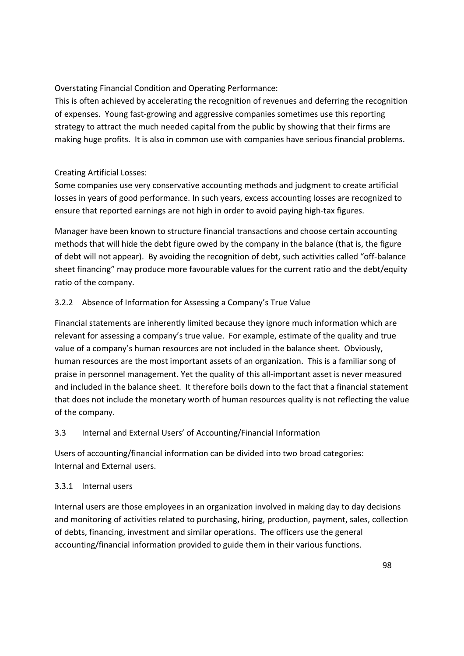Overstating Financial Condition and Operating Performance:

This is often achieved by accelerating the recognition of revenues and deferring the recognition of expenses. Young fast-growing and aggressive companies sometimes use this reporting strategy to attract the much needed capital from the public by showing that their firms are making huge profits. It is also in common use with companies have serious financial problems.

# Creating Artificial Losses:

Some companies use very conservative accounting methods and judgment to create artificial losses in years of good performance. In such years, excess accounting losses are recognized to ensure that reported earnings are not high in order to avoid paying high-tax figures.

Manager have been known to structure financial transactions and choose certain accounting methods that will hide the debt figure owed by the company in the balance (that is, the figure of debt will not appear). By avoiding the recognition of debt, such activities called "off-balance sheet financing" may produce more favourable values for the current ratio and the debt/equity ratio of the company.

# 3.2.2 Absence of Information for Assessing a Company's True Value

Financial statements are inherently limited because they ignore much information which are relevant for assessing a company's true value. For example, estimate of the quality and true value of a company's human resources are not included in the balance sheet. Obviously, human resources are the most important assets of an organization. This is a familiar song of praise in personnel management. Yet the quality of this all-important asset is never measured and included in the balance sheet. It therefore boils down to the fact that a financial statement that does not include the monetary worth of human resources quality is not reflecting the value of the company.

## 3.3 Internal and External Users' of Accounting/Financial Information

Users of accounting/financial information can be divided into two broad categories: Internal and External users.

## 3.3.1 Internal users

Internal users are those employees in an organization involved in making day to day decisions and monitoring of activities related to purchasing, hiring, production, payment, sales, collection of debts, financing, investment and similar operations. The officers use the general accounting/financial information provided to guide them in their various functions.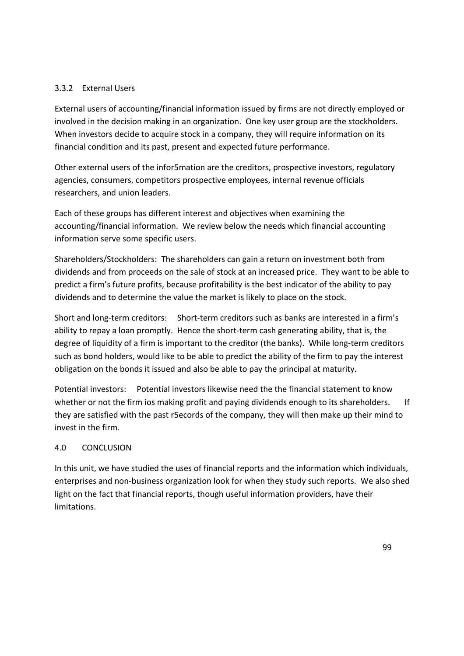## 3.3.2 External Users

External users of accounting/financial information issued by firms are not directly employed or involved in the decision making in an organization. One key user group are the stockholders. When investors decide to acquire stock in a company, they will require information on its financial condition and its past, present and expected future performance.

Other external users of the infor5mation are the creditors, prospective investors, regulatory agencies, consumers, competitors prospective employees, internal revenue officials researchers, and union leaders.

Each of these groups has different interest and objectives when examining the accounting/financial information. We review below the needs which financial accounting information serve some specific users.

Shareholders/Stockholders: The shareholders can gain a return on investment both from dividends and from proceeds on the sale of stock at an increased price. They want to be able to predict a firm's future profits, because profitability is the best indicator of the ability to pay dividends and to determine the value the market is likely to place on the stock.

Short and long-term creditors: Short-term creditors such as banks are interested in a firm's ability to repay a loan promptly. Hence the short-term cash generating ability, that is, the degree of liquidity of a firm is important to the creditor (the banks). While long-term creditors such as bond holders, would like to be able to predict the ability of the firm to pay the interest obligation on the bonds it issued and also be able to pay the principal at maturity.

Potential investors: Potential investors likewise need the the financial statement to know whether or not the firm ios making profit and paying dividends enough to its shareholders. If they are satisfied with the past r5ecords of the company, they will then make up their mind to invest in the firm.

#### 4.0 CONCLUSION

In this unit, we have studied the uses of financial reports and the information which individuals, enterprises and non-business organization look for when they study such reports. We also shed light on the fact that financial reports, though useful information providers, have their limitations.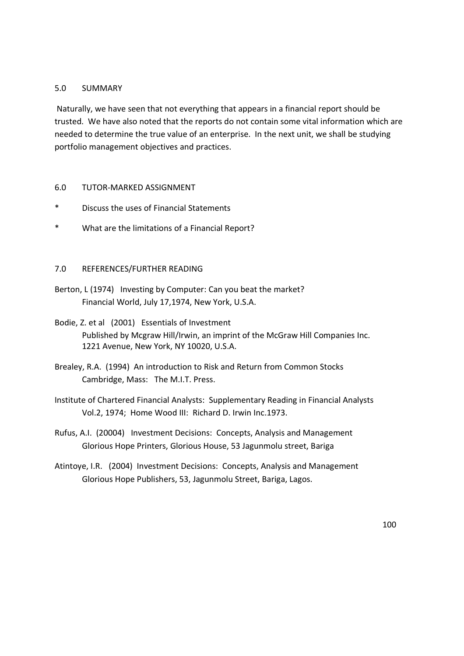#### 5.0 SUMMARY

 Naturally, we have seen that not everything that appears in a financial report should be trusted. We have also noted that the reports do not contain some vital information which are needed to determine the true value of an enterprise. In the next unit, we shall be studying portfolio management objectives and practices.

#### 6.0 TUTOR-MARKED ASSIGNMENT

- \* Discuss the uses of Financial Statements
- \* What are the limitations of a Financial Report?

#### 7.0 REFERENCES/FURTHER READING

- Berton, L (1974) Investing by Computer: Can you beat the market? Financial World, July 17,1974, New York, U.S.A.
- Bodie, Z. et al (2001) Essentials of Investment Published by Mcgraw Hill/Irwin, an imprint of the McGraw Hill Companies Inc. 1221 Avenue, New York, NY 10020, U.S.A.
- Brealey, R.A. (1994) An introduction to Risk and Return from Common Stocks Cambridge, Mass: The M.I.T. Press.
- Institute of Chartered Financial Analysts: Supplementary Reading in Financial Analysts Vol.2, 1974; Home Wood III: Richard D. Irwin Inc.1973.
- Rufus, A.I. (20004) Investment Decisions: Concepts, Analysis and Management Glorious Hope Printers, Glorious House, 53 Jagunmolu street, Bariga
- Atintoye, I.R. (2004) Investment Decisions: Concepts, Analysis and Management Glorious Hope Publishers, 53, Jagunmolu Street, Bariga, Lagos.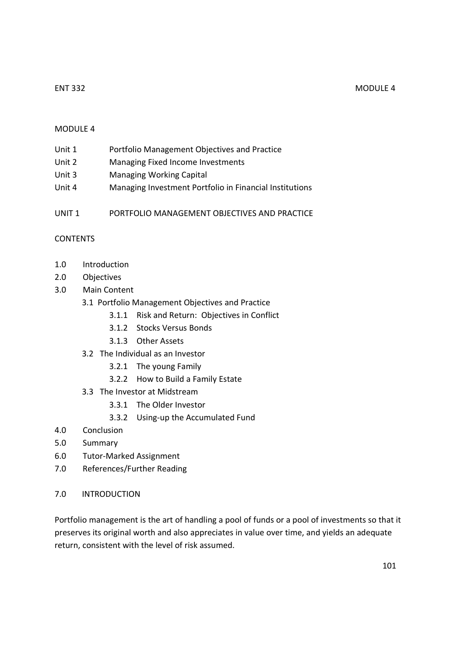#### MODULE 4

| Unit 1 | Portfolio Management Objectives and Practice |
|--------|----------------------------------------------|
|--------|----------------------------------------------|

- Unit 2 Managing Fixed Income Investments
- Unit 3 Managing Working Capital
- Unit 4 Managing Investment Portfolio in Financial Institutions
- UNIT 1 PORTFOLIO MANAGEMENT OBJECTIVES AND PRACTICE

#### CONTENTS

- 1.0 Introduction
- 2.0 Objectives
- 3.0 Main Content
	- 3.1 Portfolio Management Objectives and Practice
		- 3.1.1 Risk and Return: Objectives in Conflict
		- 3.1.2 Stocks Versus Bonds
		- 3.1.3 Other Assets
	- 3.2 The Individual as an Investor
		- 3.2.1 The young Family
		- 3.2.2 How to Build a Family Estate
	- 3.3 The Investor at Midstream
		- 3.3.1 The Older Investor
		- 3.3.2 Using-up the Accumulated Fund
- 4.0 Conclusion
- 5.0 Summary
- 6.0 Tutor-Marked Assignment
- 7.0 References/Further Reading
- 7.0 INTRODUCTION

Portfolio management is the art of handling a pool of funds or a pool of investments so that it preserves its original worth and also appreciates in value over time, and yields an adequate return, consistent with the level of risk assumed.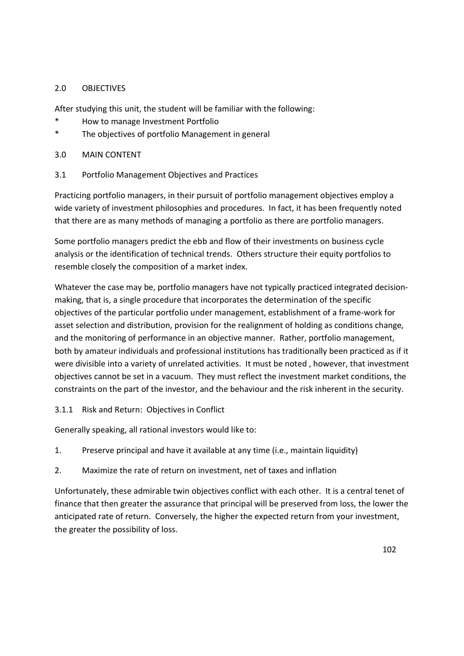## 2.0 OBJECTIVES

After studying this unit, the student will be familiar with the following:

- \* How to manage Investment Portfolio
- \* The objectives of portfolio Management in general
- 3.0 MAIN CONTENT
- 3.1 Portfolio Management Objectives and Practices

Practicing portfolio managers, in their pursuit of portfolio management objectives employ a wide variety of investment philosophies and procedures. In fact, it has been frequently noted that there are as many methods of managing a portfolio as there are portfolio managers.

Some portfolio managers predict the ebb and flow of their investments on business cycle analysis or the identification of technical trends. Others structure their equity portfolios to resemble closely the composition of a market index.

Whatever the case may be, portfolio managers have not typically practiced integrated decisionmaking, that is, a single procedure that incorporates the determination of the specific objectives of the particular portfolio under management, establishment of a frame-work for asset selection and distribution, provision for the realignment of holding as conditions change, and the monitoring of performance in an objective manner. Rather, portfolio management, both by amateur individuals and professional institutions has traditionally been practiced as if it were divisible into a variety of unrelated activities. It must be noted , however, that investment objectives cannot be set in a vacuum. They must reflect the investment market conditions, the constraints on the part of the investor, and the behaviour and the risk inherent in the security.

3.1.1 Risk and Return: Objectives in Conflict

Generally speaking, all rational investors would like to:

- 1. Preserve principal and have it available at any time (i.e., maintain liquidity)
- 2. Maximize the rate of return on investment, net of taxes and inflation

Unfortunately, these admirable twin objectives conflict with each other. It is a central tenet of finance that then greater the assurance that principal will be preserved from loss, the lower the anticipated rate of return. Conversely, the higher the expected return from your investment, the greater the possibility of loss.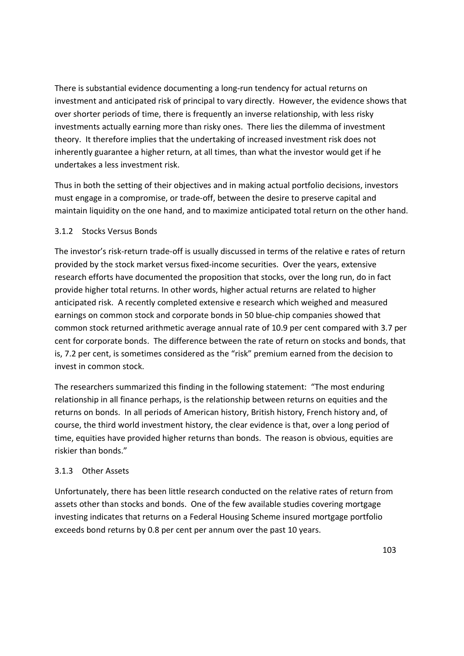There is substantial evidence documenting a long-run tendency for actual returns on investment and anticipated risk of principal to vary directly. However, the evidence shows that over shorter periods of time, there is frequently an inverse relationship, with less risky investments actually earning more than risky ones. There lies the dilemma of investment theory. It therefore implies that the undertaking of increased investment risk does not inherently guarantee a higher return, at all times, than what the investor would get if he undertakes a less investment risk.

Thus in both the setting of their objectives and in making actual portfolio decisions, investors must engage in a compromise, or trade-off, between the desire to preserve capital and maintain liquidity on the one hand, and to maximize anticipated total return on the other hand.

## 3.1.2 Stocks Versus Bonds

The investor's risk-return trade-off is usually discussed in terms of the relative e rates of return provided by the stock market versus fixed-income securities. Over the years, extensive research efforts have documented the proposition that stocks, over the long run, do in fact provide higher total returns. In other words, higher actual returns are related to higher anticipated risk. A recently completed extensive e research which weighed and measured earnings on common stock and corporate bonds in 50 blue-chip companies showed that common stock returned arithmetic average annual rate of 10.9 per cent compared with 3.7 per cent for corporate bonds. The difference between the rate of return on stocks and bonds, that is, 7.2 per cent, is sometimes considered as the "risk" premium earned from the decision to invest in common stock.

The researchers summarized this finding in the following statement: "The most enduring relationship in all finance perhaps, is the relationship between returns on equities and the returns on bonds. In all periods of American history, British history, French history and, of course, the third world investment history, the clear evidence is that, over a long period of time, equities have provided higher returns than bonds. The reason is obvious, equities are riskier than bonds."

#### 3.1.3 Other Assets

Unfortunately, there has been little research conducted on the relative rates of return from assets other than stocks and bonds. One of the few available studies covering mortgage investing indicates that returns on a Federal Housing Scheme insured mortgage portfolio exceeds bond returns by 0.8 per cent per annum over the past 10 years.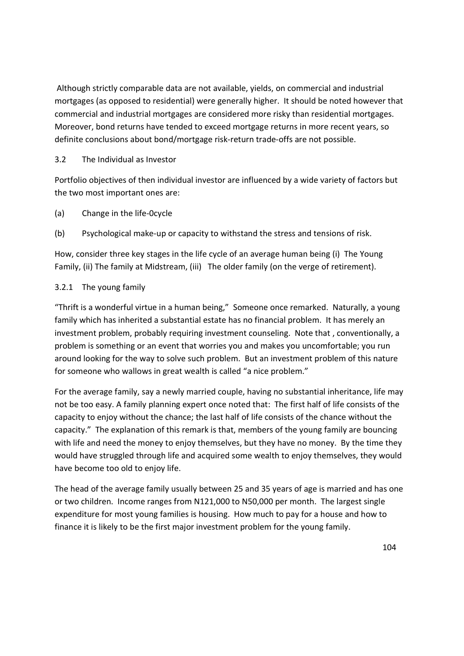Although strictly comparable data are not available, yields, on commercial and industrial mortgages (as opposed to residential) were generally higher. It should be noted however that commercial and industrial mortgages are considered more risky than residential mortgages. Moreover, bond returns have tended to exceed mortgage returns in more recent years, so definite conclusions about bond/mortgage risk-return trade-offs are not possible.

# 3.2 The Individual as Investor

Portfolio objectives of then individual investor are influenced by a wide variety of factors but the two most important ones are:

(a) Change in the life-0cycle

(b) Psychological make-up or capacity to withstand the stress and tensions of risk.

How, consider three key stages in the life cycle of an average human being (i) The Young Family, (ii) The family at Midstream, (iii) The older family (on the verge of retirement).

# 3.2.1 The young family

"Thrift is a wonderful virtue in a human being," Someone once remarked. Naturally, a young family which has inherited a substantial estate has no financial problem. It has merely an investment problem, probably requiring investment counseling. Note that , conventionally, a problem is something or an event that worries you and makes you uncomfortable; you run around looking for the way to solve such problem. But an investment problem of this nature for someone who wallows in great wealth is called "a nice problem."

For the average family, say a newly married couple, having no substantial inheritance, life may not be too easy. A family planning expert once noted that: The first half of life consists of the capacity to enjoy without the chance; the last half of life consists of the chance without the capacity." The explanation of this remark is that, members of the young family are bouncing with life and need the money to enjoy themselves, but they have no money. By the time they would have struggled through life and acquired some wealth to enjoy themselves, they would have become too old to enjoy life.

The head of the average family usually between 25 and 35 years of age is married and has one or two children. Income ranges from N121,000 to N50,000 per month. The largest single expenditure for most young families is housing. How much to pay for a house and how to finance it is likely to be the first major investment problem for the young family.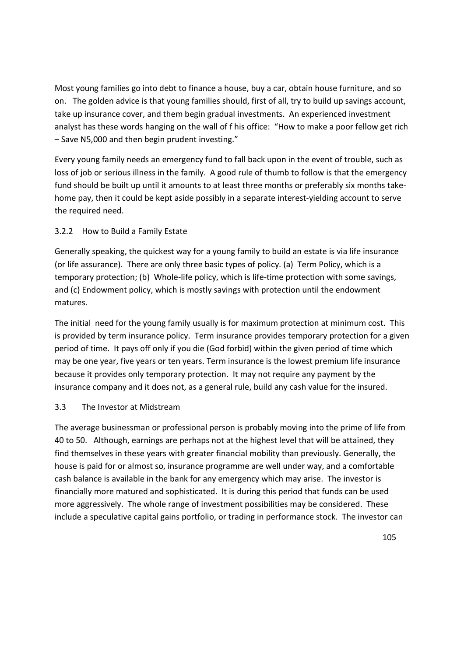Most young families go into debt to finance a house, buy a car, obtain house furniture, and so on. The golden advice is that young families should, first of all, try to build up savings account, take up insurance cover, and them begin gradual investments. An experienced investment analyst has these words hanging on the wall of f his office: "How to make a poor fellow get rich – Save N5,000 and then begin prudent investing."

Every young family needs an emergency fund to fall back upon in the event of trouble, such as loss of job or serious illness in the family. A good rule of thumb to follow is that the emergency fund should be built up until it amounts to at least three months or preferably six months takehome pay, then it could be kept aside possibly in a separate interest-yielding account to serve the required need.

# 3.2.2 How to Build a Family Estate

Generally speaking, the quickest way for a young family to build an estate is via life insurance (or life assurance). There are only three basic types of policy. (a) Term Policy, which is a temporary protection; (b) Whole-life policy, which is life-time protection with some savings, and (c) Endowment policy, which is mostly savings with protection until the endowment matures.

The initial need for the young family usually is for maximum protection at minimum cost. This is provided by term insurance policy. Term insurance provides temporary protection for a given period of time. It pays off only if you die (God forbid) within the given period of time which may be one year, five years or ten years. Term insurance is the lowest premium life insurance because it provides only temporary protection. It may not require any payment by the insurance company and it does not, as a general rule, build any cash value for the insured.

#### 3.3 The Investor at Midstream

The average businessman or professional person is probably moving into the prime of life from 40 to 50. Although, earnings are perhaps not at the highest level that will be attained, they find themselves in these years with greater financial mobility than previously. Generally, the house is paid for or almost so, insurance programme are well under way, and a comfortable cash balance is available in the bank for any emergency which may arise. The investor is financially more matured and sophisticated. It is during this period that funds can be used more aggressively. The whole range of investment possibilities may be considered. These include a speculative capital gains portfolio, or trading in performance stock. The investor can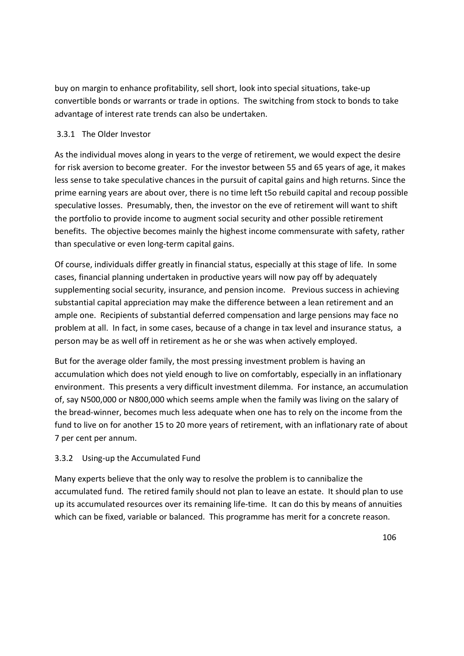buy on margin to enhance profitability, sell short, look into special situations, take-up convertible bonds or warrants or trade in options. The switching from stock to bonds to take advantage of interest rate trends can also be undertaken.

# 3.3.1 The Older Investor

As the individual moves along in years to the verge of retirement, we would expect the desire for risk aversion to become greater. For the investor between 55 and 65 years of age, it makes less sense to take speculative chances in the pursuit of capital gains and high returns. Since the prime earning years are about over, there is no time left t5o rebuild capital and recoup possible speculative losses. Presumably, then, the investor on the eve of retirement will want to shift the portfolio to provide income to augment social security and other possible retirement benefits. The objective becomes mainly the highest income commensurate with safety, rather than speculative or even long-term capital gains.

Of course, individuals differ greatly in financial status, especially at this stage of life. In some cases, financial planning undertaken in productive years will now pay off by adequately supplementing social security, insurance, and pension income. Previous success in achieving substantial capital appreciation may make the difference between a lean retirement and an ample one. Recipients of substantial deferred compensation and large pensions may face no problem at all. In fact, in some cases, because of a change in tax level and insurance status, a person may be as well off in retirement as he or she was when actively employed.

But for the average older family, the most pressing investment problem is having an accumulation which does not yield enough to live on comfortably, especially in an inflationary environment. This presents a very difficult investment dilemma. For instance, an accumulation of, say N500,000 or N800,000 which seems ample when the family was living on the salary of the bread-winner, becomes much less adequate when one has to rely on the income from the fund to live on for another 15 to 20 more years of retirement, with an inflationary rate of about 7 per cent per annum.

# 3.3.2 Using-up the Accumulated Fund

Many experts believe that the only way to resolve the problem is to cannibalize the accumulated fund. The retired family should not plan to leave an estate. It should plan to use up its accumulated resources over its remaining life-time. It can do this by means of annuities which can be fixed, variable or balanced. This programme has merit for a concrete reason.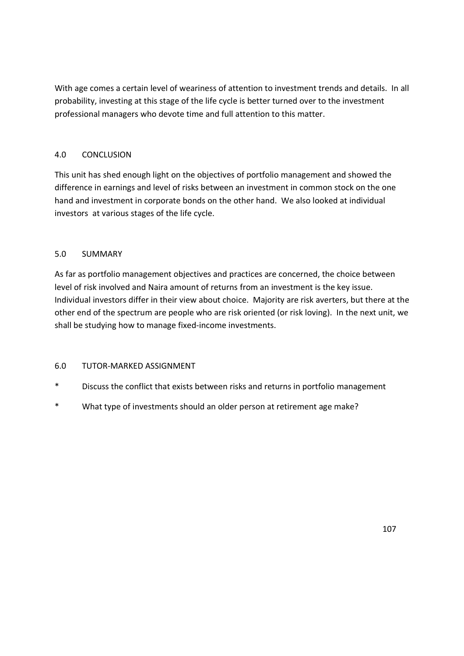With age comes a certain level of weariness of attention to investment trends and details. In all probability, investing at this stage of the life cycle is better turned over to the investment professional managers who devote time and full attention to this matter.

# 4.0 CONCLUSION

This unit has shed enough light on the objectives of portfolio management and showed the difference in earnings and level of risks between an investment in common stock on the one hand and investment in corporate bonds on the other hand. We also looked at individual investors at various stages of the life cycle.

# 5.0 SUMMARY

As far as portfolio management objectives and practices are concerned, the choice between level of risk involved and Naira amount of returns from an investment is the key issue. Individual investors differ in their view about choice. Majority are risk averters, but there at the other end of the spectrum are people who are risk oriented (or risk loving). In the next unit, we shall be studying how to manage fixed-income investments.

# 6.0 TUTOR-MARKED ASSIGNMENT

- \* Discuss the conflict that exists between risks and returns in portfolio management
- \* What type of investments should an older person at retirement age make?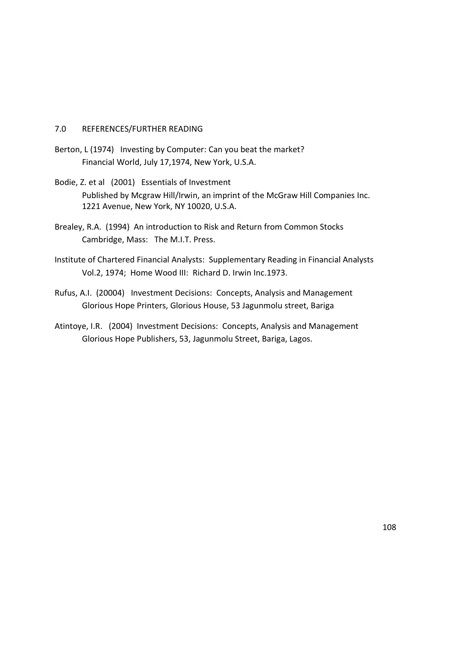#### 7.0 REFERENCES/FURTHER READING

- Berton, L (1974) Investing by Computer: Can you beat the market? Financial World, July 17,1974, New York, U.S.A.
- Bodie, Z. et al (2001) Essentials of Investment Published by Mcgraw Hill/Irwin, an imprint of the McGraw Hill Companies Inc. 1221 Avenue, New York, NY 10020, U.S.A.
- Brealey, R.A. (1994) An introduction to Risk and Return from Common Stocks Cambridge, Mass: The M.I.T. Press.
- Institute of Chartered Financial Analysts: Supplementary Reading in Financial Analysts Vol.2, 1974; Home Wood III: Richard D. Irwin Inc.1973.
- Rufus, A.I. (20004) Investment Decisions: Concepts, Analysis and Management Glorious Hope Printers, Glorious House, 53 Jagunmolu street, Bariga
- Atintoye, I.R. (2004) Investment Decisions: Concepts, Analysis and Management Glorious Hope Publishers, 53, Jagunmolu Street, Bariga, Lagos.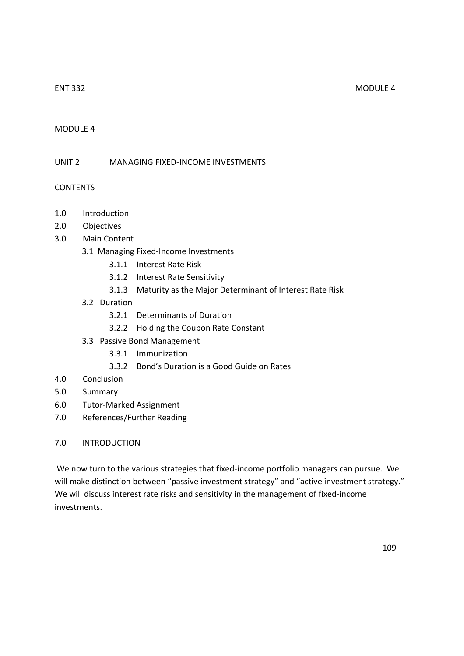### MODULE 4

UNIT 2 MANAGING FIXED-INCOME INVESTMENTS

# CONTENTS

- 1.0 Introduction
- 2.0 Objectives
- 3.0 Main Content
	- 3.1 Managing Fixed-Income Investments
		- 3.1.1 Interest Rate Risk
		- 3.1.2 Interest Rate Sensitivity
		- 3.1.3 Maturity as the Major Determinant of Interest Rate Risk
	- 3.2 Duration
		- 3.2.1 Determinants of Duration
		- 3.2.2 Holding the Coupon Rate Constant
	- 3.3 Passive Bond Management
		- 3.3.1 Immunization
		- 3.3.2 Bond's Duration is a Good Guide on Rates
- 4.0 Conclusion
- 5.0 Summary
- 6.0 Tutor-Marked Assignment
- 7.0 References/Further Reading

# 7.0 INTRODUCTION

 We now turn to the various strategies that fixed-income portfolio managers can pursue. We will make distinction between "passive investment strategy" and "active investment strategy." We will discuss interest rate risks and sensitivity in the management of fixed-income investments.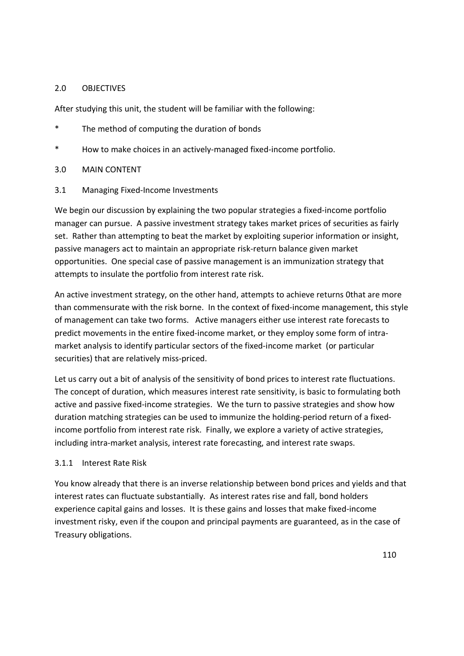#### 2.0 OBJECTIVES

After studying this unit, the student will be familiar with the following:

- \* The method of computing the duration of bonds
- \* How to make choices in an actively-managed fixed-income portfolio.
- 3.0 MAIN CONTENT
- 3.1 Managing Fixed-Income Investments

We begin our discussion by explaining the two popular strategies a fixed-income portfolio manager can pursue. A passive investment strategy takes market prices of securities as fairly set. Rather than attempting to beat the market by exploiting superior information or insight, passive managers act to maintain an appropriate risk-return balance given market opportunities. One special case of passive management is an immunization strategy that attempts to insulate the portfolio from interest rate risk.

An active investment strategy, on the other hand, attempts to achieve returns 0that are more than commensurate with the risk borne. In the context of fixed-income management, this style of management can take two forms. Active managers either use interest rate forecasts to predict movements in the entire fixed-income market, or they employ some form of intramarket analysis to identify particular sectors of the fixed-income market (or particular securities) that are relatively miss-priced.

Let us carry out a bit of analysis of the sensitivity of bond prices to interest rate fluctuations. The concept of duration, which measures interest rate sensitivity, is basic to formulating both active and passive fixed-income strategies. We the turn to passive strategies and show how duration matching strategies can be used to immunize the holding-period return of a fixedincome portfolio from interest rate risk. Finally, we explore a variety of active strategies, including intra-market analysis, interest rate forecasting, and interest rate swaps.

#### 3.1.1 Interest Rate Risk

You know already that there is an inverse relationship between bond prices and yields and that interest rates can fluctuate substantially. As interest rates rise and fall, bond holders experience capital gains and losses. It is these gains and losses that make fixed-income investment risky, even if the coupon and principal payments are guaranteed, as in the case of Treasury obligations.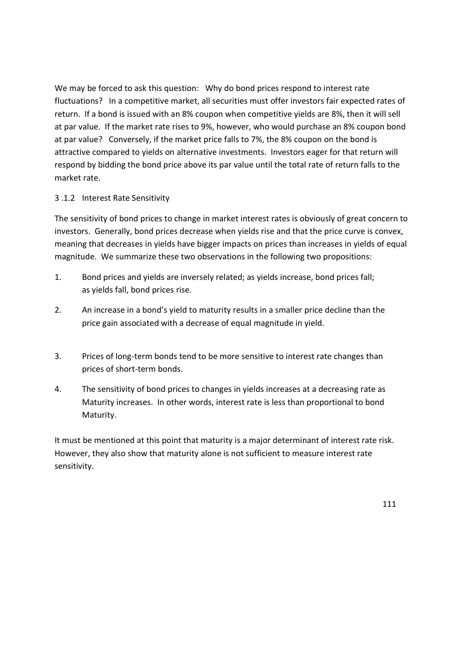We may be forced to ask this question: Why do bond prices respond to interest rate fluctuations? In a competitive market, all securities must offer investors fair expected rates of return. If a bond is issued with an 8% coupon when competitive yields are 8%, then it will sell at par value. If the market rate rises to 9%, however, who would purchase an 8% coupon bond at par value? Conversely, if the market price falls to 7%, the 8% coupon on the bond is attractive compared to yields on alternative investments. Investors eager for that return will respond by bidding the bond price above its par value until the total rate of return falls to the market rate.

# 3 .1.2 Interest Rate Sensitivity

The sensitivity of bond prices to change in market interest rates is obviously of great concern to investors. Generally, bond prices decrease when yields rise and that the price curve is convex, meaning that decreases in yields have bigger impacts on prices than increases in yields of equal magnitude. We summarize these two observations in the following two propositions:

- 1. Bond prices and yields are inversely related; as yields increase, bond prices fall; as yields fall, bond prices rise.
- 2. An increase in a bond's yield to maturity results in a smaller price decline than the price gain associated with a decrease of equal magnitude in yield.
- 3. Prices of long-term bonds tend to be more sensitive to interest rate changes than prices of short-term bonds.
- 4. The sensitivity of bond prices to changes in yields increases at a decreasing rate as Maturity increases. In other words, interest rate is less than proportional to bond Maturity.

It must be mentioned at this point that maturity is a major determinant of interest rate risk. However, they also show that maturity alone is not sufficient to measure interest rate sensitivity.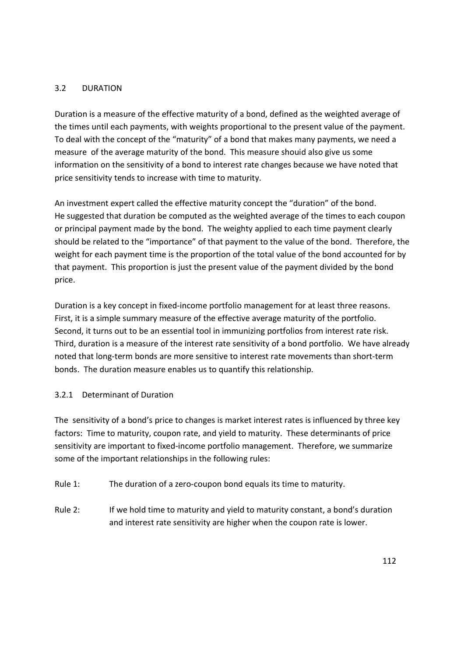# 3.2 DURATION

Duration is a measure of the effective maturity of a bond, defined as the weighted average of the times until each payments, with weights proportional to the present value of the payment. To deal with the concept of the "maturity" of a bond that makes many payments, we need a measure of the average maturity of the bond. This measure shouid also give us some information on the sensitivity of a bond to interest rate changes because we have noted that price sensitivity tends to increase with time to maturity.

An investment expert called the effective maturity concept the "duration" of the bond. He suggested that duration be computed as the weighted average of the times to each coupon or principal payment made by the bond. The weighty applied to each time payment clearly should be related to the "importance" of that payment to the value of the bond. Therefore, the weight for each payment time is the proportion of the total value of the bond accounted for by that payment. This proportion is just the present value of the payment divided by the bond price.

Duration is a key concept in fixed-income portfolio management for at least three reasons. First, it is a simple summary measure of the effective average maturity of the portfolio. Second, it turns out to be an essential tool in immunizing portfolios from interest rate risk. Third, duration is a measure of the interest rate sensitivity of a bond portfolio. We have already noted that long-term bonds are more sensitive to interest rate movements than short-term bonds. The duration measure enables us to quantify this relationship.

#### 3.2.1 Determinant of Duration

The sensitivity of a bond's price to changes is market interest rates is influenced by three key factors: Time to maturity, coupon rate, and yield to maturity. These determinants of price sensitivity are important to fixed-income portfolio management. Therefore, we summarize some of the important relationships in the following rules:

- Rule 1: The duration of a zero-coupon bond equals its time to maturity.
- Rule 2: If we hold time to maturity and yield to maturity constant, a bond's duration and interest rate sensitivity are higher when the coupon rate is lower.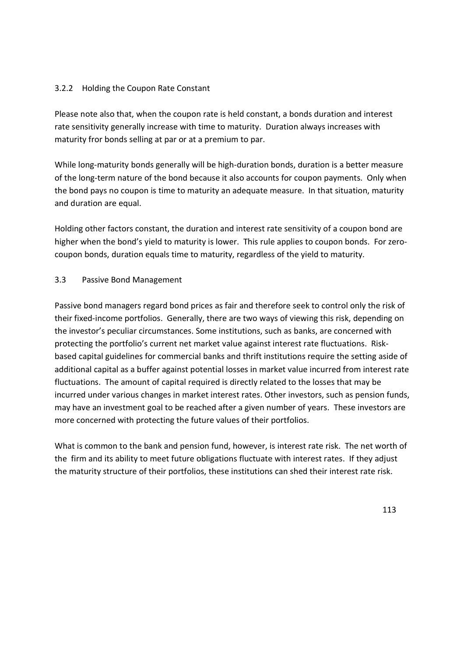# 3.2.2 Holding the Coupon Rate Constant

Please note also that, when the coupon rate is held constant, a bonds duration and interest rate sensitivity generally increase with time to maturity. Duration always increases with maturity fror bonds selling at par or at a premium to par.

While long-maturity bonds generally will be high-duration bonds, duration is a better measure of the long-term nature of the bond because it also accounts for coupon payments. Only when the bond pays no coupon is time to maturity an adequate measure. In that situation, maturity and duration are equal.

Holding other factors constant, the duration and interest rate sensitivity of a coupon bond are higher when the bond's yield to maturity is lower. This rule applies to coupon bonds. For zerocoupon bonds, duration equals time to maturity, regardless of the yield to maturity.

# 3.3 Passive Bond Management

Passive bond managers regard bond prices as fair and therefore seek to control only the risk of their fixed-income portfolios. Generally, there are two ways of viewing this risk, depending on the investor's peculiar circumstances. Some institutions, such as banks, are concerned with protecting the portfolio's current net market value against interest rate fluctuations. Riskbased capital guidelines for commercial banks and thrift institutions require the setting aside of additional capital as a buffer against potential losses in market value incurred from interest rate fluctuations. The amount of capital required is directly related to the losses that may be incurred under various changes in market interest rates. Other investors, such as pension funds, may have an investment goal to be reached after a given number of years. These investors are more concerned with protecting the future values of their portfolios.

What is common to the bank and pension fund, however, is interest rate risk. The net worth of the firm and its ability to meet future obligations fluctuate with interest rates. If they adjust the maturity structure of their portfolios, these institutions can shed their interest rate risk.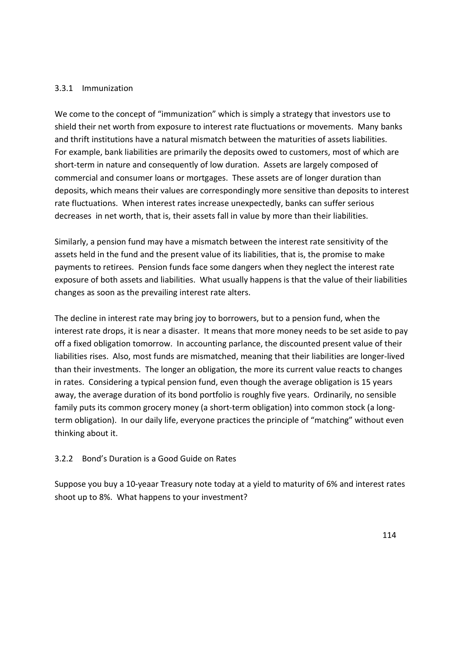#### 3.3.1 Immunization

We come to the concept of "immunization" which is simply a strategy that investors use to shield their net worth from exposure to interest rate fluctuations or movements. Many banks and thrift institutions have a natural mismatch between the maturities of assets liabilities. For example, bank liabilities are primarily the deposits owed to customers, most of which are short-term in nature and consequently of low duration. Assets are largely composed of commercial and consumer loans or mortgages. These assets are of longer duration than deposits, which means their values are correspondingly more sensitive than deposits to interest rate fluctuations. When interest rates increase unexpectedly, banks can suffer serious decreases in net worth, that is, their assets fall in value by more than their liabilities.

Similarly, a pension fund may have a mismatch between the interest rate sensitivity of the assets held in the fund and the present value of its liabilities, that is, the promise to make payments to retirees. Pension funds face some dangers when they neglect the interest rate exposure of both assets and liabilities. What usually happens is that the value of their liabilities changes as soon as the prevailing interest rate alters.

The decline in interest rate may bring joy to borrowers, but to a pension fund, when the interest rate drops, it is near a disaster. It means that more money needs to be set aside to pay off a fixed obligation tomorrow. In accounting parlance, the discounted present value of their liabilities rises. Also, most funds are mismatched, meaning that their liabilities are longer-lived than their investments. The longer an obligation, the more its current value reacts to changes in rates. Considering a typical pension fund, even though the average obligation is 15 years away, the average duration of its bond portfolio is roughly five years. Ordinarily, no sensible family puts its common grocery money (a short-term obligation) into common stock (a longterm obligation). In our daily life, everyone practices the principle of "matching" without even thinking about it.

#### 3.2.2 Bond's Duration is a Good Guide on Rates

Suppose you buy a 10-yeaar Treasury note today at a yield to maturity of 6% and interest rates shoot up to 8%. What happens to your investment?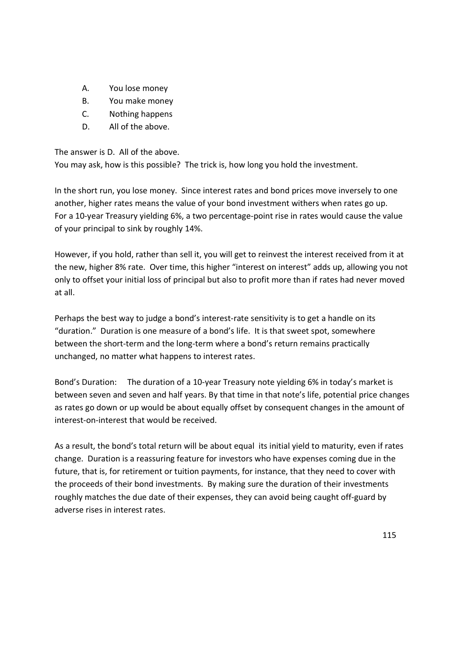- A. You lose money
- B. You make money
- C. Nothing happens
- D. All of the above.

The answer is D. All of the above.

You may ask, how is this possible? The trick is, how long you hold the investment.

In the short run, you lose money. Since interest rates and bond prices move inversely to one another, higher rates means the value of your bond investment withers when rates go up. For a 10-year Treasury yielding 6%, a two percentage-point rise in rates would cause the value of your principal to sink by roughly 14%.

However, if you hold, rather than sell it, you will get to reinvest the interest received from it at the new, higher 8% rate. Over time, this higher "interest on interest" adds up, allowing you not only to offset your initial loss of principal but also to profit more than if rates had never moved at all.

Perhaps the best way to judge a bond's interest-rate sensitivity is to get a handle on its "duration." Duration is one measure of a bond's life. It is that sweet spot, somewhere between the short-term and the long-term where a bond's return remains practically unchanged, no matter what happens to interest rates.

Bond's Duration: The duration of a 10-year Treasury note yielding 6% in today's market is between seven and seven and half years. By that time in that note's life, potential price changes as rates go down or up would be about equally offset by consequent changes in the amount of interest-on-interest that would be received.

As a result, the bond's total return will be about equal its initial yield to maturity, even if rates change. Duration is a reassuring feature for investors who have expenses coming due in the future, that is, for retirement or tuition payments, for instance, that they need to cover with the proceeds of their bond investments. By making sure the duration of their investments roughly matches the due date of their expenses, they can avoid being caught off-guard by adverse rises in interest rates.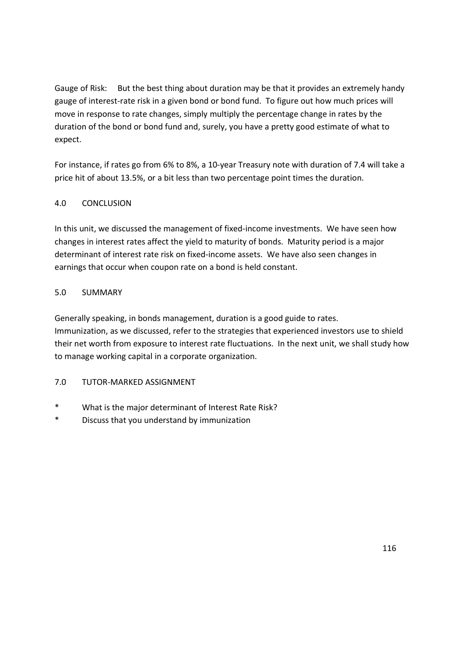Gauge of Risk: But the best thing about duration may be that it provides an extremely handy gauge of interest-rate risk in a given bond or bond fund. To figure out how much prices will move in response to rate changes, simply multiply the percentage change in rates by the duration of the bond or bond fund and, surely, you have a pretty good estimate of what to expect.

For instance, if rates go from 6% to 8%, a 10-year Treasury note with duration of 7.4 will take a price hit of about 13.5%, or a bit less than two percentage point times the duration.

# 4.0 CONCLUSION

In this unit, we discussed the management of fixed-income investments. We have seen how changes in interest rates affect the yield to maturity of bonds. Maturity period is a major determinant of interest rate risk on fixed-income assets. We have also seen changes in earnings that occur when coupon rate on a bond is held constant.

# 5.0 SUMMARY

Generally speaking, in bonds management, duration is a good guide to rates. Immunization, as we discussed, refer to the strategies that experienced investors use to shield their net worth from exposure to interest rate fluctuations. In the next unit, we shall study how to manage working capital in a corporate organization.

# 7.0 TUTOR-MARKED ASSIGNMENT

- \* What is the major determinant of Interest Rate Risk?
- \* Discuss that you understand by immunization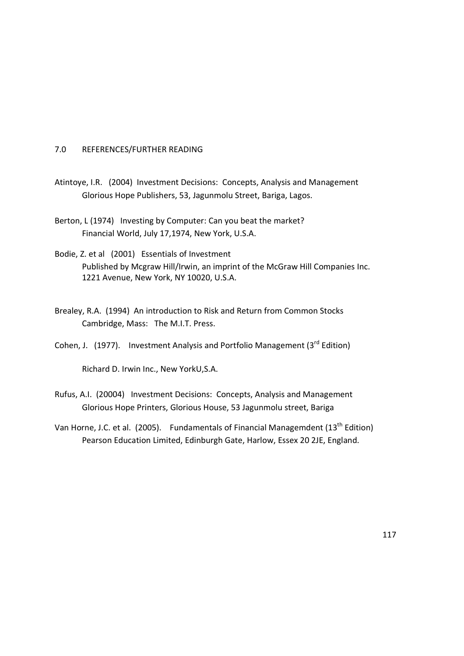### 7.0 REFERENCES/FURTHER READING

- Atintoye, I.R. (2004) Investment Decisions: Concepts, Analysis and Management Glorious Hope Publishers, 53, Jagunmolu Street, Bariga, Lagos.
- Berton, L (1974) Investing by Computer: Can you beat the market? Financial World, July 17,1974, New York, U.S.A.
- Bodie, Z. et al (2001) Essentials of Investment Published by Mcgraw Hill/Irwin, an imprint of the McGraw Hill Companies Inc. 1221 Avenue, New York, NY 10020, U.S.A.
- Brealey, R.A. (1994) An introduction to Risk and Return from Common Stocks Cambridge, Mass: The M.I.T. Press.
- Cohen, J. (1977). Investment Analysis and Portfolio Management (3<sup>rd</sup> Edition)

Richard D. Irwin Inc., New YorkU,S.A.

- Rufus, A.I. (20004) Investment Decisions: Concepts, Analysis and Management Glorious Hope Printers, Glorious House, 53 Jagunmolu street, Bariga
- Van Horne, J.C. et al. (2005). Fundamentals of Financial Managemdent ( $13<sup>th</sup>$  Edition) Pearson Education Limited, Edinburgh Gate, Harlow, Essex 20 2JE, England.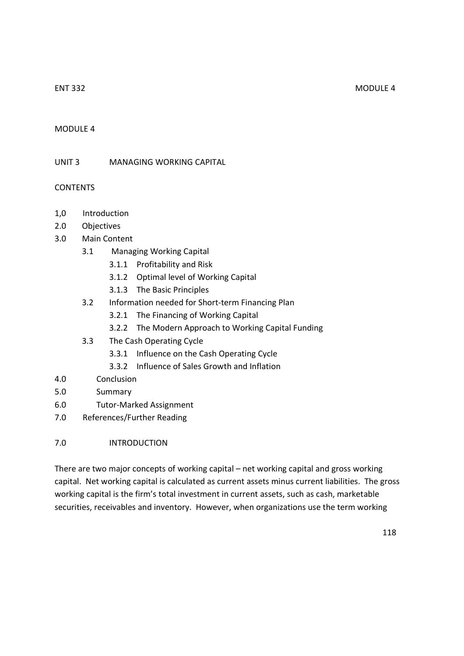#### ENT 332 MODULE 4

# MODULE 4

UNIT 3 MANAGING WORKING CAPITAL

CONTENTS

- 1,0 Introduction
- 2.0 Objectives
- 3.0 Main Content
	- 3.1 Managing Working Capital
		- 3.1.1 Profitability and Risk
		- 3.1.2 Optimal level of Working Capital
		- 3.1.3 The Basic Principles
	- 3.2 Information needed for Short-term Financing Plan
		- 3.2.1 The Financing of Working Capital
		- 3.2.2 The Modern Approach to Working Capital Funding
	- 3.3 The Cash Operating Cycle
		- 3.3.1 Influence on the Cash Operating Cycle
		- 3.3.2 Influence of Sales Growth and Inflation
- 4.0 Conclusion
- 5.0 Summary
- 6.0 Tutor-Marked Assignment
- 7.0 References/Further Reading
- 7.0 INTRODUCTION

There are two major concepts of working capital – net working capital and gross working capital. Net working capital is calculated as current assets minus current liabilities. The gross working capital is the firm's total investment in current assets, such as cash, marketable securities, receivables and inventory. However, when organizations use the term working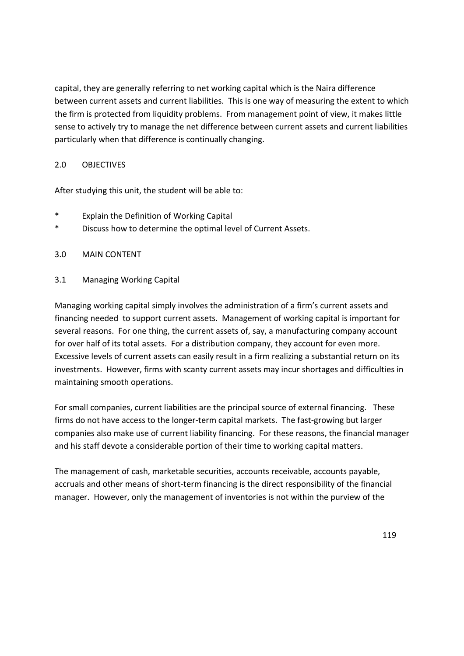capital, they are generally referring to net working capital which is the Naira difference between current assets and current liabilities. This is one way of measuring the extent to which the firm is protected from liquidity problems. From management point of view, it makes little sense to actively try to manage the net difference between current assets and current liabilities particularly when that difference is continually changing.

# 2.0 OBJECTIVES

After studying this unit, the student will be able to:

- \* Explain the Definition of Working Capital
- \* Discuss how to determine the optimal level of Current Assets.

#### 3.0 MAIN CONTENT

# 3.1 Managing Working Capital

Managing working capital simply involves the administration of a firm's current assets and financing needed to support current assets. Management of working capital is important for several reasons. For one thing, the current assets of, say, a manufacturing company account for over half of its total assets. For a distribution company, they account for even more. Excessive levels of current assets can easily result in a firm realizing a substantial return on its investments. However, firms with scanty current assets may incur shortages and difficulties in maintaining smooth operations.

For small companies, current liabilities are the principal source of external financing. These firms do not have access to the longer-term capital markets. The fast-growing but larger companies also make use of current liability financing. For these reasons, the financial manager and his staff devote a considerable portion of their time to working capital matters.

The management of cash, marketable securities, accounts receivable, accounts payable, accruals and other means of short-term financing is the direct responsibility of the financial manager. However, only the management of inventories is not within the purview of the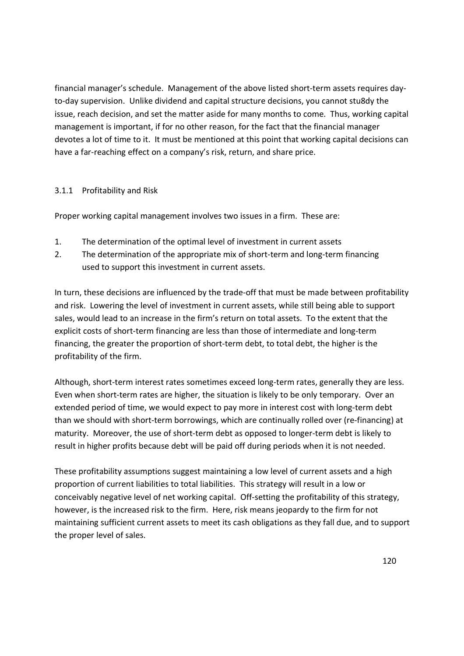financial manager's schedule. Management of the above listed short-term assets requires dayto-day supervision. Unlike dividend and capital structure decisions, you cannot stu8dy the issue, reach decision, and set the matter aside for many months to come. Thus, working capital management is important, if for no other reason, for the fact that the financial manager devotes a lot of time to it. It must be mentioned at this point that working capital decisions can have a far-reaching effect on a company's risk, return, and share price.

# 3.1.1 Profitability and Risk

Proper working capital management involves two issues in a firm. These are:

- 1. The determination of the optimal level of investment in current assets
- 2. The determination of the appropriate mix of short-term and long-term financing used to support this investment in current assets.

In turn, these decisions are influenced by the trade-off that must be made between profitability and risk. Lowering the level of investment in current assets, while still being able to support sales, would lead to an increase in the firm's return on total assets. To the extent that the explicit costs of short-term financing are less than those of intermediate and long-term financing, the greater the proportion of short-term debt, to total debt, the higher is the profitability of the firm.

Although, short-term interest rates sometimes exceed long-term rates, generally they are less. Even when short-term rates are higher, the situation is likely to be only temporary. Over an extended period of time, we would expect to pay more in interest cost with long-term debt than we should with short-term borrowings, which are continually rolled over (re-financing) at maturity. Moreover, the use of short-term debt as opposed to longer-term debt is likely to result in higher profits because debt will be paid off during periods when it is not needed.

These profitability assumptions suggest maintaining a low level of current assets and a high proportion of current liabilities to total liabilities. This strategy will result in a low or conceivably negative level of net working capital. Off-setting the profitability of this strategy, however, is the increased risk to the firm. Here, risk means jeopardy to the firm for not maintaining sufficient current assets to meet its cash obligations as they fall due, and to support the proper level of sales.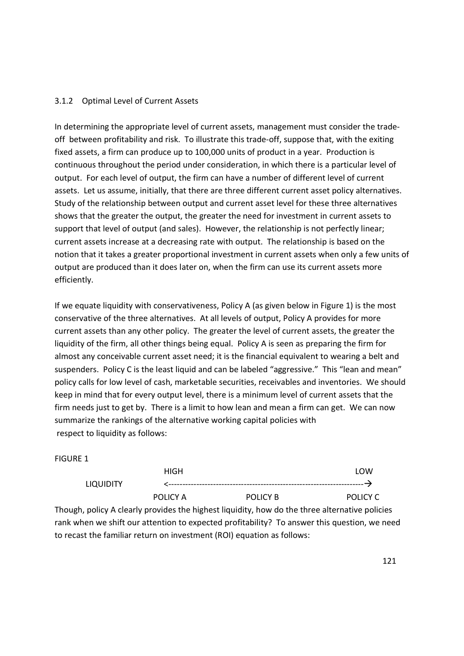# 3.1.2 Optimal Level of Current Assets

In determining the appropriate level of current assets, management must consider the tradeoff between profitability and risk. To illustrate this trade-off, suppose that, with the exiting fixed assets, a firm can produce up to 100,000 units of product in a year. Production is continuous throughout the period under consideration, in which there is a particular level of output. For each level of output, the firm can have a number of different level of current assets. Let us assume, initially, that there are three different current asset policy alternatives. Study of the relationship between output and current asset level for these three alternatives shows that the greater the output, the greater the need for investment in current assets to support that level of output (and sales). However, the relationship is not perfectly linear; current assets increase at a decreasing rate with output. The relationship is based on the notion that it takes a greater proportional investment in current assets when only a few units of output are produced than it does later on, when the firm can use its current assets more efficiently.

If we equate liquidity with conservativeness, Policy A (as given below in Figure 1) is the most conservative of the three alternatives. At all levels of output, Policy A provides for more current assets than any other policy. The greater the level of current assets, the greater the liquidity of the firm, all other things being equal. Policy A is seen as preparing the firm for almost any conceivable current asset need; it is the financial equivalent to wearing a belt and suspenders. Policy C is the least liquid and can be labeled "aggressive." This "lean and mean" policy calls for low level of cash, marketable securities, receivables and inventories. We should keep in mind that for every output level, there is a minimum level of current assets that the firm needs just to get by. There is a limit to how lean and mean a firm can get. We can now summarize the rankings of the alternative working capital policies with respect to liquidity as follows:

#### FIGURE 1

|                  | HIGH     |          | LOW      |
|------------------|----------|----------|----------|
| <b>LIQUIDITY</b> |          |          |          |
|                  | POLICY A | POLICY B | POLICY C |

Though, policy A clearly provides the highest liquidity, how do the three alternative policies rank when we shift our attention to expected profitability? To answer this question, we need to recast the familiar return on investment (ROI) equation as follows: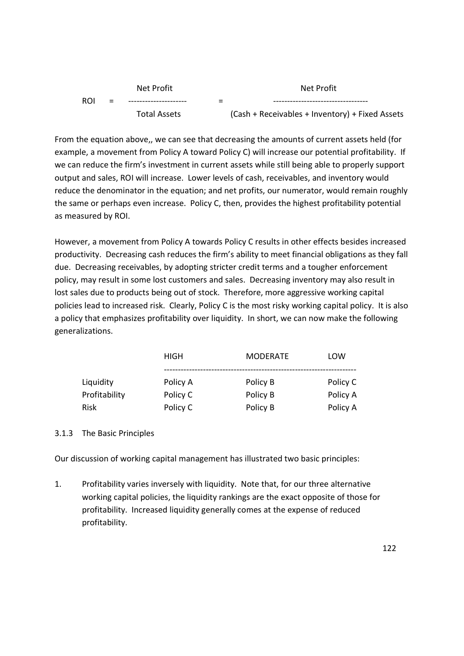| Net Profit                                      |        | Net Profit          |     |     |  |
|-------------------------------------------------|--------|---------------------|-----|-----|--|
|                                                 | -<br>- |                     | $=$ | ROI |  |
| (Cash + Receivables + Inventory) + Fixed Assets |        | <b>Total Assets</b> |     |     |  |

From the equation above,, we can see that decreasing the amounts of current assets held (for example, a movement from Policy A toward Policy C) will increase our potential profitability. If we can reduce the firm's investment in current assets while still being able to properly support output and sales, ROI will increase. Lower levels of cash, receivables, and inventory would reduce the denominator in the equation; and net profits, our numerator, would remain roughly the same or perhaps even increase. Policy C, then, provides the highest profitability potential as measured by ROI.

However, a movement from Policy A towards Policy C results in other effects besides increased productivity. Decreasing cash reduces the firm's ability to meet financial obligations as they fall due. Decreasing receivables, by adopting stricter credit terms and a tougher enforcement policy, may result in some lost customers and sales. Decreasing inventory may also result in lost sales due to products being out of stock. Therefore, more aggressive working capital policies lead to increased risk. Clearly, Policy C is the most risky working capital policy. It is also a policy that emphasizes profitability over liquidity. In short, we can now make the following generalizations.

|               | HIGH     | <b>MODERATE</b> | LOW      |  |
|---------------|----------|-----------------|----------|--|
| Liquidity     | Policy A | Policy B        | Policy C |  |
| Profitability | Policy C | Policy B        | Policy A |  |
| Risk          | Policy C | Policy B        | Policy A |  |

#### 3.1.3 The Basic Principles

Our discussion of working capital management has illustrated two basic principles:

1. Profitability varies inversely with liquidity. Note that, for our three alternative working capital policies, the liquidity rankings are the exact opposite of those for profitability. Increased liquidity generally comes at the expense of reduced profitability.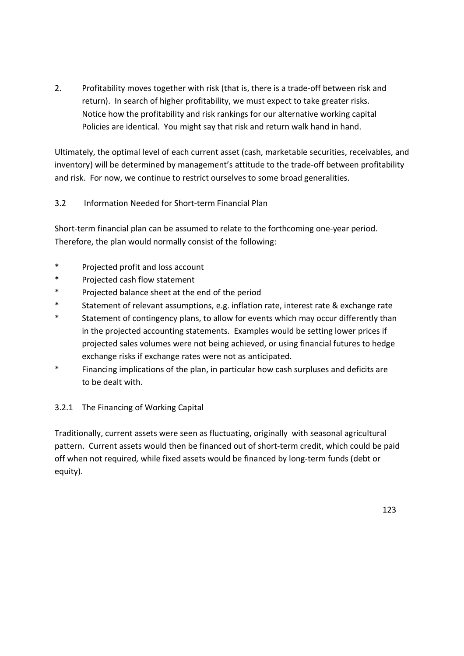2. Profitability moves together with risk (that is, there is a trade-off between risk and return). In search of higher profitability, we must expect to take greater risks. Notice how the profitability and risk rankings for our alternative working capital Policies are identical. You might say that risk and return walk hand in hand.

Ultimately, the optimal level of each current asset (cash, marketable securities, receivables, and inventory) will be determined by management's attitude to the trade-off between profitability and risk. For now, we continue to restrict ourselves to some broad generalities.

# 3.2 Information Needed for Short-term Financial Plan

Short-term financial plan can be assumed to relate to the forthcoming one-year period. Therefore, the plan would normally consist of the following:

- \* Projected profit and loss account
- \* Projected cash flow statement
- \* Projected balance sheet at the end of the period
- \* Statement of relevant assumptions, e.g. inflation rate, interest rate & exchange rate
- \* Statement of contingency plans, to allow for events which may occur differently than in the projected accounting statements. Examples would be setting lower prices if projected sales volumes were not being achieved, or using financial futures to hedge exchange risks if exchange rates were not as anticipated.
- \* Financing implications of the plan, in particular how cash surpluses and deficits are to be dealt with.

# 3.2.1 The Financing of Working Capital

Traditionally, current assets were seen as fluctuating, originally with seasonal agricultural pattern. Current assets would then be financed out of short-term credit, which could be paid off when not required, while fixed assets would be financed by long-term funds (debt or equity).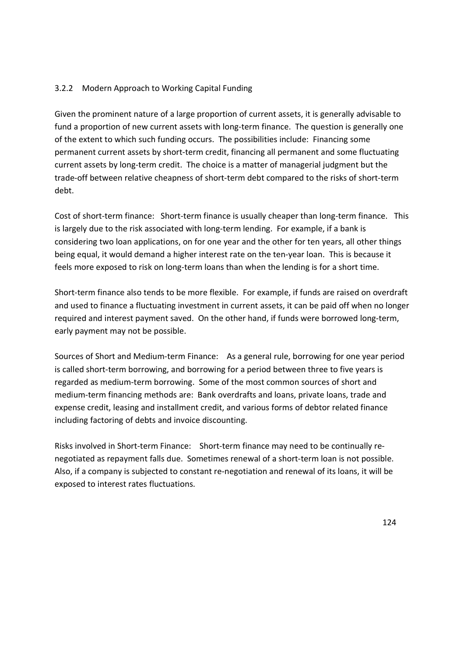# 3.2.2 Modern Approach to Working Capital Funding

Given the prominent nature of a large proportion of current assets, it is generally advisable to fund a proportion of new current assets with long-term finance. The question is generally one of the extent to which such funding occurs. The possibilities include: Financing some permanent current assets by short-term credit, financing all permanent and some fluctuating current assets by long-term credit. The choice is a matter of managerial judgment but the trade-off between relative cheapness of short-term debt compared to the risks of short-term debt.

Cost of short-term finance: Short-term finance is usually cheaper than long-term finance. This is largely due to the risk associated with long-term lending. For example, if a bank is considering two loan applications, on for one year and the other for ten years, all other things being equal, it would demand a higher interest rate on the ten-year loan. This is because it feels more exposed to risk on long-term loans than when the lending is for a short time.

Short-term finance also tends to be more flexible. For example, if funds are raised on overdraft and used to finance a fluctuating investment in current assets, it can be paid off when no longer required and interest payment saved. On the other hand, if funds were borrowed long-term, early payment may not be possible.

Sources of Short and Medium-term Finance: As a general rule, borrowing for one year period is called short-term borrowing, and borrowing for a period between three to five years is regarded as medium-term borrowing. Some of the most common sources of short and medium-term financing methods are: Bank overdrafts and loans, private loans, trade and expense credit, leasing and installment credit, and various forms of debtor related finance including factoring of debts and invoice discounting.

Risks involved in Short-term Finance: Short-term finance may need to be continually renegotiated as repayment falls due. Sometimes renewal of a short-term loan is not possible. Also, if a company is subjected to constant re-negotiation and renewal of its loans, it will be exposed to interest rates fluctuations.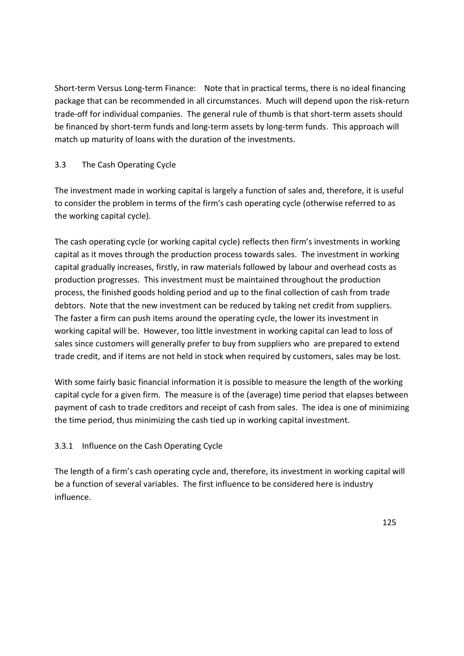Short-term Versus Long-term Finance: Note that in practical terms, there is no ideal financing package that can be recommended in all circumstances. Much will depend upon the risk-return trade-off for individual companies. The general rule of thumb is that short-term assets should be financed by short-term funds and long-term assets by long-term funds. This approach will match up maturity of loans with the duration of the investments.

# 3.3 The Cash Operating Cycle

The investment made in working capital is largely a function of sales and, therefore, it is useful to consider the problem in terms of the firm's cash operating cycle (otherwise referred to as the working capital cycle).

The cash operating cycle (or working capital cycle) reflects then firm's investments in working capital as it moves through the production process towards sales. The investment in working capital gradually increases, firstly, in raw materials followed by labour and overhead costs as production progresses. This investment must be maintained throughout the production process, the finished goods holding period and up to the final collection of cash from trade debtors. Note that the new investment can be reduced by taking net credit from suppliers. The faster a firm can push items around the operating cycle, the lower its investment in working capital will be. However, too little investment in working capital can lead to loss of sales since customers will generally prefer to buy from suppliers who are prepared to extend trade credit, and if items are not held in stock when required by customers, sales may be lost.

With some fairly basic financial information it is possible to measure the length of the working capital cycle for a given firm. The measure is of the (average) time period that elapses between payment of cash to trade creditors and receipt of cash from sales. The idea is one of minimizing the time period, thus minimizing the cash tied up in working capital investment.

# 3.3.1 Influence on the Cash Operating Cycle

The length of a firm's cash operating cycle and, therefore, its investment in working capital will be a function of several variables. The first influence to be considered here is industry influence.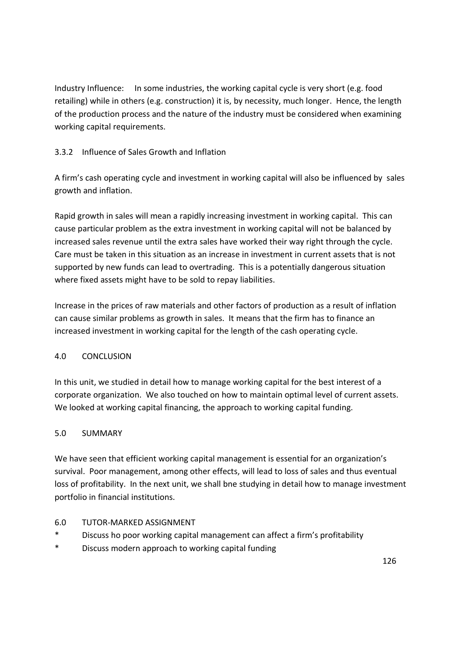Industry Influence: In some industries, the working capital cycle is very short (e.g. food retailing) while in others (e.g. construction) it is, by necessity, much longer. Hence, the length of the production process and the nature of the industry must be considered when examining working capital requirements.

# 3.3.2 Influence of Sales Growth and Inflation

A firm's cash operating cycle and investment in working capital will also be influenced by sales growth and inflation.

Rapid growth in sales will mean a rapidly increasing investment in working capital. This can cause particular problem as the extra investment in working capital will not be balanced by increased sales revenue until the extra sales have worked their way right through the cycle. Care must be taken in this situation as an increase in investment in current assets that is not supported by new funds can lead to overtrading. This is a potentially dangerous situation where fixed assets might have to be sold to repay liabilities.

Increase in the prices of raw materials and other factors of production as a result of inflation can cause similar problems as growth in sales. It means that the firm has to finance an increased investment in working capital for the length of the cash operating cycle.

# 4.0 CONCLUSION

In this unit, we studied in detail how to manage working capital for the best interest of a corporate organization. We also touched on how to maintain optimal level of current assets. We looked at working capital financing, the approach to working capital funding.

# 5.0 SUMMARY

We have seen that efficient working capital management is essential for an organization's survival. Poor management, among other effects, will lead to loss of sales and thus eventual loss of profitability. In the next unit, we shall bne studying in detail how to manage investment portfolio in financial institutions.

# 6.0 TUTOR-MARKED ASSIGNMENT

- Discuss ho poor working capital management can affect a firm's profitability
- \* Discuss modern approach to working capital funding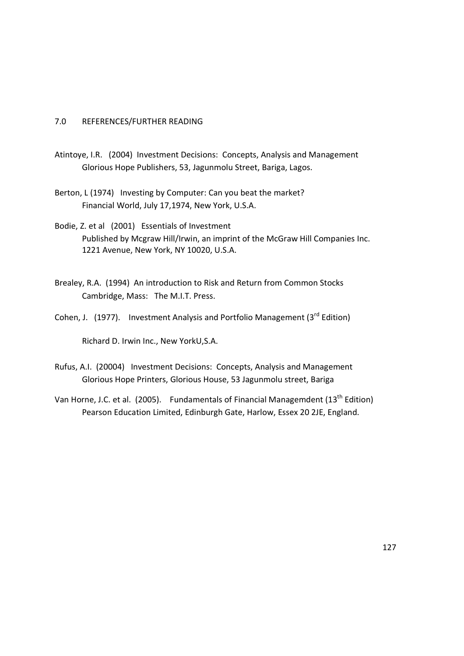#### 7.0 REFERENCES/FURTHER READING

- Atintoye, I.R. (2004) Investment Decisions: Concepts, Analysis and Management Glorious Hope Publishers, 53, Jagunmolu Street, Bariga, Lagos.
- Berton, L (1974) Investing by Computer: Can you beat the market? Financial World, July 17,1974, New York, U.S.A.

Bodie, Z. et al (2001) Essentials of Investment Published by Mcgraw Hill/Irwin, an imprint of the McGraw Hill Companies Inc. 1221 Avenue, New York, NY 10020, U.S.A.

- Brealey, R.A. (1994) An introduction to Risk and Return from Common Stocks Cambridge, Mass: The M.I.T. Press.
- Cohen, J. (1977). Investment Analysis and Portfolio Management ( $3<sup>rd</sup>$  Edition)

Richard D. Irwin Inc., New YorkU,S.A.

- Rufus, A.I. (20004) Investment Decisions: Concepts, Analysis and Management Glorious Hope Printers, Glorious House, 53 Jagunmolu street, Bariga
- Van Horne, J.C. et al. (2005). Fundamentals of Financial Managemdent ( $13<sup>th</sup>$  Edition) Pearson Education Limited, Edinburgh Gate, Harlow, Essex 20 2JE, England.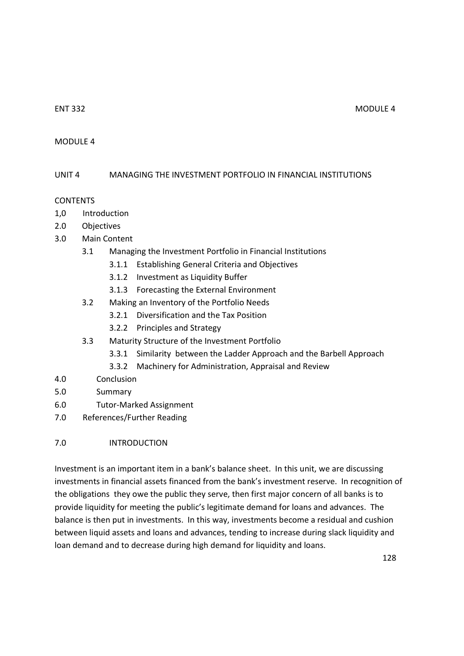#### ENT 332 MODULE 4

### MODULE 4

# UNIT 4 MANAGING THE INVESTMENT PORTFOLIO IN FINANCIAL INSTITUTIONS

#### CONTENTS

- 1,0 Introduction
- 2.0 Objectives
- 3.0 Main Content
	- 3.1 Managing the Investment Portfolio in Financial Institutions
		- 3.1.1 Establishing General Criteria and Objectives
		- 3.1.2 Investment as Liquidity Buffer
		- 3.1.3 Forecasting the External Environment
	- 3.2 Making an Inventory of the Portfolio Needs
		- 3.2.1 Diversification and the Tax Position
		- 3.2.2 Principles and Strategy
	- 3.3 Maturity Structure of the Investment Portfolio
		- 3.3.1 Similarity between the Ladder Approach and the Barbell Approach
		- 3.3.2 Machinery for Administration, Appraisal and Review
- 4.0 Conclusion
- 5.0 Summary
- 6.0 Tutor-Marked Assignment
- 7.0 References/Further Reading

# 7.0 INTRODUCTION

Investment is an important item in a bank's balance sheet. In this unit, we are discussing investments in financial assets financed from the bank's investment reserve. In recognition of the obligations they owe the public they serve, then first major concern of all banks is to provide liquidity for meeting the public's legitimate demand for loans and advances. The balance is then put in investments. In this way, investments become a residual and cushion between liquid assets and loans and advances, tending to increase during slack liquidity and loan demand and to decrease during high demand for liquidity and loans.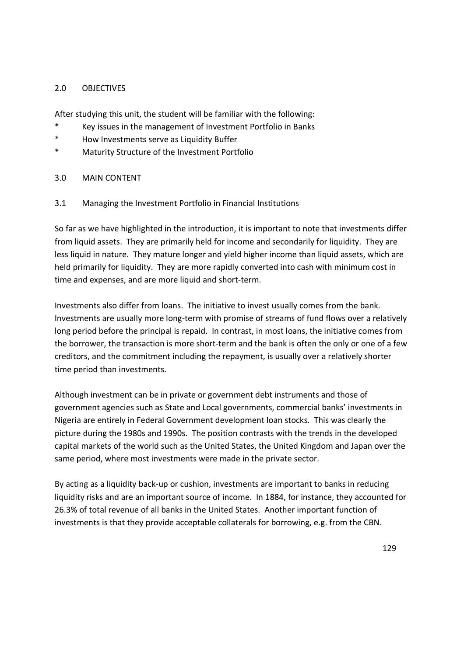### 2.0 OBJECTIVES

After studying this unit, the student will be familiar with the following:

- \* Key issues in the management of Investment Portfolio in Banks
- \* How Investments serve as Liquidity Buffer
- \* Maturity Structure of the Investment Portfolio

#### 3.0 MAIN CONTENT

# 3.1 Managing the Investment Portfolio in Financial Institutions

So far as we have highlighted in the introduction, it is important to note that investments differ from liquid assets. They are primarily held for income and secondarily for liquidity. They are less liquid in nature. They mature longer and yield higher income than liquid assets, which are held primarily for liquidity. They are more rapidly converted into cash with minimum cost in time and expenses, and are more liquid and short-term.

Investments also differ from loans. The initiative to invest usually comes from the bank. Investments are usually more long-term with promise of streams of fund flows over a relatively long period before the principal is repaid. In contrast, in most loans, the initiative comes from the borrower, the transaction is more short-term and the bank is often the only or one of a few creditors, and the commitment including the repayment, is usually over a relatively shorter time period than investments.

Although investment can be in private or government debt instruments and those of government agencies such as State and Local governments, commercial banks' investments in Nigeria are entirely in Federal Government development loan stocks. This was clearly the picture during the 1980s and 1990s. The position contrasts with the trends in the developed capital markets of the world such as the United States, the United Kingdom and Japan over the same period, where most investments were made in the private sector.

By acting as a liquidity back-up or cushion, investments are important to banks in reducing liquidity risks and are an important source of income. In 1884, for instance, they accounted for 26.3% of total revenue of all banks in the United States. Another important function of investments is that they provide acceptable collaterals for borrowing, e.g. from the CBN.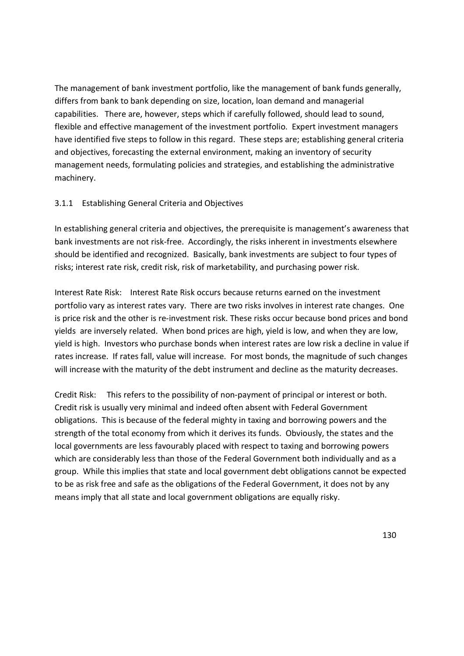The management of bank investment portfolio, like the management of bank funds generally, differs from bank to bank depending on size, location, loan demand and managerial capabilities. There are, however, steps which if carefully followed, should lead to sound, flexible and effective management of the investment portfolio. Expert investment managers have identified five steps to follow in this regard. These steps are; establishing general criteria and objectives, forecasting the external environment, making an inventory of security management needs, formulating policies and strategies, and establishing the administrative machinery.

# 3.1.1 Establishing General Criteria and Objectives

In establishing general criteria and objectives, the prerequisite is management's awareness that bank investments are not risk-free. Accordingly, the risks inherent in investments elsewhere should be identified and recognized. Basically, bank investments are subject to four types of risks; interest rate risk, credit risk, risk of marketability, and purchasing power risk.

Interest Rate Risk: Interest Rate Risk occurs because returns earned on the investment portfolio vary as interest rates vary. There are two risks involves in interest rate changes. One is price risk and the other is re-investment risk. These risks occur because bond prices and bond yields are inversely related. When bond prices are high, yield is low, and when they are low, yield is high. Investors who purchase bonds when interest rates are low risk a decline in value if rates increase. If rates fall, value will increase. For most bonds, the magnitude of such changes will increase with the maturity of the debt instrument and decline as the maturity decreases.

Credit Risk: This refers to the possibility of non-payment of principal or interest or both. Credit risk is usually very minimal and indeed often absent with Federal Government obligations. This is because of the federal mighty in taxing and borrowing powers and the strength of the total economy from which it derives its funds. Obviously, the states and the local governments are less favourably placed with respect to taxing and borrowing powers which are considerably less than those of the Federal Government both individually and as a group. While this implies that state and local government debt obligations cannot be expected to be as risk free and safe as the obligations of the Federal Government, it does not by any means imply that all state and local government obligations are equally risky.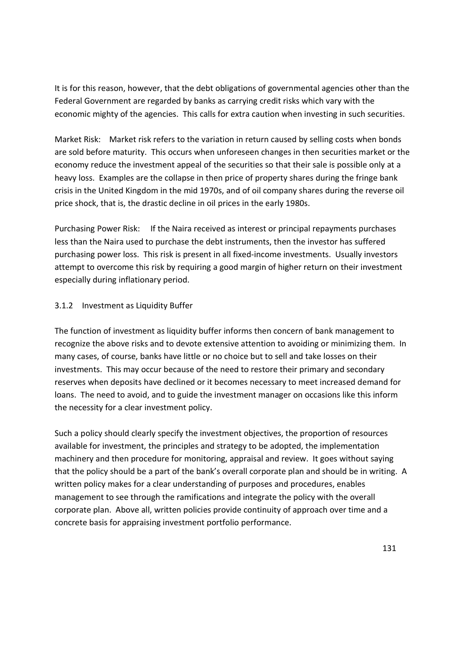It is for this reason, however, that the debt obligations of governmental agencies other than the Federal Government are regarded by banks as carrying credit risks which vary with the economic mighty of the agencies. This calls for extra caution when investing in such securities.

Market Risk: Market risk refers to the variation in return caused by selling costs when bonds are sold before maturity. This occurs when unforeseen changes in then securities market or the economy reduce the investment appeal of the securities so that their sale is possible only at a heavy loss. Examples are the collapse in then price of property shares during the fringe bank crisis in the United Kingdom in the mid 1970s, and of oil company shares during the reverse oil price shock, that is, the drastic decline in oil prices in the early 1980s.

Purchasing Power Risk: If the Naira received as interest or principal repayments purchases less than the Naira used to purchase the debt instruments, then the investor has suffered purchasing power loss. This risk is present in all fixed-income investments. Usually investors attempt to overcome this risk by requiring a good margin of higher return on their investment especially during inflationary period.

# 3.1.2 Investment as Liquidity Buffer

The function of investment as liquidity buffer informs then concern of bank management to recognize the above risks and to devote extensive attention to avoiding or minimizing them. In many cases, of course, banks have little or no choice but to sell and take losses on their investments. This may occur because of the need to restore their primary and secondary reserves when deposits have declined or it becomes necessary to meet increased demand for loans. The need to avoid, and to guide the investment manager on occasions like this inform the necessity for a clear investment policy.

Such a policy should clearly specify the investment objectives, the proportion of resources available for investment, the principles and strategy to be adopted, the implementation machinery and then procedure for monitoring, appraisal and review. It goes without saying that the policy should be a part of the bank's overall corporate plan and should be in writing. A written policy makes for a clear understanding of purposes and procedures, enables management to see through the ramifications and integrate the policy with the overall corporate plan. Above all, written policies provide continuity of approach over time and a concrete basis for appraising investment portfolio performance.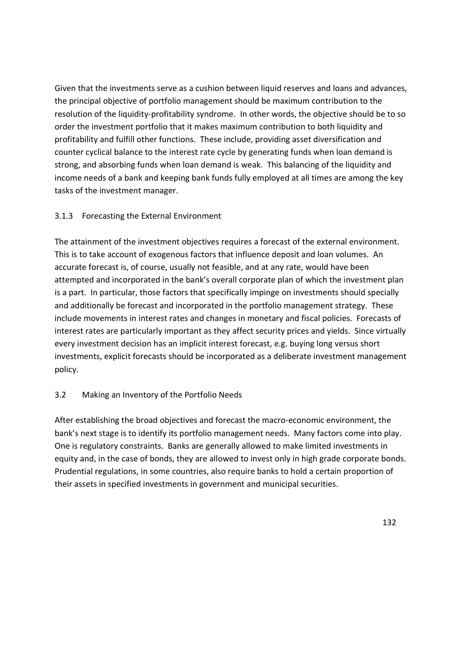Given that the investments serve as a cushion between liquid reserves and loans and advances, the principal objective of portfolio management should be maximum contribution to the resolution of the liquidity-profitability syndrome. In other words, the objective should be to so order the investment portfolio that it makes maximum contribution to both liquidity and profitability and fulfill other functions. These include, providing asset diversification and counter cyclical balance to the interest rate cycle by generating funds when loan demand is strong, and absorbing funds when loan demand is weak. This balancing of the liquidity and income needs of a bank and keeping bank funds fully employed at all times are among the key tasks of the investment manager.

# 3.1.3 Forecasting the External Environment

The attainment of the investment objectives requires a forecast of the external environment. This is to take account of exogenous factors that influence deposit and loan volumes. An accurate forecast is, of course, usually not feasible, and at any rate, would have been attempted and incorporated in the bank's overall corporate plan of which the investment plan is a part. In particular, those factors that specifically impinge on investments should specially and additionally be forecast and incorporated in the portfolio management strategy. These include movements in interest rates and changes in monetary and fiscal policies. Forecasts of interest rates are particularly important as they affect security prices and yields. Since virtually every investment decision has an implicit interest forecast, e.g. buying long versus short investments, explicit forecasts should be incorporated as a deliberate investment management policy.

#### 3.2 Making an Inventory of the Portfolio Needs

After establishing the broad objectives and forecast the macro-economic environment, the bank's next stage is to identify its portfolio management needs. Many factors come into play. One is regulatory constraints. Banks are generally allowed to make limited investments in equity and, in the case of bonds, they are allowed to invest only in high grade corporate bonds. Prudential regulations, in some countries, also require banks to hold a certain proportion of their assets in specified investments in government and municipal securities.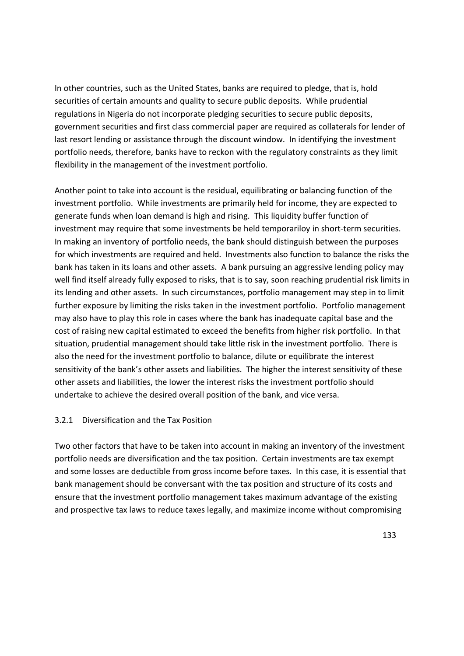In other countries, such as the United States, banks are required to pledge, that is, hold securities of certain amounts and quality to secure public deposits. While prudential regulations in Nigeria do not incorporate pledging securities to secure public deposits, government securities and first class commercial paper are required as collaterals for lender of last resort lending or assistance through the discount window. In identifying the investment portfolio needs, therefore, banks have to reckon with the regulatory constraints as they limit flexibility in the management of the investment portfolio.

Another point to take into account is the residual, equilibrating or balancing function of the investment portfolio. While investments are primarily held for income, they are expected to generate funds when loan demand is high and rising. This liquidity buffer function of investment may require that some investments be held temporariloy in short-term securities. In making an inventory of portfolio needs, the bank should distinguish between the purposes for which investments are required and held. Investments also function to balance the risks the bank has taken in its loans and other assets. A bank pursuing an aggressive lending policy may well find itself already fully exposed to risks, that is to say, soon reaching prudential risk limits in its lending and other assets. In such circumstances, portfolio management may step in to limit further exposure by limiting the risks taken in the investment portfolio. Portfolio management may also have to play this role in cases where the bank has inadequate capital base and the cost of raising new capital estimated to exceed the benefits from higher risk portfolio. In that situation, prudential management should take little risk in the investment portfolio. There is also the need for the investment portfolio to balance, dilute or equilibrate the interest sensitivity of the bank's other assets and liabilities. The higher the interest sensitivity of these other assets and liabilities, the lower the interest risks the investment portfolio should undertake to achieve the desired overall position of the bank, and vice versa.

#### 3.2.1 Diversification and the Tax Position

Two other factors that have to be taken into account in making an inventory of the investment portfolio needs are diversification and the tax position. Certain investments are tax exempt and some losses are deductible from gross income before taxes. In this case, it is essential that bank management should be conversant with the tax position and structure of its costs and ensure that the investment portfolio management takes maximum advantage of the existing and prospective tax laws to reduce taxes legally, and maximize income without compromising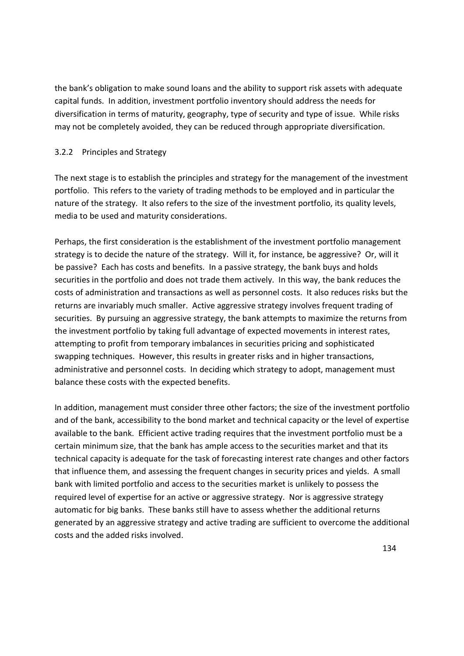the bank's obligation to make sound loans and the ability to support risk assets with adequate capital funds. In addition, investment portfolio inventory should address the needs for diversification in terms of maturity, geography, type of security and type of issue. While risks may not be completely avoided, they can be reduced through appropriate diversification.

# 3.2.2 Principles and Strategy

The next stage is to establish the principles and strategy for the management of the investment portfolio. This refers to the variety of trading methods to be employed and in particular the nature of the strategy. It also refers to the size of the investment portfolio, its quality levels, media to be used and maturity considerations.

Perhaps, the first consideration is the establishment of the investment portfolio management strategy is to decide the nature of the strategy. Will it, for instance, be aggressive? Or, will it be passive? Each has costs and benefits. In a passive strategy, the bank buys and holds securities in the portfolio and does not trade them actively. In this way, the bank reduces the costs of administration and transactions as well as personnel costs. It also reduces risks but the returns are invariably much smaller. Active aggressive strategy involves frequent trading of securities. By pursuing an aggressive strategy, the bank attempts to maximize the returns from the investment portfolio by taking full advantage of expected movements in interest rates, attempting to profit from temporary imbalances in securities pricing and sophisticated swapping techniques. However, this results in greater risks and in higher transactions, administrative and personnel costs. In deciding which strategy to adopt, management must balance these costs with the expected benefits.

In addition, management must consider three other factors; the size of the investment portfolio and of the bank, accessibility to the bond market and technical capacity or the level of expertise available to the bank. Efficient active trading requires that the investment portfolio must be a certain minimum size, that the bank has ample access to the securities market and that its technical capacity is adequate for the task of forecasting interest rate changes and other factors that influence them, and assessing the frequent changes in security prices and yields. A small bank with limited portfolio and access to the securities market is unlikely to possess the required level of expertise for an active or aggressive strategy. Nor is aggressive strategy automatic for big banks. These banks still have to assess whether the additional returns generated by an aggressive strategy and active trading are sufficient to overcome the additional costs and the added risks involved.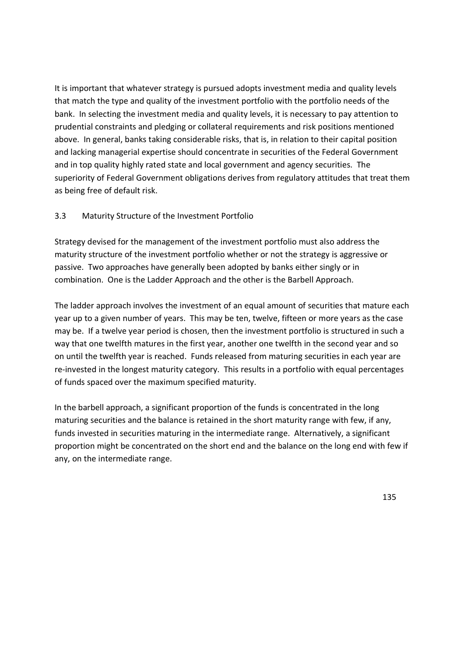It is important that whatever strategy is pursued adopts investment media and quality levels that match the type and quality of the investment portfolio with the portfolio needs of the bank. In selecting the investment media and quality levels, it is necessary to pay attention to prudential constraints and pledging or collateral requirements and risk positions mentioned above. In general, banks taking considerable risks, that is, in relation to their capital position and lacking managerial expertise should concentrate in securities of the Federal Government and in top quality highly rated state and local government and agency securities. The superiority of Federal Government obligations derives from regulatory attitudes that treat them as being free of default risk.

# 3.3 Maturity Structure of the Investment Portfolio

Strategy devised for the management of the investment portfolio must also address the maturity structure of the investment portfolio whether or not the strategy is aggressive or passive. Two approaches have generally been adopted by banks either singly or in combination. One is the Ladder Approach and the other is the Barbell Approach.

The ladder approach involves the investment of an equal amount of securities that mature each year up to a given number of years. This may be ten, twelve, fifteen or more years as the case may be. If a twelve year period is chosen, then the investment portfolio is structured in such a way that one twelfth matures in the first year, another one twelfth in the second year and so on until the twelfth year is reached. Funds released from maturing securities in each year are re-invested in the longest maturity category. This results in a portfolio with equal percentages of funds spaced over the maximum specified maturity.

In the barbell approach, a significant proportion of the funds is concentrated in the long maturing securities and the balance is retained in the short maturity range with few, if any, funds invested in securities maturing in the intermediate range. Alternatively, a significant proportion might be concentrated on the short end and the balance on the long end with few if any, on the intermediate range.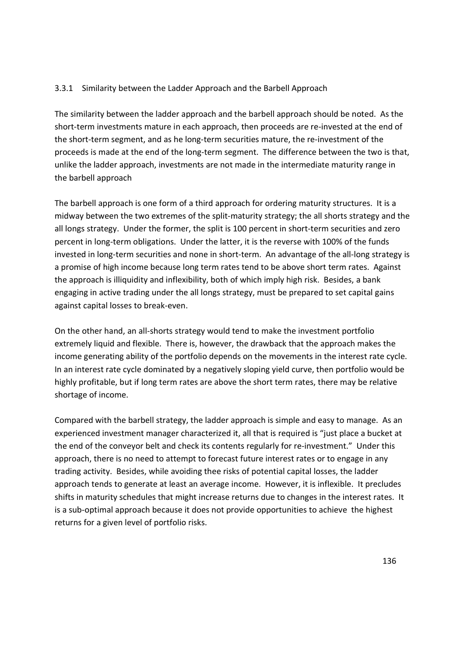# 3.3.1 Similarity between the Ladder Approach and the Barbell Approach

The similarity between the ladder approach and the barbell approach should be noted. As the short-term investments mature in each approach, then proceeds are re-invested at the end of the short-term segment, and as he long-term securities mature, the re-investment of the proceeds is made at the end of the long-term segment. The difference between the two is that, unlike the ladder approach, investments are not made in the intermediate maturity range in the barbell approach

The barbell approach is one form of a third approach for ordering maturity structures. It is a midway between the two extremes of the split-maturity strategy; the all shorts strategy and the all longs strategy. Under the former, the split is 100 percent in short-term securities and zero percent in long-term obligations. Under the latter, it is the reverse with 100% of the funds invested in long-term securities and none in short-term. An advantage of the all-long strategy is a promise of high income because long term rates tend to be above short term rates. Against the approach is illiquidity and inflexibility, both of which imply high risk. Besides, a bank engaging in active trading under the all longs strategy, must be prepared to set capital gains against capital losses to break-even.

On the other hand, an all-shorts strategy would tend to make the investment portfolio extremely liquid and flexible. There is, however, the drawback that the approach makes the income generating ability of the portfolio depends on the movements in the interest rate cycle. In an interest rate cycle dominated by a negatively sloping yield curve, then portfolio would be highly profitable, but if long term rates are above the short term rates, there may be relative shortage of income.

Compared with the barbell strategy, the ladder approach is simple and easy to manage. As an experienced investment manager characterized it, all that is required is "just place a bucket at the end of the conveyor belt and check its contents regularly for re-investment." Under this approach, there is no need to attempt to forecast future interest rates or to engage in any trading activity. Besides, while avoiding thee risks of potential capital losses, the ladder approach tends to generate at least an average income. However, it is inflexible. It precludes shifts in maturity schedules that might increase returns due to changes in the interest rates. It is a sub-optimal approach because it does not provide opportunities to achieve the highest returns for a given level of portfolio risks.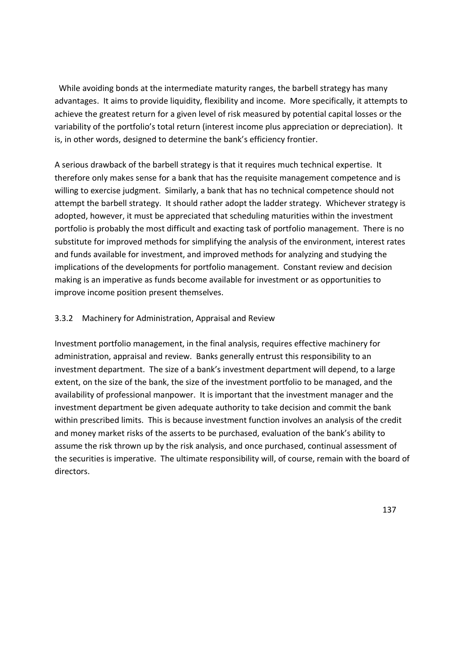While avoiding bonds at the intermediate maturity ranges, the barbell strategy has many advantages. It aims to provide liquidity, flexibility and income. More specifically, it attempts to achieve the greatest return for a given level of risk measured by potential capital losses or the variability of the portfolio's total return (interest income plus appreciation or depreciation). It is, in other words, designed to determine the bank's efficiency frontier.

A serious drawback of the barbell strategy is that it requires much technical expertise. It therefore only makes sense for a bank that has the requisite management competence and is willing to exercise judgment. Similarly, a bank that has no technical competence should not attempt the barbell strategy. It should rather adopt the ladder strategy. Whichever strategy is adopted, however, it must be appreciated that scheduling maturities within the investment portfolio is probably the most difficult and exacting task of portfolio management. There is no substitute for improved methods for simplifying the analysis of the environment, interest rates and funds available for investment, and improved methods for analyzing and studying the implications of the developments for portfolio management. Constant review and decision making is an imperative as funds become available for investment or as opportunities to improve income position present themselves.

#### 3.3.2 Machinery for Administration, Appraisal and Review

Investment portfolio management, in the final analysis, requires effective machinery for administration, appraisal and review. Banks generally entrust this responsibility to an investment department. The size of a bank's investment department will depend, to a large extent, on the size of the bank, the size of the investment portfolio to be managed, and the availability of professional manpower. It is important that the investment manager and the investment department be given adequate authority to take decision and commit the bank within prescribed limits. This is because investment function involves an analysis of the credit and money market risks of the asserts to be purchased, evaluation of the bank's ability to assume the risk thrown up by the risk analysis, and once purchased, continual assessment of the securities is imperative. The ultimate responsibility will, of course, remain with the board of directors.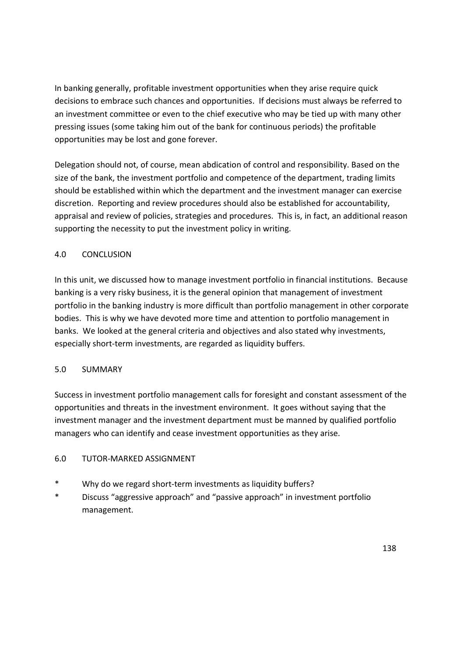In banking generally, profitable investment opportunities when they arise require quick decisions to embrace such chances and opportunities. If decisions must always be referred to an investment committee or even to the chief executive who may be tied up with many other pressing issues (some taking him out of the bank for continuous periods) the profitable opportunities may be lost and gone forever.

Delegation should not, of course, mean abdication of control and responsibility. Based on the size of the bank, the investment portfolio and competence of the department, trading limits should be established within which the department and the investment manager can exercise discretion. Reporting and review procedures should also be established for accountability, appraisal and review of policies, strategies and procedures. This is, in fact, an additional reason supporting the necessity to put the investment policy in writing.

# 4.0 CONCLUSION

In this unit, we discussed how to manage investment portfolio in financial institutions. Because banking is a very risky business, it is the general opinion that management of investment portfolio in the banking industry is more difficult than portfolio management in other corporate bodies. This is why we have devoted more time and attention to portfolio management in banks. We looked at the general criteria and objectives and also stated why investments, especially short-term investments, are regarded as liquidity buffers.

# 5.0 SUMMARY

Success in investment portfolio management calls for foresight and constant assessment of the opportunities and threats in the investment environment. It goes without saying that the investment manager and the investment department must be manned by qualified portfolio managers who can identify and cease investment opportunities as they arise.

# 6.0 TUTOR-MARKED ASSIGNMENT

- \* Why do we regard short-term investments as liquidity buffers?
- \* Discuss "aggressive approach" and "passive approach" in investment portfolio management.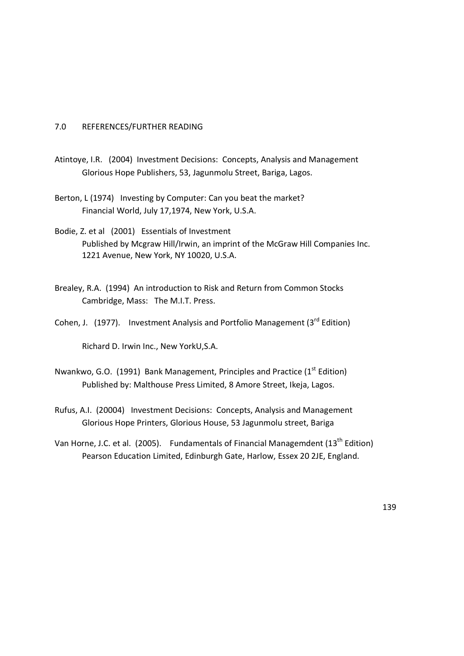### 7.0 REFERENCES/FURTHER READING

- Atintoye, I.R. (2004) Investment Decisions: Concepts, Analysis and Management Glorious Hope Publishers, 53, Jagunmolu Street, Bariga, Lagos.
- Berton, L (1974) Investing by Computer: Can you beat the market? Financial World, July 17,1974, New York, U.S.A.
- Bodie, Z. et al (2001) Essentials of Investment Published by Mcgraw Hill/Irwin, an imprint of the McGraw Hill Companies Inc. 1221 Avenue, New York, NY 10020, U.S.A.
- Brealey, R.A. (1994) An introduction to Risk and Return from Common Stocks Cambridge, Mass: The M.I.T. Press.
- Cohen, J. (1977). Investment Analysis and Portfolio Management ( $3<sup>rd</sup>$  Edition)

Richard D. Irwin Inc., New YorkU,S.A.

- Nwankwo, G.O. (1991) Bank Management, Principles and Practice (1<sup>st</sup> Edition) Published by: Malthouse Press Limited, 8 Amore Street, Ikeja, Lagos.
- Rufus, A.I. (20004) Investment Decisions: Concepts, Analysis and Management Glorious Hope Printers, Glorious House, 53 Jagunmolu street, Bariga
- Van Horne, J.C. et al. (2005). Fundamentals of Financial Managemdent (13<sup>th</sup> Edition) Pearson Education Limited, Edinburgh Gate, Harlow, Essex 20 2JE, England.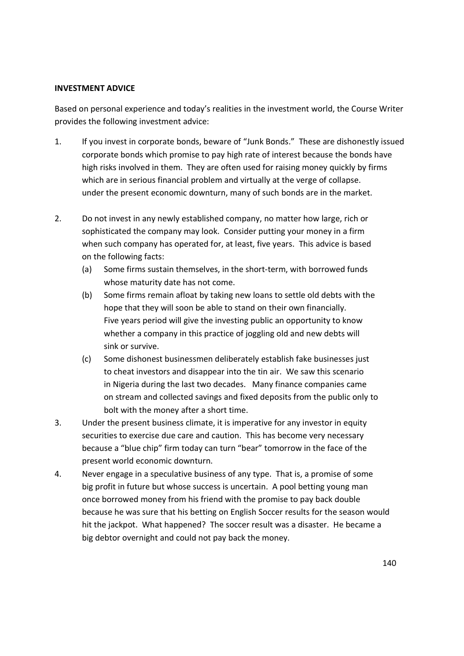#### **INVESTMENT ADVICE**

Based on personal experience and today's realities in the investment world, the Course Writer provides the following investment advice:

- 1. If you invest in corporate bonds, beware of "Junk Bonds." These are dishonestly issued corporate bonds which promise to pay high rate of interest because the bonds have high risks involved in them. They are often used for raising money quickly by firms which are in serious financial problem and virtually at the verge of collapse. under the present economic downturn, many of such bonds are in the market.
- 2. Do not invest in any newly established company, no matter how large, rich or sophisticated the company may look. Consider putting your money in a firm when such company has operated for, at least, five years. This advice is based on the following facts:
	- (a) Some firms sustain themselves, in the short-term, with borrowed funds whose maturity date has not come.
	- (b) Some firms remain afloat by taking new loans to settle old debts with the hope that they will soon be able to stand on their own financially. Five years period will give the investing public an opportunity to know whether a company in this practice of joggling old and new debts will sink or survive.
	- (c) Some dishonest businessmen deliberately establish fake businesses just to cheat investors and disappear into the tin air. We saw this scenario in Nigeria during the last two decades. Many finance companies came on stream and collected savings and fixed deposits from the public only to bolt with the money after a short time.
- 3. Under the present business climate, it is imperative for any investor in equity securities to exercise due care and caution. This has become very necessary because a "blue chip" firm today can turn "bear" tomorrow in the face of the present world economic downturn.
- 4. Never engage in a speculative business of any type. That is, a promise of some big profit in future but whose success is uncertain. A pool betting young man once borrowed money from his friend with the promise to pay back double because he was sure that his betting on English Soccer results for the season would hit the jackpot. What happened? The soccer result was a disaster. He became a big debtor overnight and could not pay back the money.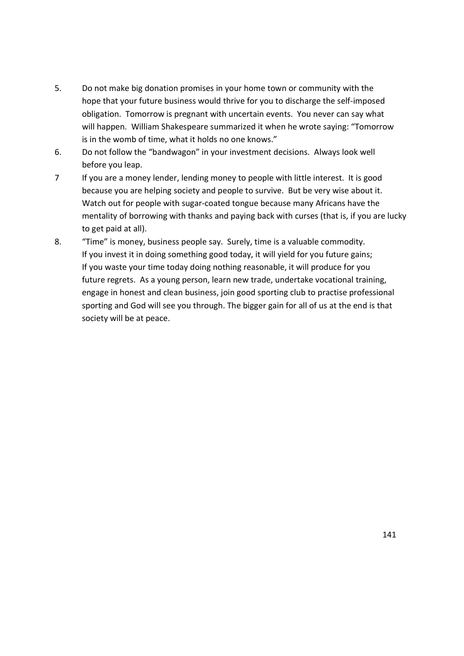- 5. Do not make big donation promises in your home town or community with the hope that your future business would thrive for you to discharge the self-imposed obligation. Tomorrow is pregnant with uncertain events. You never can say what will happen. William Shakespeare summarized it when he wrote saying: "Tomorrow is in the womb of time, what it holds no one knows."
- 6. Do not follow the "bandwagon" in your investment decisions. Always look well before you leap.
- 7 If you are a money lender, lending money to people with little interest. It is good because you are helping society and people to survive. But be very wise about it. Watch out for people with sugar-coated tongue because many Africans have the mentality of borrowing with thanks and paying back with curses (that is, if you are lucky to get paid at all).
- 8. "Time" is money, business people say. Surely, time is a valuable commodity. If you invest it in doing something good today, it will yield for you future gains; If you waste your time today doing nothing reasonable, it will produce for you future regrets. As a young person, learn new trade, undertake vocational training, engage in honest and clean business, join good sporting club to practise professional sporting and God will see you through. The bigger gain for all of us at the end is that society will be at peace.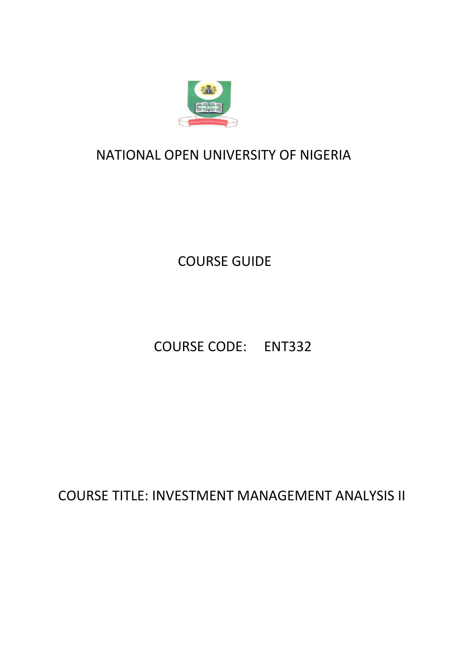

# NATIONAL OPEN UNIVERSITY OF NIGERIA NIGERIA

COURSE GUIDE

COURSE CODE: ENT332

COURSE TITLE: INVESTMENT MANAGEMENT ANALYSIS II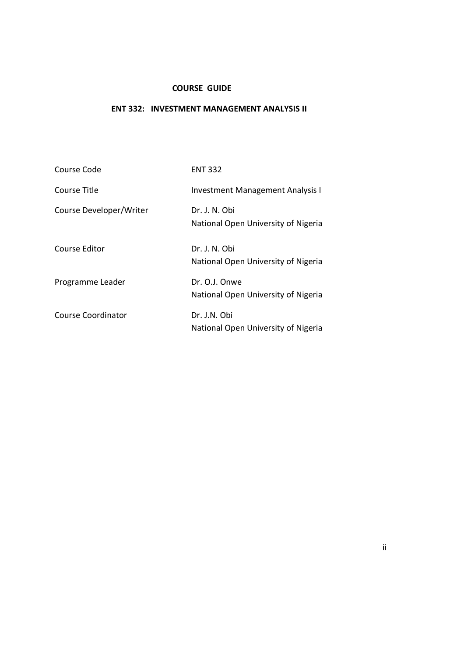#### **COURSE GUIDE**

### **ENT 332: INVESTMENT MANAGEMENT ANALYSIS II**

| Course Code             | <b>ENT 332</b>                                       |
|-------------------------|------------------------------------------------------|
| Course Title            | <b>Investment Management Analysis I</b>              |
| Course Developer/Writer | Dr. J. N. Obi<br>National Open University of Nigeria |
| <b>Course Editor</b>    | Dr. J. N. Obi<br>National Open University of Nigeria |
| Programme Leader        | Dr. O.J. Onwe<br>National Open University of Nigeria |
| Course Coordinator      | Dr. J.N. Obi<br>National Open University of Nigeria  |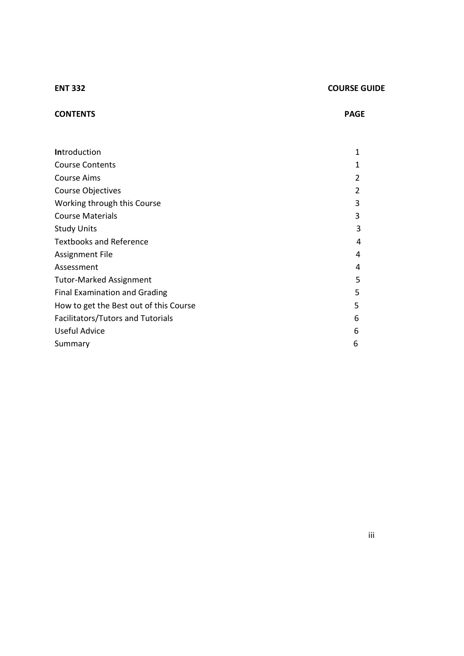#### **ENT 332** COURSE GUIDE

## **CONTENTS PAGE**

| <b>Introduction</b>                      | $\mathbf 1$ |
|------------------------------------------|-------------|
| <b>Course Contents</b>                   | 1           |
| <b>Course Aims</b>                       | 2           |
| <b>Course Objectives</b>                 | 2           |
| Working through this Course              | 3           |
| <b>Course Materials</b>                  | 3           |
| <b>Study Units</b>                       | 3           |
| <b>Textbooks and Reference</b>           | 4           |
| <b>Assignment File</b>                   | 4           |
| Assessment                               | 4           |
| <b>Tutor-Marked Assignment</b>           | 5           |
| <b>Final Examination and Grading</b>     | 5           |
| How to get the Best out of this Course   | 5           |
| <b>Facilitators/Tutors and Tutorials</b> | 6           |
| Useful Advice                            | 6           |
| Summary                                  | 6           |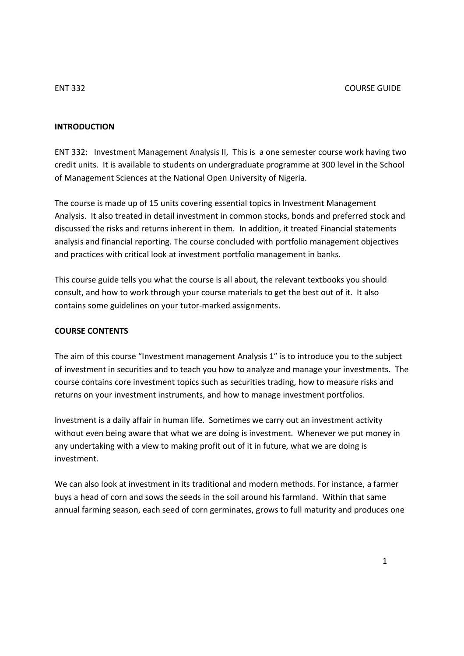#### **INTRODUCTION**

ENT 332: Investment Management Analysis II, This is a one semester course work having two credit units. It is available to students on undergraduate programme at 300 level in the School of Management Sciences at the National Open University of Nigeria.

The course is made up of 15 units covering essential topics in Investment Management Analysis. It also treated in detail investment in common stocks, bonds and preferred stock and discussed the risks and returns inherent in them. In addition, it treated Financial statements analysis and financial reporting. The course concluded with portfolio management objectives and practices with critical look at investment portfolio management in banks.

This course guide tells you what the course is all about, the relevant textbooks you should consult, and how to work through your course materials to get the best out of it. It also contains some guidelines on your tutor-marked assignments.

#### **COURSE CONTENTS**

The aim of this course "Investment management Analysis 1" is to introduce you to the subject of investment in securities and to teach you how to analyze and manage your investments. The course contains core investment topics such as securities trading, how to measure risks and returns on your investment instruments, and how to manage investment portfolios.

Investment is a daily affair in human life. Sometimes we carry out an investment activity without even being aware that what we are doing is investment. Whenever we put money in any undertaking with a view to making profit out of it in future, what we are doing is investment.

We can also look at investment in its traditional and modern methods. For instance, a farmer buys a head of corn and sows the seeds in the soil around his farmland. Within that same annual farming season, each seed of corn germinates, grows to full maturity and produces one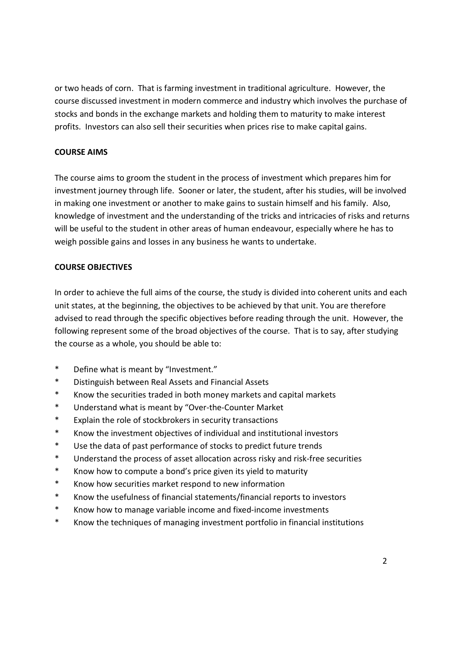or two heads of corn. That is farming investment in traditional agriculture. However, the course discussed investment in modern commerce and industry which involves the purchase of stocks and bonds in the exchange markets and holding them to maturity to make interest profits. Investors can also sell their securities when prices rise to make capital gains.

### **COURSE AIMS**

The course aims to groom the student in the process of investment which prepares him for investment journey through life. Sooner or later, the student, after his studies, will be involved in making one investment or another to make gains to sustain himself and his family. Also, knowledge of investment and the understanding of the tricks and intricacies of risks and returns will be useful to the student in other areas of human endeavour, especially where he has to weigh possible gains and losses in any business he wants to undertake.

### **COURSE OBJECTIVES**

In order to achieve the full aims of the course, the study is divided into coherent units and each unit states, at the beginning, the objectives to be achieved by that unit. You are therefore advised to read through the specific objectives before reading through the unit. However, the following represent some of the broad objectives of the course. That is to say, after studying the course as a whole, you should be able to:

- \* Define what is meant by "Investment."
- \* Distinguish between Real Assets and Financial Assets
- \* Know the securities traded in both money markets and capital markets
- \* Understand what is meant by "Over-the-Counter Market
- \* Explain the role of stockbrokers in security transactions
- \* Know the investment objectives of individual and institutional investors
- \* Use the data of past performance of stocks to predict future trends
- \* Understand the process of asset allocation across risky and risk-free securities
- \* Know how to compute a bond's price given its yield to maturity
- \* Know how securities market respond to new information
- \* Know the usefulness of financial statements/financial reports to investors
- \* Know how to manage variable income and fixed-income investments
- \* Know the techniques of managing investment portfolio in financial institutions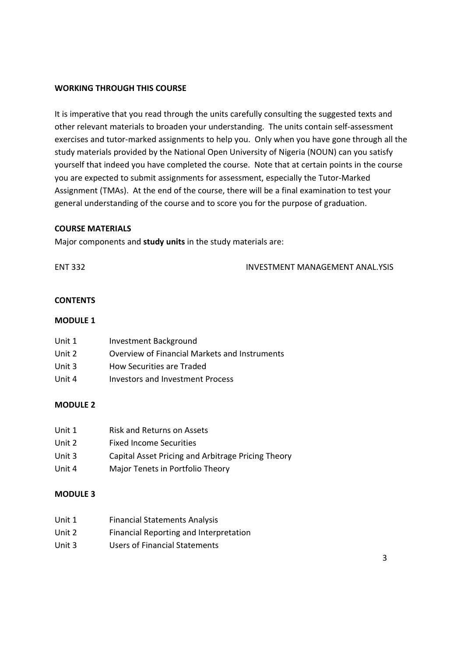#### **WORKING THROUGH THIS COURSE**

It is imperative that you read through the units carefully consulting the suggested texts and other relevant materials to broaden your understanding. The units contain self-assessment exercises and tutor-marked assignments to help you. Only when you have gone through all the study materials provided by the National Open University of Nigeria (NOUN) can you satisfy yourself that indeed you have completed the course. Note that at certain points in the course you are expected to submit assignments for assessment, especially the Tutor-Marked Assignment (TMAs). At the end of the course, there will be a final examination to test your general understanding of the course and to score you for the purpose of graduation.

#### **COURSE MATERIALS**

Major components and **study units** in the study materials are:

ENT 332 INVESTMENT MANAGEMENT ANAL.YSIS

### **CONTENTS**

#### **MODULE 1**

| Unit 1 | Investment Background                         |
|--------|-----------------------------------------------|
| Unit 2 | Overview of Financial Markets and Instruments |
| Unit 3 | How Securities are Traded                     |

# Unit 4 Investors and Investment Process

#### **MODULE 2**

| Unit 1 | Risk and Returns on Assets                         |
|--------|----------------------------------------------------|
| Unit 2 | <b>Fixed Income Securities</b>                     |
| Unit 3 | Capital Asset Pricing and Arbitrage Pricing Theory |
| Unit 4 | Major Tenets in Portfolio Theory                   |

#### **MODULE 3**

| <b>Financial Statements Analysis</b> |
|--------------------------------------|
|                                      |

- Unit 2 Financial Reporting and Interpretation
- Unit 3 Users of Financial Statements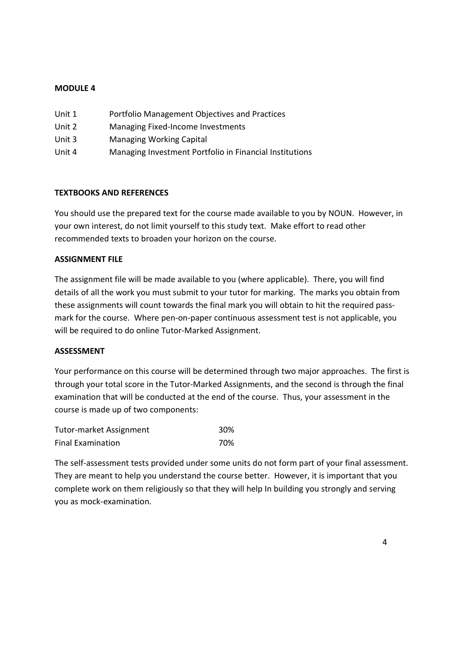### **MODULE 4**

| Unit 1 | Portfolio Management Objectives and Practices           |
|--------|---------------------------------------------------------|
| Unit 2 | Managing Fixed-Income Investments                       |
| Unit 3 | <b>Managing Working Capital</b>                         |
| Unit 4 | Managing Investment Portfolio in Financial Institutions |

#### **TEXTBOOKS AND REFERENCES**

You should use the prepared text for the course made available to you by NOUN. However, in your own interest, do not limit yourself to this study text. Make effort to read other recommended texts to broaden your horizon on the course.

#### **ASSIGNMENT FILE**

The assignment file will be made available to you (where applicable). There, you will find details of all the work you must submit to your tutor for marking. The marks you obtain from these assignments will count towards the final mark you will obtain to hit the required passmark for the course. Where pen-on-paper continuous assessment test is not applicable, you will be required to do online Tutor-Marked Assignment.

#### **ASSESSMENT**

Your performance on this course will be determined through two major approaches. The first is through your total score in the Tutor-Marked Assignments, and the second is through the final examination that will be conducted at the end of the course. Thus, your assessment in the course is made up of two components:

| <b>Tutor-market Assignment</b> | 30% |
|--------------------------------|-----|
| <b>Final Examination</b>       | 70% |

The self-assessment tests provided under some units do not form part of your final assessment. They are meant to help you understand the course better. However, it is important that you complete work on them religiously so that they will help In building you strongly and serving you as mock-examination.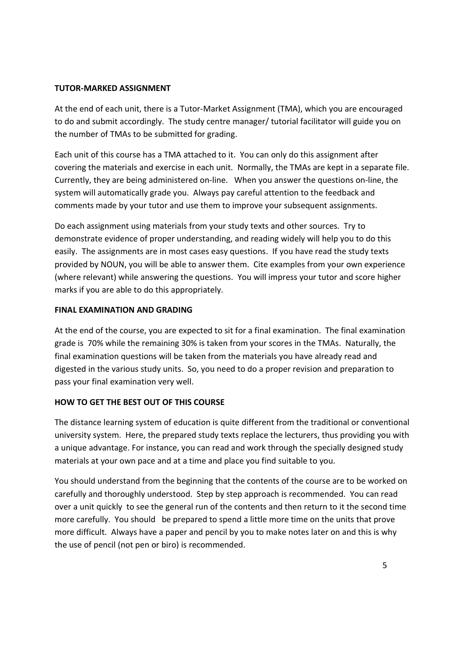#### **TUTOR-MARKED ASSIGNMENT**

At the end of each unit, there is a Tutor-Market Assignment (TMA), which you are encouraged to do and submit accordingly. The study centre manager/ tutorial facilitator will guide you on the number of TMAs to be submitted for grading.

Each unit of this course has a TMA attached to it. You can only do this assignment after covering the materials and exercise in each unit. Normally, the TMAs are kept in a separate file. Currently, they are being administered on-line. When you answer the questions on-line, the system will automatically grade you. Always pay careful attention to the feedback and comments made by your tutor and use them to improve your subsequent assignments.

Do each assignment using materials from your study texts and other sources. Try to demonstrate evidence of proper understanding, and reading widely will help you to do this easily. The assignments are in most cases easy questions. If you have read the study texts provided by NOUN, you will be able to answer them. Cite examples from your own experience (where relevant) while answering the questions. You will impress your tutor and score higher marks if you are able to do this appropriately.

#### **FINAL EXAMINATION AND GRADING**

At the end of the course, you are expected to sit for a final examination. The final examination grade is 70% while the remaining 30% is taken from your scores in the TMAs. Naturally, the final examination questions will be taken from the materials you have already read and digested in the various study units. So, you need to do a proper revision and preparation to pass your final examination very well.

#### **HOW TO GET THE BEST OUT OF THIS COURSE**

The distance learning system of education is quite different from the traditional or conventional university system. Here, the prepared study texts replace the lecturers, thus providing you with a unique advantage. For instance, you can read and work through the specially designed study materials at your own pace and at a time and place you find suitable to you.

You should understand from the beginning that the contents of the course are to be worked on carefully and thoroughly understood. Step by step approach is recommended. You can read over a unit quickly to see the general run of the contents and then return to it the second time more carefully. You should be prepared to spend a little more time on the units that prove more difficult. Always have a paper and pencil by you to make notes later on and this is why the use of pencil (not pen or biro) is recommended.